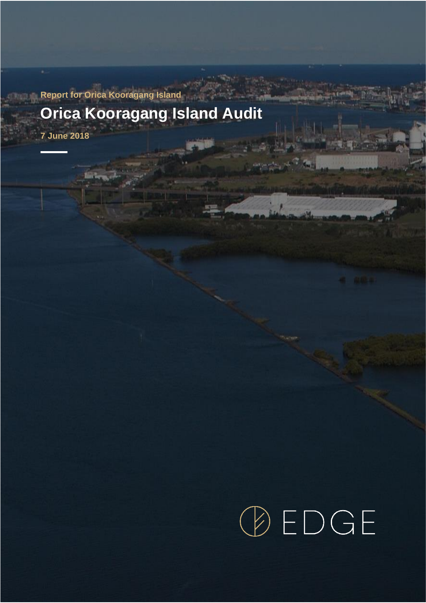## **Report for Orica Kooragang Island Orica Kooragang Island Audit**

**7 June 2018**

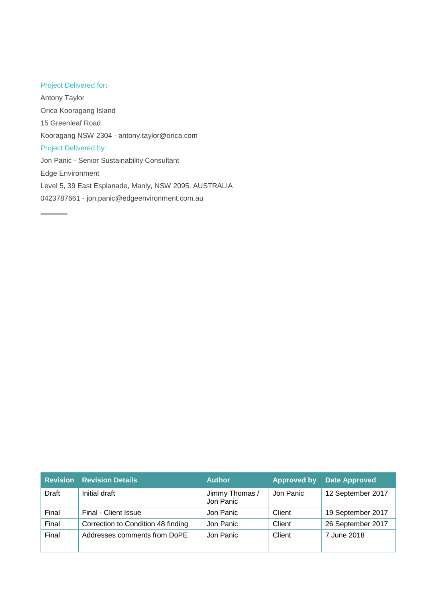## Project Delivered for:

Antony Taylor Orica Kooragang Island 15 Greenleaf Road Kooragang NSW 2304 - antony.taylor@orica.com Project Delivered by: Jon Panic - Senior Sustainability Consultant Edge Environment Level 5, 39 East Esplanade, Manly, NSW 2095, AUSTRALIA 0423787661 - jon.panic@edgeenvironment.com.au

|       | <b>Revision Revision Details</b>   | <b>Author</b>               | <b>Approved by</b> | <b>Date Approved</b> |
|-------|------------------------------------|-----------------------------|--------------------|----------------------|
| Draft | Initial draft                      | Jimmy Thomas /<br>Jon Panic | Jon Panic          | 12 September 2017    |
| Final | Final - Client Issue               | Jon Panic                   | Client             | 19 September 2017    |
| Final | Correction to Condition 48 finding | Jon Panic                   | Client             | 26 September 2017    |
| Final | Addresses comments from DoPE       | Jon Panic                   | Client             | 7 June 2018          |
|       |                                    |                             |                    |                      |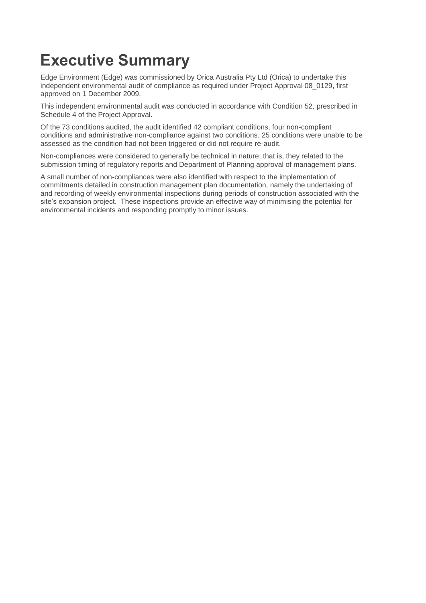## **Executive Summary**

Edge Environment (Edge) was commissioned by Orica Australia Pty Ltd (Orica) to undertake this independent environmental audit of compliance as required under Project Approval 08\_0129, first approved on 1 December 2009.

This independent environmental audit was conducted in accordance with Condition 52, prescribed in Schedule 4 of the Project Approval.

Of the 73 conditions audited, the audit identified 42 compliant conditions, four non-compliant conditions and administrative non-compliance against two conditions. 25 conditions were unable to be assessed as the condition had not been triggered or did not require re-audit.

Non-compliances were considered to generally be technical in nature; that is, they related to the submission timing of regulatory reports and Department of Planning approval of management plans.

A small number of non-compliances were also identified with respect to the implementation of commitments detailed in construction management plan documentation, namely the undertaking of and recording of weekly environmental inspections during periods of construction associated with the site's expansion project. These inspections provide an effective way of minimising the potential for environmental incidents and responding promptly to minor issues.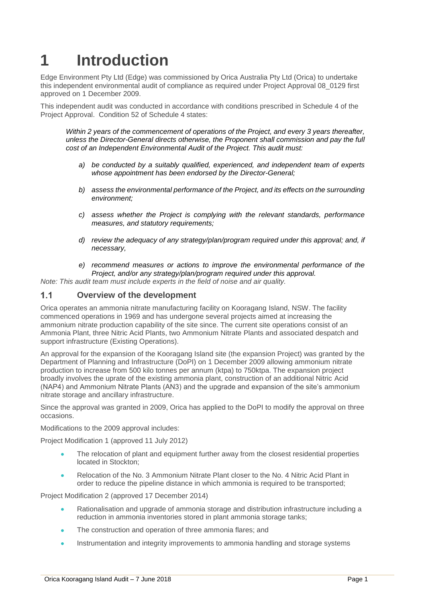# **1 Introduction**

Edge Environment Pty Ltd (Edge) was commissioned by Orica Australia Pty Ltd (Orica) to undertake this independent environmental audit of compliance as required under Project Approval 08\_0129 first approved on 1 December 2009.

This independent audit was conducted in accordance with conditions prescribed in Schedule 4 of the Project Approval. Condition 52 of Schedule 4 states:

*Within 2 years of the commencement of operations of the Project, and every 3 years thereafter, unless the Director-General directs otherwise, the Proponent shall commission and pay the full cost of an Independent Environmental Audit of the Project. This audit must:*

- *a) be conducted by a suitably qualified, experienced, and independent team of experts whose appointment has been endorsed by the Director-General;*
- *b) assess the environmental performance of the Project, and its effects on the surrounding environment;*
- *c) assess whether the Project is complying with the relevant standards, performance measures, and statutory requirements;*
- *d) review the adequacy of any strategy/plan/program required under this approval; and, if necessary,*
- *e) recommend measures or actions to improve the environmental performance of the Project, and/or any strategy/plan/program required under this approval.*

*Note: This audit team must include experts in the field of noise and air quality.*

#### $1.1$ **Overview of the development**

Orica operates an ammonia nitrate manufacturing facility on Kooragang Island, NSW. The facility commenced operations in 1969 and has undergone several projects aimed at increasing the ammonium nitrate production capability of the site since. The current site operations consist of an Ammonia Plant, three Nitric Acid Plants, two Ammonium Nitrate Plants and associated despatch and support infrastructure (Existing Operations).

An approval for the expansion of the Kooragang Island site (the expansion Project) was granted by the Department of Planning and Infrastructure (DoPI) on 1 December 2009 allowing ammonium nitrate production to increase from 500 kilo tonnes per annum (ktpa) to 750ktpa. The expansion project broadly involves the uprate of the existing ammonia plant, construction of an additional Nitric Acid (NAP4) and Ammonium Nitrate Plants (AN3) and the upgrade and expansion of the site's ammonium nitrate storage and ancillary infrastructure.

Since the approval was granted in 2009, Orica has applied to the DoPI to modify the approval on three occasions.

Modifications to the 2009 approval includes:

Project Modification 1 (approved 11 July 2012)

- The relocation of plant and equipment further away from the closest residential properties located in Stockton;
- Relocation of the No. 3 Ammonium Nitrate Plant closer to the No. 4 Nitric Acid Plant in order to reduce the pipeline distance in which ammonia is required to be transported;

Project Modification 2 (approved 17 December 2014)

- Rationalisation and upgrade of ammonia storage and distribution infrastructure including a reduction in ammonia inventories stored in plant ammonia storage tanks;
- The construction and operation of three ammonia flares; and
- Instrumentation and integrity improvements to ammonia handling and storage systems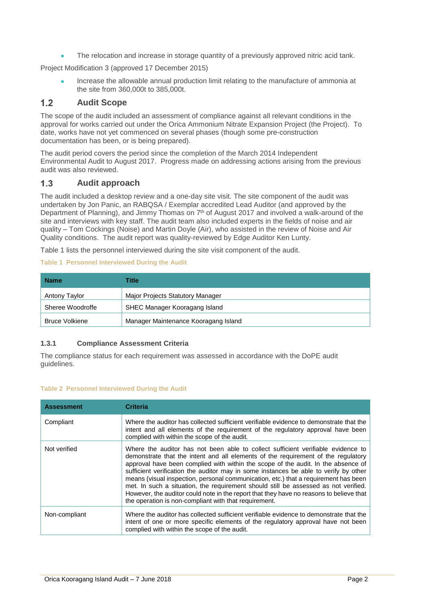• The relocation and increase in storage quantity of a previously approved nitric acid tank.

Project Modification 3 (approved 17 December 2015)

• Increase the allowable annual production limit relating to the manufacture of ammonia at the site from 360,000t to 385,000t.

#### $1.2$ **Audit Scope**

The scope of the audit included an assessment of compliance against all relevant conditions in the approval for works carried out under the Orica Ammonium Nitrate Expansion Project (the Project). To date, works have not yet commenced on several phases (though some pre-construction documentation has been, or is being prepared).

The audit period covers the period since the completion of the March 2014 Independent Environmental Audit to August 2017. Progress made on addressing actions arising from the previous audit was also reviewed.

#### $1.3$ **Audit approach**

The audit included a desktop review and a one-day site visit. The site component of the audit was undertaken by Jon Panic, an RABQSA / Exemplar accredited Lead Auditor (and approved by the Department of Planning), and Jimmy Thomas on  $7<sup>th</sup>$  of August 2017 and involved a walk-around of the site and interviews with key staff. The audit team also included experts in the fields of noise and air quality – Tom Cockings (Noise) and Martin Doyle (Air), who assisted in the review of Noise and Air Quality conditions. The audit report was quality-reviewed by Edge Auditor Ken Lunty.

[Table](#page-5-0) 1 lists the personnel interviewed during the site visit component of the audit.

#### <span id="page-5-0"></span>**Table 1 Personnel Interviewed During the Audit**

| <b>Name</b>           | Title                                   |
|-----------------------|-----------------------------------------|
| Antony Taylor         | <b>Major Projects Statutory Manager</b> |
| Sheree Woodroffe      | SHEC Manager Kooragang Island           |
| <b>Bruce Volkiene</b> | Manager Maintenance Kooragang Island    |

#### **1.3.1 Compliance Assessment Criteria**

The compliance status for each requirement was assessed in accordance with the DoPE audit guidelines.

#### **Table 2 Personnel Interviewed During the Audit**

| <b>Assessment</b> | <b>Criteria</b>                                                                                                                                                                                                                                                                                                                                                                                                                                                                                                                                                                                                                                                                      |
|-------------------|--------------------------------------------------------------------------------------------------------------------------------------------------------------------------------------------------------------------------------------------------------------------------------------------------------------------------------------------------------------------------------------------------------------------------------------------------------------------------------------------------------------------------------------------------------------------------------------------------------------------------------------------------------------------------------------|
| Compliant         | Where the auditor has collected sufficient verifiable evidence to demonstrate that the<br>intent and all elements of the requirement of the regulatory approval have been<br>complied with within the scope of the audit.                                                                                                                                                                                                                                                                                                                                                                                                                                                            |
| Not verified      | Where the auditor has not been able to collect sufficient verifiable evidence to<br>demonstrate that the intent and all elements of the requirement of the regulatory<br>approval have been complied with within the scope of the audit. In the absence of<br>sufficient verification the auditor may in some instances be able to verify by other<br>means (visual inspection, personal communication, etc.) that a requirement has been<br>met. In such a situation, the requirement should still be assessed as not verified.<br>However, the auditor could note in the report that they have no reasons to believe that<br>the operation is non-compliant with that requirement. |
| Non-compliant     | Where the auditor has collected sufficient verifiable evidence to demonstrate that the<br>intent of one or more specific elements of the regulatory approval have not been<br>complied with within the scope of the audit.                                                                                                                                                                                                                                                                                                                                                                                                                                                           |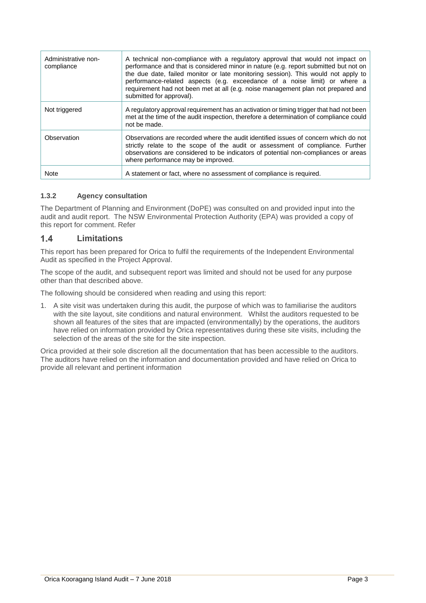| Administrative non-<br>compliance | A technical non-compliance with a regulatory approval that would not impact on<br>performance and that is considered minor in nature (e.g. report submitted but not on<br>the due date, failed monitor or late monitoring session). This would not apply to<br>performance-related aspects (e.g. exceedance of a noise limit) or where a<br>requirement had not been met at all (e.g. noise management plan not prepared and<br>submitted for approval). |
|-----------------------------------|----------------------------------------------------------------------------------------------------------------------------------------------------------------------------------------------------------------------------------------------------------------------------------------------------------------------------------------------------------------------------------------------------------------------------------------------------------|
| Not triggered                     | A regulatory approval requirement has an activation or timing trigger that had not been<br>met at the time of the audit inspection, therefore a determination of compliance could<br>not be made.                                                                                                                                                                                                                                                        |
| Observation                       | Observations are recorded where the audit identified issues of concern which do not<br>strictly relate to the scope of the audit or assessment of compliance. Further<br>observations are considered to be indicators of potential non-compliances or areas<br>where performance may be improved.                                                                                                                                                        |
| <b>Note</b>                       | A statement or fact, where no assessment of compliance is required.                                                                                                                                                                                                                                                                                                                                                                                      |

## **1.3.2 Agency consultation**

The Department of Planning and Environment (DoPE) was consulted on and provided input into the audit and audit report. The NSW Environmental Protection Authority (EPA) was provided a copy of this report for comment. Refer

#### $1.4$ **Limitations**

This report has been prepared for Orica to fulfil the requirements of the Independent Environmental Audit as specified in the Project Approval.

The scope of the audit, and subsequent report was limited and should not be used for any purpose other than that described above.

The following should be considered when reading and using this report:

1. A site visit was undertaken during this audit, the purpose of which was to familiarise the auditors with the site layout, site conditions and natural environment. Whilst the auditors requested to be shown all features of the sites that are impacted (environmentally) by the operations, the auditors have relied on information provided by Orica representatives during these site visits, including the selection of the areas of the site for the site inspection.

Orica provided at their sole discretion all the documentation that has been accessible to the auditors. The auditors have relied on the information and documentation provided and have relied on Orica to provide all relevant and pertinent information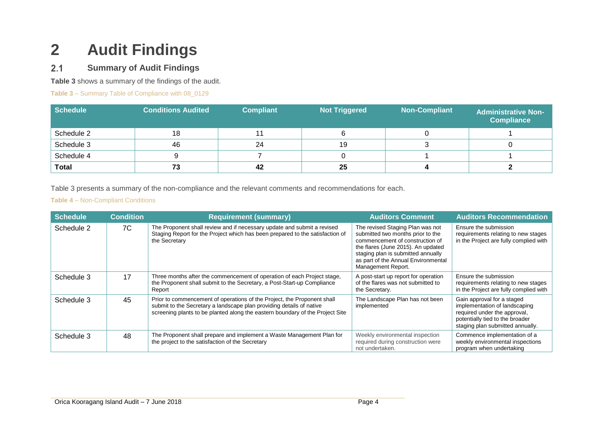# **2 Audit Findings**

#### $2.1$ **Summary of Audit Findings**

**[Table 3](#page-7-0)** shows a summary of the findings of the audit.

<span id="page-7-0"></span>**Table 3** – Summary Table of Compliance with 08\_0129

| Schedule     | <b>Conditions Audited</b> | <b>Compliant</b> | <b>Not Triggered</b> | <b>Non-Compliant</b> | <b>Administrative Non-</b><br><b>Compliance</b> |
|--------------|---------------------------|------------------|----------------------|----------------------|-------------------------------------------------|
| Schedule 2   | 18                        |                  |                      |                      |                                                 |
| Schedule 3   | 46                        | 24               | 19                   |                      |                                                 |
| Schedule 4   | 9                         |                  |                      |                      |                                                 |
| <b>Total</b> | 73                        | 42               | 25                   |                      |                                                 |

Table 3 presents a summary of the non-compliance and the relevant comments and recommendations for each.

### **Table 4** – Non-Compliant Conditions

| <b>Schedule</b> | <b>Condition</b> | <b>Requirement (summary)</b>                                                                                                                                                                                                     | <b>Auditors Comment</b>                                                                                                                                                                                                                           | <b>Auditors Recommendation</b>                                                                                                                                     |
|-----------------|------------------|----------------------------------------------------------------------------------------------------------------------------------------------------------------------------------------------------------------------------------|---------------------------------------------------------------------------------------------------------------------------------------------------------------------------------------------------------------------------------------------------|--------------------------------------------------------------------------------------------------------------------------------------------------------------------|
| Schedule 2      | 7C               | The Proponent shall review and if necessary update and submit a revised<br>Staging Report for the Project which has been prepared to the satisfaction of<br>the Secretary                                                        | The revised Staging Plan was not<br>submitted two months prior to the<br>commencement of construction of<br>the flares (June 2015). An updated<br>staging plan is submitted annually<br>as part of the Annual Environmental<br>Management Report. | Ensure the submission<br>requirements relating to new stages<br>in the Project are fully complied with                                                             |
| Schedule 3      | 17               | Three months after the commencement of operation of each Project stage,<br>the Proponent shall submit to the Secretary, a Post-Start-up Compliance<br>Report                                                                     | A post-start up report for operation<br>of the flares was not submitted to<br>the Secretary.                                                                                                                                                      | Ensure the submission<br>requirements relating to new stages<br>in the Project are fully complied with                                                             |
| Schedule 3      | 45               | Prior to commencement of operations of the Project, the Proponent shall<br>submit to the Secretary a landscape plan providing details of native<br>screening plants to be planted along the eastern boundary of the Project Site | The Landscape Plan has not been<br>implemented                                                                                                                                                                                                    | Gain approval for a staged<br>implementation of landscaping<br>required under the approval,<br>potentially tied to the broader<br>staging plan submitted annually. |
| Schedule 3      | 48               | The Proponent shall prepare and implement a Waste Management Plan for<br>the project to the satisfaction of the Secretary                                                                                                        | Weekly environmental inspection<br>required during construction were<br>not undertaken.                                                                                                                                                           | Commence implementation of a<br>weekly environmental inspections<br>program when undertaking                                                                       |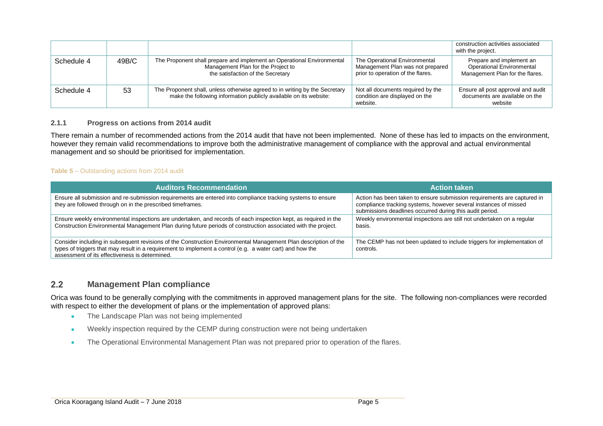|            |       |                                                                                                                                                   |                                                                                                        | construction activities associated<br>with the project.                                  |
|------------|-------|---------------------------------------------------------------------------------------------------------------------------------------------------|--------------------------------------------------------------------------------------------------------|------------------------------------------------------------------------------------------|
| Schedule 4 | 49B/C | The Proponent shall prepare and implement an Operational Environmental<br>Management Plan for the Project to<br>the satisfaction of the Secretary | The Operational Environmental<br>Management Plan was not prepared<br>prior to operation of the flares. | Prepare and implement an<br>Operational Environmental<br>Management Plan for the flares. |
| Schedule 4 | 53    | The Proponent shall, unless otherwise agreed to in writing by the Secretary<br>make the following information publicly available on its website:  | Not all documents required by the<br>condition are displayed on the<br>website.                        | Ensure all post approval and audit<br>documents are available on the<br>website          |

#### **2.1.1 Progress on actions from 2014 audit**

There remain a number of recommended actions from the 2014 audit that have not been implemented. None of these has led to impacts on the environment, however they remain valid recommendations to improve both the administrative management of compliance with the approval and actual environmental management and so should be prioritised for implementation.

#### **Table 5** – Outstanding actions from 2014 audit

| <b>Auditors Recommendation</b>                                                                                                                                                                                                                                                 | <b>Action taken</b>                                                                                                                                                                                     |
|--------------------------------------------------------------------------------------------------------------------------------------------------------------------------------------------------------------------------------------------------------------------------------|---------------------------------------------------------------------------------------------------------------------------------------------------------------------------------------------------------|
| Ensure all submission and re-submission requirements are entered into compliance tracking systems to ensure<br>they are followed through on in the prescribed timeframes.                                                                                                      | Action has been taken to ensure submission requirements are captured in<br>compliance tracking systems, however several instances of missed<br>submissions deadlines occurred during this audit period. |
| Ensure weekly environmental inspections are undertaken, and records of each inspection kept, as required in the<br>Construction Environmental Management Plan during future periods of construction associated with the project.                                               | Weekly environmental inspections are still not undertaken on a regular<br>basis.                                                                                                                        |
| Consider including in subsequent revisions of the Construction Environmental Management Plan description of the<br>types of triggers that may result in a requirement to implement a control (e.g. a water cart) and how the<br>assessment of its effectiveness is determined. | The CEMP has not been updated to include triggers for implementation of<br>controls.                                                                                                                    |

#### $2.2$ **Management Plan compliance**

Orica was found to be generally complying with the commitments in approved management plans for the site. The following non-compliances were recorded with respect to either the development of plans or the implementation of approved plans:

- The Landscape Plan was not being implemented
- Weekly inspection required by the CEMP during construction were not being undertaken
- The Operational Environmental Management Plan was not prepared prior to operation of the flares.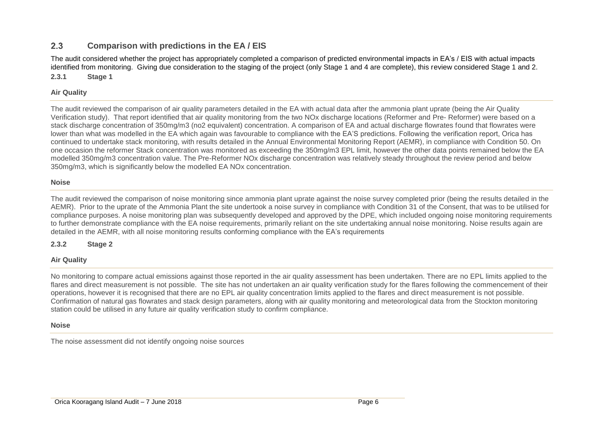#### $2.3$ **Comparison with predictions in the EA / EIS**

The audit considered whether the project has appropriately completed a comparison of predicted environmental impacts in EA's / EIS with actual impacts identified from monitoring. Giving due consideration to the staging of the project (only Stage 1 and 4 are complete), this review considered Stage 1 and 2. **2.3.1 Stage 1** 

#### **Air Quality**

The audit reviewed the comparison of air quality parameters detailed in the EA with actual data after the ammonia plant uprate (being the Air Quality Verification study). That report identified that air quality monitoring from the two NOx discharge locations (Reformer and Pre- Reformer) were based on a stack discharge concentration of 350mg/m3 (no2 equivalent) concentration. A comparison of EA and actual discharge flowrates found that flowrates were lower than what was modelled in the EA which again was favourable to compliance with the EA'S predictions. Following the verification report, Orica has continued to undertake stack monitoring, with results detailed in the Annual Environmental Monitoring Report (AEMR), in compliance with Condition 50. On one occasion the reformer Stack concentration was monitored as exceeding the 350mg/m3 EPL limit, however the other data points remained below the EA modelled 350mg/m3 concentration value. The Pre-Reformer NOx discharge concentration was relatively steady throughout the review period and below 350mg/m3, which is significantly below the modelled EA NOx concentration.

#### **Noise**

The audit reviewed the comparison of noise monitoring since ammonia plant uprate against the noise survey completed prior (being the results detailed in the AEMR). Prior to the uprate of the Ammonia Plant the site undertook a noise survey in compliance with Condition 31 of the Consent, that was to be utilised for compliance purposes. A noise monitoring plan was subsequently developed and approved by the DPE, which included ongoing noise monitoring requirements to further demonstrate compliance with the EA noise requirements, primarily reliant on the site undertaking annual noise monitoring. Noise results again are detailed in the AEMR, with all noise monitoring results conforming compliance with the EA's requirements

#### **2.3.2 Stage 2**

#### **Air Quality**

No monitoring to compare actual emissions against those reported in the air quality assessment has been undertaken. There are no EPL limits applied to the flares and direct measurement is not possible. The site has not undertaken an air quality verification study for the flares following the commencement of their operations, however it is recognised that there are no EPL air quality concentration limits applied to the flares and direct measurement is not possible. Confirmation of natural gas flowrates and stack design parameters, along with air quality monitoring and meteorological data from the Stockton monitoring station could be utilised in any future air quality verification study to confirm compliance.

#### **Noise**

The noise assessment did not identify ongoing noise sources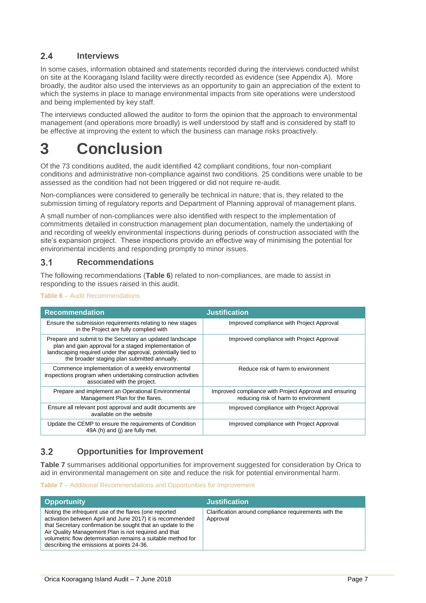#### $24$ **Interviews**

In some cases, information obtained and statements recorded during the interviews conducted whilst on site at the Kooragang Island facility were directly recorded as evidence (see Appendix A). More broadly, the auditor also used the interviews as an opportunity to gain an appreciation of the extent to which the systems in place to manage environmental impacts from site operations were understood and being implemented by key staff.

The interviews conducted allowed the auditor to form the opinion that the approach to environmental management (and operations more broadly) is well understood by staff and is considered by staff to be effective at improving the extent to which the business can manage risks proactively.

## **3 Conclusion**

Of the 73 conditions audited, the audit identified 42 compliant conditions, four non-compliant conditions and administrative non-compliance against two conditions. 25 conditions were unable to be assessed as the condition had not been triggered or did not require re-audit.

Non-compliances were considered to generally be technical in nature; that is, they related to the submission timing of regulatory reports and Department of Planning approval of management plans.

A small number of non-compliances were also identified with respect to the implementation of commitments detailed in construction management plan documentation, namely the undertaking of and recording of weekly environmental inspections during periods of construction associated with the site's expansion project. These inspections provide an effective way of minimising the potential for environmental incidents and responding promptly to minor issues.

#### $3.1$ **Recommendations**

The following recommendations (**[Table 6](#page-10-0)**) related to non-compliances, are made to assist in responding to the issues raised in this audit.

#### <span id="page-10-0"></span>**Table 6** – Audit Recommendations

| <b>Recommendation</b>                                                                                                                                                                                                             | <b>Justification</b>                                                                           |
|-----------------------------------------------------------------------------------------------------------------------------------------------------------------------------------------------------------------------------------|------------------------------------------------------------------------------------------------|
| Ensure the submission requirements relating to new stages<br>in the Project are fully complied with                                                                                                                               | Improved compliance with Project Approval                                                      |
| Prepare and submit to the Secretary an updated landscape<br>plan and gain approval for a staged implementation of<br>landscaping required under the approval, potentially tied to<br>the broader staging plan submitted annually. | Improved compliance with Project Approval                                                      |
| Commence implementation of a weekly environmental<br>inspections program when undertaking construction activities<br>associated with the project.                                                                                 | Reduce risk of harm to environment                                                             |
| Prepare and implement an Operational Environmental<br>Management Plan for the flares.                                                                                                                                             | Improved compliance with Project Approval and ensuring<br>reducing risk of harm to environment |
| Ensure all relevant post approval and audit documents are<br>available on the website                                                                                                                                             | Improved compliance with Project Approval                                                      |
| Update the CEMP to ensure the requirements of Condition<br>49A (h) and (i) are fully met.                                                                                                                                         | Improved compliance with Project Approval                                                      |

#### $3<sub>2</sub>$ **Opportunities for Improvement**

**[Table](#page-10-1) 7** summarises additional opportunities for improvement suggested for consideration by Orica to aid in environmental management on site and reduce the risk for potential environmental harm.

#### <span id="page-10-1"></span>**Table 7** – Additional Recommendations and Opportunities for Improvement

| <b>Opportunity</b>                                                                                                                                                                                                                                                                                                                                    | <b>Justification</b>                                              |
|-------------------------------------------------------------------------------------------------------------------------------------------------------------------------------------------------------------------------------------------------------------------------------------------------------------------------------------------------------|-------------------------------------------------------------------|
| Noting the infrequent use of the flares (one reported<br>activation between April and June 2017) it is recommended<br>that Secretary confirmation be sought that an update to the<br>Air Quality Management Plan is not required and that<br>volumetric flow determination remains a suitable method for<br>describing the emissions at points 24-36. | Clarification around compliance requirements with the<br>Approval |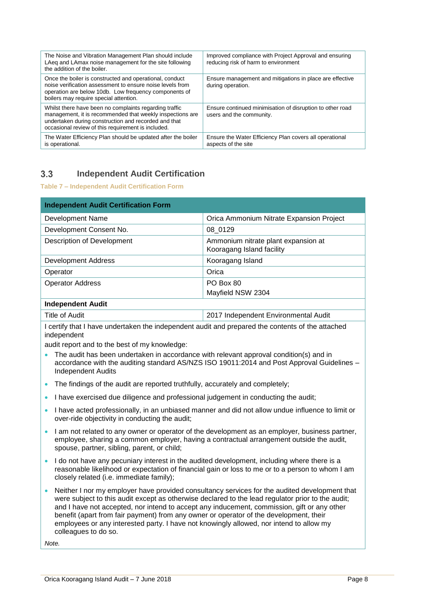| The Noise and Vibration Management Plan should include<br>LAeq and LAmax noise management for the site following<br>the addition of the boiler.                                                                                   | Improved compliance with Project Approval and ensuring<br>reducing risk of harm to environment |
|-----------------------------------------------------------------------------------------------------------------------------------------------------------------------------------------------------------------------------------|------------------------------------------------------------------------------------------------|
| Once the boiler is constructed and operational, conduct<br>noise verification assessment to ensure noise levels from<br>operation are below 10db. Low frequency components of<br>boilers may require special attention.           | Ensure management and mitigations in place are effective<br>during operation.                  |
| Whilst there have been no complaints regarding traffic<br>management, it is recommended that weekly inspections are<br>undertaken during construction and recorded and that<br>occasional review of this requirement is included. | Ensure continued minimisation of disruption to other road<br>users and the community.          |
| The Water Efficiency Plan should be updated after the boiler<br>is operational.                                                                                                                                                   | Ensure the Water Efficiency Plan covers all operational<br>aspects of the site                 |

#### $3.3$ **Independent Audit Certification**

#### **Table 7 – Independent Audit Certification Form**

| <b>Independent Audit Certification Form</b> |                                                                  |
|---------------------------------------------|------------------------------------------------------------------|
| Development Name                            | Orica Ammonium Nitrate Expansion Project                         |
| Development Consent No.                     | 08 0129                                                          |
| <b>Description of Development</b>           | Ammonium nitrate plant expansion at<br>Kooragang Island facility |
| <b>Development Address</b>                  | Kooragang Island                                                 |
| Operator                                    | Orica                                                            |
| <b>Operator Address</b>                     | PO Box 80                                                        |
|                                             | Mayfield NSW 2304                                                |
| <b>Independent Audit</b>                    |                                                                  |

Title of Audit **2017** Independent Environmental Audit

I certify that I have undertaken the independent audit and prepared the contents of the attached independent

audit report and to the best of my knowledge:

- The audit has been undertaken in accordance with relevant approval condition(s) and in accordance with the auditing standard AS/NZS ISO 19011:2014 and Post Approval Guidelines – Independent Audits
- The findings of the audit are reported truthfully, accurately and completely;
- I have exercised due diligence and professional judgement in conducting the audit:
- I have acted professionally, in an unbiased manner and did not allow undue influence to limit or over-ride objectivity in conducting the audit;
- I am not related to any owner or operator of the development as an employer, business partner, employee, sharing a common employer, having a contractual arrangement outside the audit, spouse, partner, sibling, parent, or child;
- I do not have any pecuniary interest in the audited development, including where there is a reasonable likelihood or expectation of financial gain or loss to me or to a person to whom I am closely related (i.e. immediate family);
- Neither I nor my employer have provided consultancy services for the audited development that were subject to this audit except as otherwise declared to the lead regulator prior to the audit; and I have not accepted, nor intend to accept any inducement, commission, gift or any other benefit (apart from fair payment) from any owner or operator of the development, their employees or any interested party. I have not knowingly allowed, nor intend to allow my colleagues to do so.

*Note.*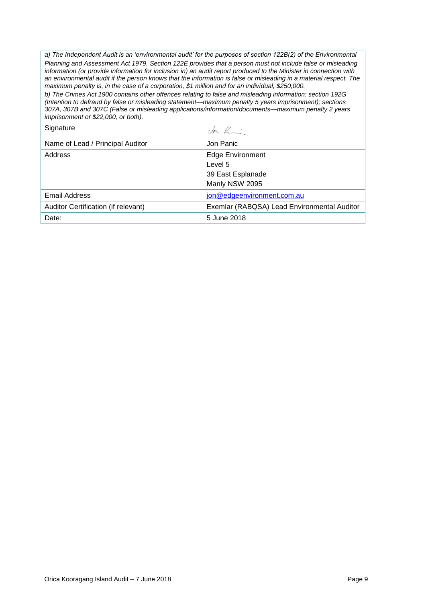*a) The Independent Audit is an 'environmental audit' for the purposes of section 122B(2) of the Environmental Planning and Assessment Act 1979. Section 122E provides that a person must not include false or misleading information (or provide information for inclusion in) an audit report produced to the Minister in connection with an environmental audit if the person knows that the information is false or misleading in a material respect. The maximum penalty is, in the case of a corporation, \$1 million and for an individual, \$250,000.*

*b) The Crimes Act 1900 contains other offences relating to false and misleading information: section 192G (Intention to defraud by false or misleading statement—maximum penalty 5 years imprisonment); sections 307A, 307B and 307C (False or misleading applications/information/documents—maximum penalty 2 years imprisonment or \$22,000, or both).*

| Signature                           | don R                                       |
|-------------------------------------|---------------------------------------------|
| Name of Lead / Principal Auditor    | Jon Panic                                   |
| Address                             | <b>Edge Environment</b>                     |
|                                     | Level 5                                     |
|                                     | 39 East Esplanade                           |
|                                     | Manly NSW 2095                              |
| <b>Email Address</b>                | jon@edgeenvironment.com.au                  |
| Auditor Certification (if relevant) | Exemlar (RABQSA) Lead Environmental Auditor |
| Date:                               | 5 June 2018                                 |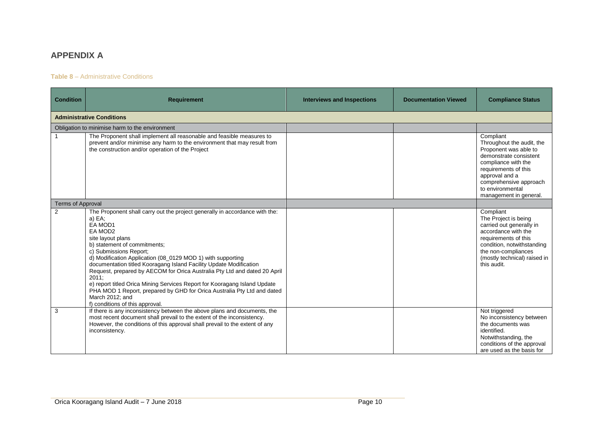## **APPENDIX A**

#### **Table 8** – Administrative Conditions

| <b>Condition</b>                 | <b>Requirement</b>                                                                                                                                                                                                                                                                                                                                                                                                                                                                                                                                                                                                                  | <b>Interviews and Inspections</b> | <b>Documentation Viewed</b> | <b>Compliance Status</b>                                                                                                                                                                                                           |  |
|----------------------------------|-------------------------------------------------------------------------------------------------------------------------------------------------------------------------------------------------------------------------------------------------------------------------------------------------------------------------------------------------------------------------------------------------------------------------------------------------------------------------------------------------------------------------------------------------------------------------------------------------------------------------------------|-----------------------------------|-----------------------------|------------------------------------------------------------------------------------------------------------------------------------------------------------------------------------------------------------------------------------|--|
| <b>Administrative Conditions</b> |                                                                                                                                                                                                                                                                                                                                                                                                                                                                                                                                                                                                                                     |                                   |                             |                                                                                                                                                                                                                                    |  |
|                                  | Obligation to minimise harm to the environment                                                                                                                                                                                                                                                                                                                                                                                                                                                                                                                                                                                      |                                   |                             |                                                                                                                                                                                                                                    |  |
|                                  | The Proponent shall implement all reasonable and feasible measures to<br>prevent and/or minimise any harm to the environment that may result from<br>the construction and/or operation of the Project                                                                                                                                                                                                                                                                                                                                                                                                                               |                                   |                             | Compliant<br>Throughout the audit, the<br>Proponent was able to<br>demonstrate consistent<br>compliance with the<br>requirements of this<br>approval and a<br>comprehensive approach<br>to environmental<br>management in general. |  |
| <b>Terms of Approval</b>         |                                                                                                                                                                                                                                                                                                                                                                                                                                                                                                                                                                                                                                     |                                   |                             |                                                                                                                                                                                                                                    |  |
| $\overline{2}$                   | The Proponent shall carry out the project generally in accordance with the:<br>a) EA;<br>EA MOD1<br>EA MOD2<br>site layout plans<br>b) statement of commitments;<br>c) Submissions Report;<br>d) Modification Application (08_0129 MOD 1) with supporting<br>documentation titled Kooragang Island Facility Update Modification<br>Request, prepared by AECOM for Orica Australia Pty Ltd and dated 20 April<br>2011;<br>e) report titled Orica Mining Services Report for Kooragang Island Update<br>PHA MOD 1 Report, prepared by GHD for Orica Australia Pty Ltd and dated<br>March 2012; and<br>f) conditions of this approval. |                                   |                             | Compliant<br>The Project is being<br>carried out generally in<br>accordance with the<br>requirements of this<br>condition, notwithstanding<br>the non-compliances<br>(mostly technical) raised in<br>this audit.                   |  |
| 3                                | If there is any inconsistency between the above plans and documents, the<br>most recent document shall prevail to the extent of the inconsistency.<br>However, the conditions of this approval shall prevail to the extent of any<br>inconsistency.                                                                                                                                                                                                                                                                                                                                                                                 |                                   |                             | Not triggered<br>No inconsistency between<br>the documents was<br>identified.<br>Notwithstanding, the<br>conditions of the approval<br>are used as the basis for                                                                   |  |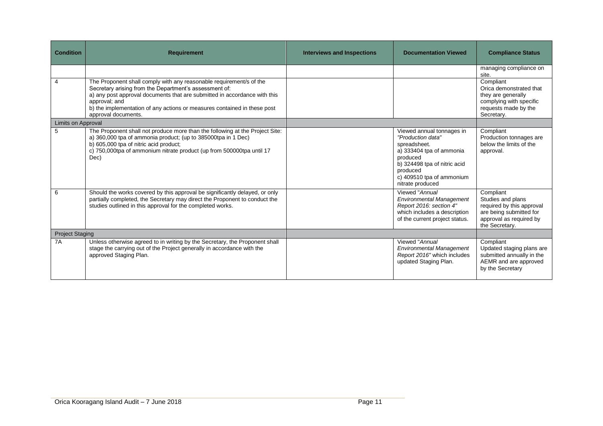| <b>Condition</b>       | <b>Requirement</b>                                                                                                                                                                                                                                                                                                             | <b>Interviews and Inspections</b> | <b>Documentation Viewed</b>                                                                                                                                                                         | <b>Compliance Status</b>                                                                                                            |
|------------------------|--------------------------------------------------------------------------------------------------------------------------------------------------------------------------------------------------------------------------------------------------------------------------------------------------------------------------------|-----------------------------------|-----------------------------------------------------------------------------------------------------------------------------------------------------------------------------------------------------|-------------------------------------------------------------------------------------------------------------------------------------|
|                        |                                                                                                                                                                                                                                                                                                                                |                                   |                                                                                                                                                                                                     | managing compliance on<br>site.                                                                                                     |
| 4                      | The Proponent shall comply with any reasonable requirement/s of the<br>Secretary arising from the Department's assessment of:<br>a) any post approval documents that are submitted in accordance with this<br>approval; and<br>b) the implementation of any actions or measures contained in these post<br>approval documents. |                                   |                                                                                                                                                                                                     | Compliant<br>Orica demonstrated that<br>they are generally<br>complying with specific<br>requests made by the<br>Secretary.         |
| Limits on Approval     |                                                                                                                                                                                                                                                                                                                                |                                   |                                                                                                                                                                                                     |                                                                                                                                     |
| 5                      | The Proponent shall not produce more than the following at the Project Site:<br>a) 360,000 tpa of ammonia product; (up to 385000tpa in 1 Dec)<br>b) 605,000 tpa of nitric acid product;<br>c) 750,000tpa of ammonium nitrate product (up from 500000tpa until 17<br>Dec)                                                       |                                   | Viewed annual tonnages in<br>"Production data"<br>spreadsheet.<br>a) 333404 tpa of ammonia<br>produced<br>b) 324498 tpa of nitric acid<br>produced<br>c) 409510 tpa of ammonium<br>nitrate produced | Compliant<br>Production tonnages are<br>below the limits of the<br>approval.                                                        |
| 6                      | Should the works covered by this approval be significantly delayed, or only<br>partially completed, the Secretary may direct the Proponent to conduct the<br>studies outlined in this approval for the completed works.                                                                                                        |                                   | Viewed "Annual<br><b>Environmental Management</b><br>Report 2016: section 4"<br>which includes a description<br>of the current project status.                                                      | Compliant<br>Studies and plans<br>required by this approval<br>are being submitted for<br>approval as required by<br>the Secretary. |
| <b>Project Staging</b> |                                                                                                                                                                                                                                                                                                                                |                                   |                                                                                                                                                                                                     |                                                                                                                                     |
| 7A                     | Unless otherwise agreed to in writing by the Secretary, the Proponent shall<br>stage the carrying out of the Project generally in accordance with the<br>approved Staging Plan.                                                                                                                                                |                                   | Viewed "Annual<br><b>Environmental Management</b><br>Report 2016" which includes<br>updated Staging Plan.                                                                                           | Compliant<br>Updated staging plans are<br>submitted annually in the<br>AEMR and are approved<br>by the Secretary                    |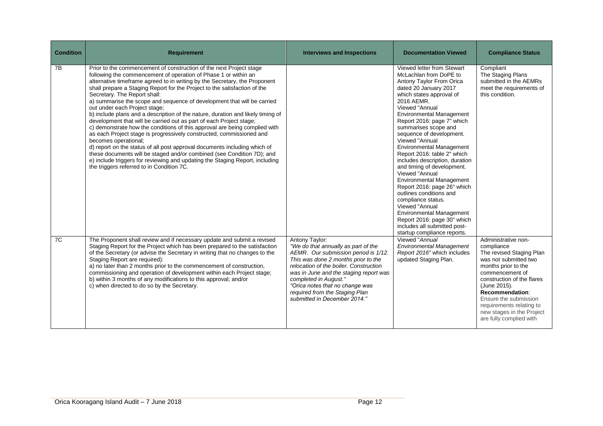| <b>Condition</b> | <b>Requirement</b>                                                                                                                                                                                                                                                                                                                                                                                                                                                                                                                                                                                                                                                                                                                                                                                                                                                                                                                                                                                                                                                        | <b>Interviews and Inspections</b>                                                                                                                                                                                                                                                                                                                      | <b>Documentation Viewed</b>                                                                                                                                                                                                                                                                                                                                                                                                                                                                                                                                                                                                                                                                                                            | <b>Compliance Status</b>                                                                                                                                                                                                                                                                                       |
|------------------|---------------------------------------------------------------------------------------------------------------------------------------------------------------------------------------------------------------------------------------------------------------------------------------------------------------------------------------------------------------------------------------------------------------------------------------------------------------------------------------------------------------------------------------------------------------------------------------------------------------------------------------------------------------------------------------------------------------------------------------------------------------------------------------------------------------------------------------------------------------------------------------------------------------------------------------------------------------------------------------------------------------------------------------------------------------------------|--------------------------------------------------------------------------------------------------------------------------------------------------------------------------------------------------------------------------------------------------------------------------------------------------------------------------------------------------------|----------------------------------------------------------------------------------------------------------------------------------------------------------------------------------------------------------------------------------------------------------------------------------------------------------------------------------------------------------------------------------------------------------------------------------------------------------------------------------------------------------------------------------------------------------------------------------------------------------------------------------------------------------------------------------------------------------------------------------------|----------------------------------------------------------------------------------------------------------------------------------------------------------------------------------------------------------------------------------------------------------------------------------------------------------------|
| 7B               | Prior to the commencement of construction of the next Project stage<br>following the commencement of operation of Phase 1 or within an<br>alternative timeframe agreed to in writing by the Secretary, the Proponent<br>shall prepare a Staging Report for the Project to the satisfaction of the<br>Secretary. The Report shall:<br>a) summarise the scope and sequence of development that will be carried<br>out under each Project stage;<br>b) include plans and a description of the nature, duration and likely timing of<br>development that will be carried out as part of each Project stage;<br>c) demonstrate how the conditions of this approval are being complied with<br>as each Project stage is progressively constructed, commissioned and<br>becomes operational;<br>d) report on the status of all post approval documents including which of<br>these documents will be staged and/or combined (see Condition 7D); and<br>e) include triggers for reviewing and updating the Staging Report, including<br>the triggers referred to in Condition 7C. |                                                                                                                                                                                                                                                                                                                                                        | Viewed letter from Stewart<br>McLachlan from DoPE to<br>Antony Taylor From Orica<br>dated 20 January 2017<br>which states approval of<br>2016 AEMR.<br>Viewed "Annual<br><b>Environmental Management</b><br>Report 2016: page 7" which<br>summarises scope and<br>sequence of development.<br>Viewed "Annual<br><b>Environmental Management</b><br>Report 2016: table 2" which<br>includes description, duration<br>and timing of development.<br>Viewed "Annual<br><b>Environmental Management</b><br>Report 2016: page 26" which<br>outlines conditions and<br>compliance status.<br>Viewed "Annual<br><b>Environmental Management</b><br>Report 2016: page 30" which<br>includes all submitted post-<br>startup compliance reports. | Compliant<br>The Staging Plans<br>submitted in the AEMRs<br>meet the requirements of<br>this condition.                                                                                                                                                                                                        |
| 7C               | The Proponent shall review and if necessary update and submit a revised<br>Staging Report for the Project which has been prepared to the satisfaction<br>of the Secretary (or advise the Secretary in writing that no changes to the<br>Staging Report are required):<br>a) no later than 2 months prior to the commencement of construction,<br>commissioning and operation of development within each Project stage;<br>b) within 3 months of any modifications to this approval; and/or<br>c) when directed to do so by the Secretary.                                                                                                                                                                                                                                                                                                                                                                                                                                                                                                                                 | Antony Taylor:<br>"We do that annually as part of the<br>AEMR. Our submission period is 1/12.<br>This was done 2 months prior to the<br>relocation of the boiler. Construction<br>was in June and the staging report was<br>completed in August."<br>"Orica notes that no change was<br>required from the Staging Plan<br>submitted in December 2014." | Viewed "Annual<br><b>Environmental Management</b><br>Report 2016" which includes<br>updated Staging Plan.                                                                                                                                                                                                                                                                                                                                                                                                                                                                                                                                                                                                                              | Administrative non-<br>compliance<br>The revised Staging Plan<br>was not submitted two<br>months prior to the<br>commencement of<br>construction of the flares<br>(June 2015).<br>Recommendation:<br>Ensure the submission<br>requirements relating to<br>new stages in the Project<br>are fully complied with |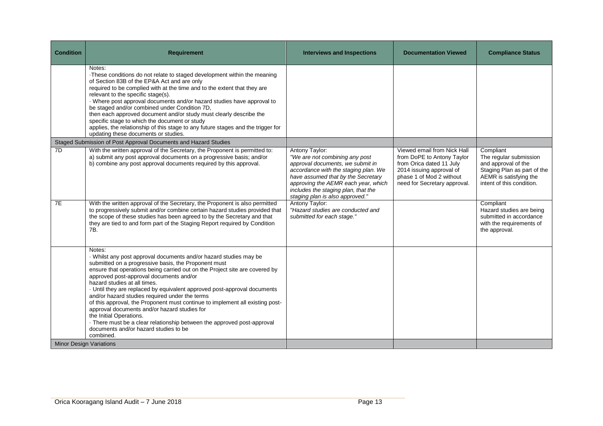| <b>Condition</b> | <b>Requirement</b>                                                                                                                                                                                                                                                                                                                                                                                                                                                                                                                                                                                                                                                                                                       | <b>Interviews and Inspections</b>                                                                                                                                                                                                                                                   | <b>Documentation Viewed</b>                                                                                                                                                   | <b>Compliance Status</b>                                                                                                                         |
|------------------|--------------------------------------------------------------------------------------------------------------------------------------------------------------------------------------------------------------------------------------------------------------------------------------------------------------------------------------------------------------------------------------------------------------------------------------------------------------------------------------------------------------------------------------------------------------------------------------------------------------------------------------------------------------------------------------------------------------------------|-------------------------------------------------------------------------------------------------------------------------------------------------------------------------------------------------------------------------------------------------------------------------------------|-------------------------------------------------------------------------------------------------------------------------------------------------------------------------------|--------------------------------------------------------------------------------------------------------------------------------------------------|
|                  | Notes:<br>·These conditions do not relate to staged development within the meaning<br>of Section 83B of the EP&A Act and are only<br>required to be complied with at the time and to the extent that they are<br>relevant to the specific stage(s).<br>· Where post approval documents and/or hazard studies have approval to<br>be staged and/or combined under Condition 7D,<br>then each approved document and/or study must clearly describe the<br>specific stage to which the document or study<br>applies, the relationship of this stage to any future stages and the trigger for<br>updating these documents or studies.                                                                                        |                                                                                                                                                                                                                                                                                     |                                                                                                                                                                               |                                                                                                                                                  |
|                  | Staged Submission of Post Approval Documents and Hazard Studies                                                                                                                                                                                                                                                                                                                                                                                                                                                                                                                                                                                                                                                          |                                                                                                                                                                                                                                                                                     |                                                                                                                                                                               |                                                                                                                                                  |
| 7D               | With the written approval of the Secretary, the Proponent is permitted to:<br>a) submit any post approval documents on a progressive basis; and/or<br>b) combine any post approval documents required by this approval.                                                                                                                                                                                                                                                                                                                                                                                                                                                                                                  | Antony Taylor:<br>"We are not combining any post<br>approval documents, we submit in<br>accordance with the staging plan. We<br>have assumed that by the Secretary<br>approving the AEMR each year, which<br>includes the staging plan, that the<br>staging plan is also approved." | Viewed email from Nick Hall<br>from DoPE to Antony Taylor<br>from Orica dated 11 July<br>2014 issuing approval of<br>phase 1 of Mod 2 without<br>need for Secretary approval. | Compliant<br>The regular submission<br>and approval of the<br>Staging Plan as part of the<br>AEMR is satisfying the<br>intent of this condition. |
| 7E               | With the written approval of the Secretary, the Proponent is also permitted<br>to progressively submit and/or combine certain hazard studies provided that<br>the scope of these studies has been agreed to by the Secretary and that<br>they are tied to and form part of the Staging Report required by Condition<br>7B.                                                                                                                                                                                                                                                                                                                                                                                               | Antony Taylor:<br>"Hazard studies are conducted and<br>submitted for each stage."                                                                                                                                                                                                   |                                                                                                                                                                               | Compliant<br>Hazard studies are being<br>submitted in accordance<br>with the requirements of<br>the approval.                                    |
|                  | Notes:<br>· Whilst any post approval documents and/or hazard studies may be<br>submitted on a progressive basis, the Proponent must<br>ensure that operations being carried out on the Project site are covered by<br>approved post-approval documents and/or<br>hazard studies at all times.<br>· Until they are replaced by equivalent approved post-approval documents<br>and/or hazard studies required under the terms<br>of this approval, the Proponent must continue to implement all existing post-<br>approval documents and/or hazard studies for<br>the Initial Operations.<br>- There must be a clear relationship between the approved post-approval<br>documents and/or hazard studies to be<br>combined. |                                                                                                                                                                                                                                                                                     |                                                                                                                                                                               |                                                                                                                                                  |
|                  | <b>Minor Design Variations</b>                                                                                                                                                                                                                                                                                                                                                                                                                                                                                                                                                                                                                                                                                           |                                                                                                                                                                                                                                                                                     |                                                                                                                                                                               |                                                                                                                                                  |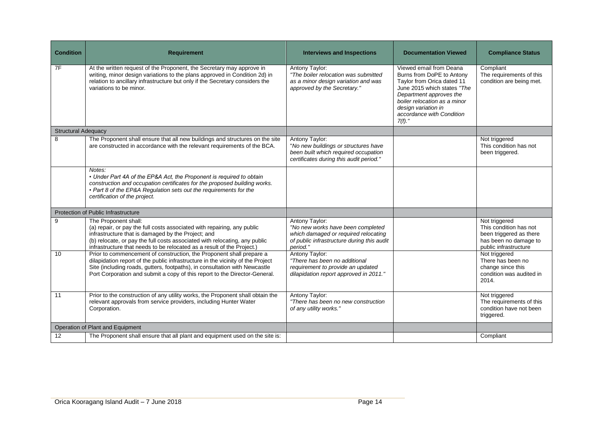| <b>Condition</b>           | <b>Requirement</b>                                                                                                                                                                                                                                                                                                  | <b>Interviews and Inspections</b>                                                                                                                     | <b>Documentation Viewed</b>                                                                                                                                                                                                                   | <b>Compliance Status</b>                                                                                             |
|----------------------------|---------------------------------------------------------------------------------------------------------------------------------------------------------------------------------------------------------------------------------------------------------------------------------------------------------------------|-------------------------------------------------------------------------------------------------------------------------------------------------------|-----------------------------------------------------------------------------------------------------------------------------------------------------------------------------------------------------------------------------------------------|----------------------------------------------------------------------------------------------------------------------|
| 7F                         | At the written request of the Proponent, the Secretary may approve in<br>writing, minor design variations to the plans approved in Condition 2d) in<br>relation to ancillary infrastructure but only if the Secretary considers the<br>variations to be minor.                                                      | Antony Taylor:<br>"The boiler relocation was submitted<br>as a minor design variation and was<br>approved by the Secretary."                          | Viewed email from Deana<br>Burns from DoPE to Antony<br>Taylor from Orica dated 11<br>June 2015 which states "The<br>Department approves the<br>boiler relocation as a minor<br>desian variation in<br>accordance with Condition<br>$7(f).$ " | Compliant<br>The requirements of this<br>condition are being met.                                                    |
| <b>Structural Adequacy</b> |                                                                                                                                                                                                                                                                                                                     |                                                                                                                                                       |                                                                                                                                                                                                                                               |                                                                                                                      |
| 8                          | The Proponent shall ensure that all new buildings and structures on the site<br>are constructed in accordance with the relevant requirements of the BCA.                                                                                                                                                            | Antony Taylor:<br>"No new buildings or structures have<br>been built which required occupation<br>certificates during this audit period."             |                                                                                                                                                                                                                                               | Not triggered<br>This condition has not<br>been triggered.                                                           |
|                            | Notes:<br>• Under Part 4A of the EP&A Act, the Proponent is required to obtain<br>construction and occupation certificates for the proposed building works.<br>• Part 8 of the EP&A Regulation sets out the requirements for the<br>certification of the project.                                                   |                                                                                                                                                       |                                                                                                                                                                                                                                               |                                                                                                                      |
|                            | Protection of Public Infrastructure                                                                                                                                                                                                                                                                                 |                                                                                                                                                       |                                                                                                                                                                                                                                               |                                                                                                                      |
| 9                          | The Proponent shall:<br>(a) repair, or pay the full costs associated with repairing, any public<br>infrastructure that is damaged by the Project; and<br>(b) relocate, or pay the full costs associated with relocating, any public<br>infrastructure that needs to be relocated as a result of the Project.)       | Antony Taylor:<br>"No new works have been completed<br>which damaged or required relocating<br>of public infrastructure during this audit<br>period." |                                                                                                                                                                                                                                               | Not triggered<br>This condition has not<br>been triggered as there<br>has been no damage to<br>public infrastructure |
| 10                         | Prior to commencement of construction, the Proponent shall prepare a<br>dilapidation report of the public infrastructure in the vicinity of the Project<br>Site (including roads, gutters, footpaths), in consultation with Newcastle<br>Port Corporation and submit a copy of this report to the Director-General. | Antony Taylor:<br>"There has been no additional<br>requirement to provide an updated<br>dilapidation report approved in 2011."                        |                                                                                                                                                                                                                                               | Not triggered<br>There has been no<br>change since this<br>condition was audited in<br>2014.                         |
| 11                         | Prior to the construction of any utility works, the Proponent shall obtain the<br>relevant approvals from service providers, including Hunter Water<br>Corporation.                                                                                                                                                 | Antony Taylor:<br>"There has been no new construction<br>of any utility works."                                                                       |                                                                                                                                                                                                                                               | Not triggered<br>The requirements of this<br>condition have not been<br>triggered.                                   |
|                            | Operation of Plant and Equipment                                                                                                                                                                                                                                                                                    |                                                                                                                                                       |                                                                                                                                                                                                                                               |                                                                                                                      |
| 12                         | The Proponent shall ensure that all plant and equipment used on the site is:                                                                                                                                                                                                                                        |                                                                                                                                                       |                                                                                                                                                                                                                                               | Compliant                                                                                                            |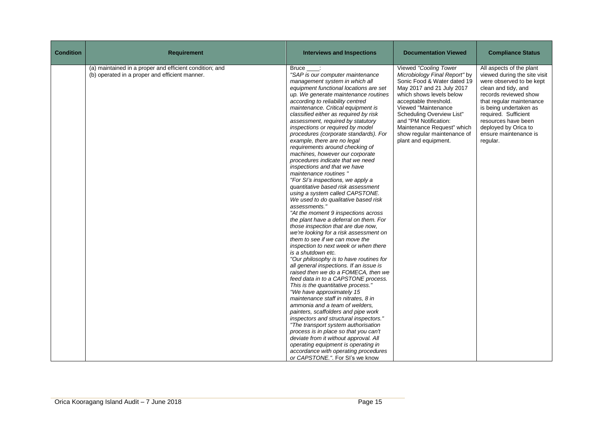| <b>Condition</b> | <b>Requirement</b>                                                                                        | <b>Interviews and Inspections</b>                                                                                                                                                                                                                                                                                                                                                                                                                                                                                                                                                                                                                                                                                                                                                                                                                                                                                                                                                                                                                                                                                                                                                                                                                                                                                                                                                                                                                                                                                                                                                                                                                                                            | <b>Documentation Viewed</b>                                                                                                                                                                                                                                                                                                               | <b>Compliance Status</b>                                                                                                                                                                                                                                                                               |
|------------------|-----------------------------------------------------------------------------------------------------------|----------------------------------------------------------------------------------------------------------------------------------------------------------------------------------------------------------------------------------------------------------------------------------------------------------------------------------------------------------------------------------------------------------------------------------------------------------------------------------------------------------------------------------------------------------------------------------------------------------------------------------------------------------------------------------------------------------------------------------------------------------------------------------------------------------------------------------------------------------------------------------------------------------------------------------------------------------------------------------------------------------------------------------------------------------------------------------------------------------------------------------------------------------------------------------------------------------------------------------------------------------------------------------------------------------------------------------------------------------------------------------------------------------------------------------------------------------------------------------------------------------------------------------------------------------------------------------------------------------------------------------------------------------------------------------------------|-------------------------------------------------------------------------------------------------------------------------------------------------------------------------------------------------------------------------------------------------------------------------------------------------------------------------------------------|--------------------------------------------------------------------------------------------------------------------------------------------------------------------------------------------------------------------------------------------------------------------------------------------------------|
|                  | (a) maintained in a proper and efficient condition; and<br>(b) operated in a proper and efficient manner. | Bruce :<br>"SAP is our computer maintenance<br>management system in which all<br>equipment functional locations are set<br>up. We generate maintenance routines<br>according to reliability centred<br>maintenance. Critical equipment is<br>classified either as required by risk<br>assessment, required by statutory<br>inspections or required by model<br>procedures (corporate standards). For<br>example, there are no legal<br>requirements around checking of<br>machines, however our corporate<br>procedures indicate that we need<br>inspections and that we have<br>maintenance routines "<br>"For SI's inspections, we apply a<br>quantitative based risk assessment<br>using a system called CAPSTONE.<br>We used to do qualitative based risk<br>assessments."<br>"At the moment 9 inspections across<br>the plant have a deferral on them. For<br>those inspection that are due now,<br>we're looking for a risk assessment on<br>them to see if we can move the<br>inspection to next week or when there<br>is a shutdown etc.<br>"Our philosophy is to have routines for<br>all general inspections. If an issue is<br>raised then we do a FOMECA, then we<br>feed data in to a CAPSTONE process.<br>This is the quantitative process."<br>"We have approximately 15<br>maintenance staff in nitrates, 8 in<br>ammonia and a team of welders,<br>painters, scaffolders and pipe work<br>inspectors and structural inspectors."<br>"The transport system authorisation<br>process is in place so that you can't<br>deviate from it without approval. All<br>operating equipment is operating in<br>accordance with operating procedures<br>or CAPSTONE.". For SI's we know | Viewed "Cooling Tower<br>Microbiology Final Report" by<br>Sonic Food & Water dated 19<br>May 2017 and 21 July 2017<br>which shows levels below<br>acceptable threshold.<br>Viewed "Maintenance<br>Scheduling Overview List"<br>and "PM Notification:<br>Maintenance Request" which<br>show regular maintenance of<br>plant and equipment. | All aspects of the plant<br>viewed during the site visit<br>were observed to be kept<br>clean and tidy, and<br>records reviewed show<br>that regular maintenance<br>is being undertaken as<br>required. Sufficient<br>resources have been<br>deployed by Orica to<br>ensure maintenance is<br>regular. |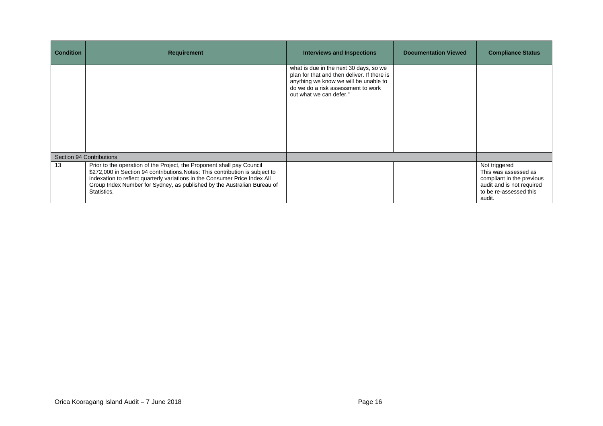| <b>Condition</b> | <b>Requirement</b>                                                                                                                                                                                                                                                                                                              | Interviews and Inspections                                                                                                                                                                      | <b>Documentation Viewed</b> | <b>Compliance Status</b>                                                                                                            |
|------------------|---------------------------------------------------------------------------------------------------------------------------------------------------------------------------------------------------------------------------------------------------------------------------------------------------------------------------------|-------------------------------------------------------------------------------------------------------------------------------------------------------------------------------------------------|-----------------------------|-------------------------------------------------------------------------------------------------------------------------------------|
|                  |                                                                                                                                                                                                                                                                                                                                 | what is due in the next 30 days, so we<br>plan for that and then deliver. If there is<br>anything we know we will be unable to<br>do we do a risk assessment to work<br>out what we can defer." |                             |                                                                                                                                     |
|                  | Section 94 Contributions                                                                                                                                                                                                                                                                                                        |                                                                                                                                                                                                 |                             |                                                                                                                                     |
| 13               | Prior to the operation of the Project, the Proponent shall pay Council<br>\$272,000 in Section 94 contributions. Notes: This contribution is subject to<br>indexation to reflect quarterly variations in the Consumer Price Index All<br>Group Index Number for Sydney, as published by the Australian Bureau of<br>Statistics. |                                                                                                                                                                                                 |                             | Not triggered<br>This was assessed as<br>compliant in the previous<br>audit and is not required<br>to be re-assessed this<br>audit. |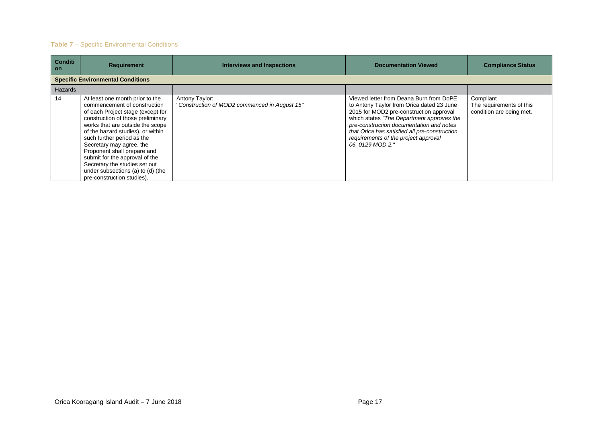## **Table 7** – Specific Environmental Conditions

| <b>Conditi</b><br><b>on</b> | <b>Requirement</b>                                                                                                                                                                                                                                                                                                                                                                                                                                | <b>Interviews and Inspections</b>                               | <b>Documentation Viewed</b>                                                                                                                                                                                                                                                                                                          | <b>Compliance Status</b>                                          |
|-----------------------------|---------------------------------------------------------------------------------------------------------------------------------------------------------------------------------------------------------------------------------------------------------------------------------------------------------------------------------------------------------------------------------------------------------------------------------------------------|-----------------------------------------------------------------|--------------------------------------------------------------------------------------------------------------------------------------------------------------------------------------------------------------------------------------------------------------------------------------------------------------------------------------|-------------------------------------------------------------------|
|                             | <b>Specific Environmental Conditions</b>                                                                                                                                                                                                                                                                                                                                                                                                          |                                                                 |                                                                                                                                                                                                                                                                                                                                      |                                                                   |
| <b>Hazards</b>              |                                                                                                                                                                                                                                                                                                                                                                                                                                                   |                                                                 |                                                                                                                                                                                                                                                                                                                                      |                                                                   |
| 14                          | At least one month prior to the<br>commencement of construction<br>of each Project stage (except for<br>construction of those preliminary<br>works that are outside the scope<br>of the hazard studies), or within<br>such further period as the<br>Secretary may agree, the<br>Proponent shall prepare and<br>submit for the approval of the<br>Secretary the studies set out<br>under subsections (a) to (d) (the<br>pre-construction studies). | Antony Taylor:<br>"Construction of MOD2 commenced in August 15" | Viewed letter from Deana Burn from DoPE<br>to Antony Taylor from Orica dated 23 June<br>2015 for MOD2 pre-construction approval<br>which states "The Department approves the<br>pre-construction documentation and notes<br>that Orica has satisfied all pre-construction<br>requirements of the project approval<br>06 0129 MOD 2." | Compliant<br>The requirements of this<br>condition are being met. |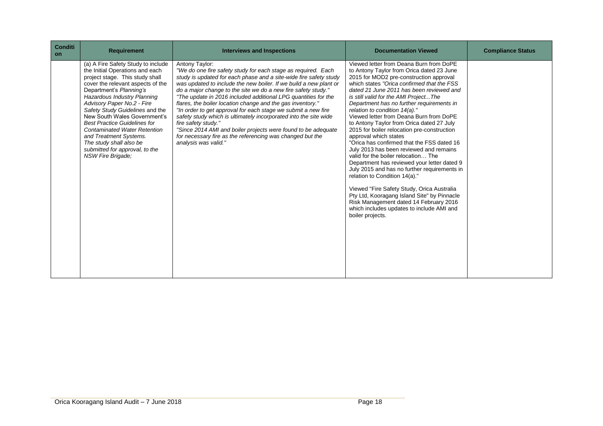| <b>Conditi</b><br><b>on</b> | <b>Requirement</b>                                                                                                                                                                                                                                                                                                                                                                                                                                                                                 | <b>Interviews and Inspections</b>                                                                                                                                                                                                                                                                                                                                                                                                                                                                                                                                                                                                                                                                                                            | <b>Documentation Viewed</b>                                                                                                                                                                                                                                                                                                                                                                                                                                                                                                                                                                                                                                                                                                                                                                                                                                                                                                                                                               | <b>Compliance Status</b> |
|-----------------------------|----------------------------------------------------------------------------------------------------------------------------------------------------------------------------------------------------------------------------------------------------------------------------------------------------------------------------------------------------------------------------------------------------------------------------------------------------------------------------------------------------|----------------------------------------------------------------------------------------------------------------------------------------------------------------------------------------------------------------------------------------------------------------------------------------------------------------------------------------------------------------------------------------------------------------------------------------------------------------------------------------------------------------------------------------------------------------------------------------------------------------------------------------------------------------------------------------------------------------------------------------------|-------------------------------------------------------------------------------------------------------------------------------------------------------------------------------------------------------------------------------------------------------------------------------------------------------------------------------------------------------------------------------------------------------------------------------------------------------------------------------------------------------------------------------------------------------------------------------------------------------------------------------------------------------------------------------------------------------------------------------------------------------------------------------------------------------------------------------------------------------------------------------------------------------------------------------------------------------------------------------------------|--------------------------|
|                             | (a) A Fire Safety Study to include<br>the Initial Operations and each<br>project stage. This study shall<br>cover the relevant aspects of the<br>Department's Planning's<br>Hazardous Industry Planning<br>Advisory Paper No.2 - Fire<br>Safety Study Guidelines and the<br>New South Wales Government's<br><b>Best Practice Guidelines for</b><br><b>Contaminated Water Retention</b><br>and Treatment Systems.<br>The study shall also be<br>submitted for approval, to the<br>NSW Fire Brigade: | Antony Taylor:<br>"We do one fire safety study for each stage as required. Each<br>study is updated for each phase and a site-wide fire safety study<br>was updated to include the new boiler. If we build a new plant or<br>do a major change to the site we do a new fire safety study."<br>"The update in 2016 included additional LPG quantities for the<br>flares, the boiler location change and the gas inventory."<br>"In order to get approval for each stage we submit a new fire<br>safety study which is ultimately incorporated into the site wide<br>fire safety study."<br>"Since 2014 AMI and boiler projects were found to be adequate<br>for necessary fire as the referencing was changed but the<br>analysis was valid." | Viewed letter from Deana Burn from DoPE<br>to Antony Taylor from Orica dated 23 June<br>2015 for MOD2 pre-construction approval<br>which states "Orica confirmed that the FSS"<br>dated 21 June 2011 has been reviewed and<br>is still valid for the AMI ProjectThe<br>Department has no further requirements in<br>relation to condition 14(a)."<br>Viewed letter from Deana Burn from DoPE<br>to Antony Taylor from Orica dated 27 July<br>2015 for boiler relocation pre-construction<br>approval which states<br>"Orica has confirmed that the FSS dated 16<br>July 2013 has been reviewed and remains<br>valid for the boiler relocation The<br>Department has reviewed your letter dated 9<br>July 2015 and has no further requirements in<br>relation to Condition 14(a)."<br>Viewed "Fire Safety Study, Orica Australia<br>Pty Ltd, Kooragang Island Site" by Pinnacle<br>Risk Management dated 14 February 2016<br>which includes updates to include AMI and<br>boiler projects. |                          |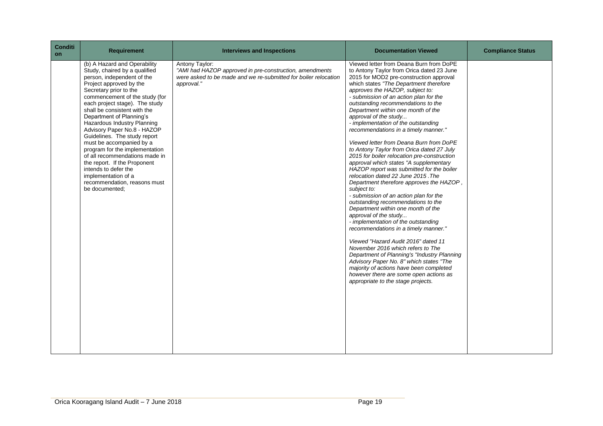| <b>Conditi</b><br>on | <b>Requirement</b>                                                                                                                                                                                                                                                                                                                                                                                                                                                                                                                                                                                              | <b>Interviews and Inspections</b>                                                                                                                          | <b>Documentation Viewed</b>                                                                                                                                                                                                                                                                                                                                                                                                                                                                                                                                                                                                                                                                                                                                                                                                                                                                                                                                                                                                                                                                                                                                                                                                                                                                              | <b>Compliance Status</b> |
|----------------------|-----------------------------------------------------------------------------------------------------------------------------------------------------------------------------------------------------------------------------------------------------------------------------------------------------------------------------------------------------------------------------------------------------------------------------------------------------------------------------------------------------------------------------------------------------------------------------------------------------------------|------------------------------------------------------------------------------------------------------------------------------------------------------------|----------------------------------------------------------------------------------------------------------------------------------------------------------------------------------------------------------------------------------------------------------------------------------------------------------------------------------------------------------------------------------------------------------------------------------------------------------------------------------------------------------------------------------------------------------------------------------------------------------------------------------------------------------------------------------------------------------------------------------------------------------------------------------------------------------------------------------------------------------------------------------------------------------------------------------------------------------------------------------------------------------------------------------------------------------------------------------------------------------------------------------------------------------------------------------------------------------------------------------------------------------------------------------------------------------|--------------------------|
|                      | (b) A Hazard and Operability<br>Study, chaired by a qualified<br>person, independent of the<br>Project approved by the<br>Secretary prior to the<br>commencement of the study (for<br>each project stage). The study<br>shall be consistent with the<br>Department of Planning's<br>Hazardous Industry Planning<br>Advisory Paper No.8 - HAZOP<br>Guidelines. The study report<br>must be accompanied by a<br>program for the implementation<br>of all recommendations made in<br>the report. If the Proponent<br>intends to defer the<br>implementation of a<br>recommendation, reasons must<br>be documented; | Antony Taylor:<br>"AMI had HAZOP approved in pre-construction, amendments<br>were asked to be made and we re-submitted for boiler relocation<br>approval." | Viewed letter from Deana Burn from DoPE<br>to Antony Taylor from Orica dated 23 June<br>2015 for MOD2 pre-construction approval<br>which states "The Department therefore<br>approves the HAZOP, subject to:<br>- submission of an action plan for the<br>outstanding recommendations to the<br>Department within one month of the<br>approval of the study<br>- implementation of the outstanding<br>recommendations in a timely manner."<br>Viewed letter from Deana Burn from DoPE<br>to Antony Taylor from Orica dated 27 July<br>2015 for boiler relocation pre-construction<br>approval which states "A supplementary<br>HAZOP report was submitted for the boiler<br>relocation dated 22 June 2015. The<br>Department therefore approves the HAZOP,<br>subject to:<br>- submission of an action plan for the<br>outstanding recommendations to the<br>Department within one month of the<br>approval of the study<br>- implementation of the outstanding<br>recommendations in a timely manner."<br>Viewed "Hazard Audit 2016" dated 11<br>November 2016 which refers to The<br>Department of Planning's "Industry Planning<br>Advisory Paper No. 8" which states "The<br>majority of actions have been completed<br>however there are some open actions as<br>appropriate to the stage projects. |                          |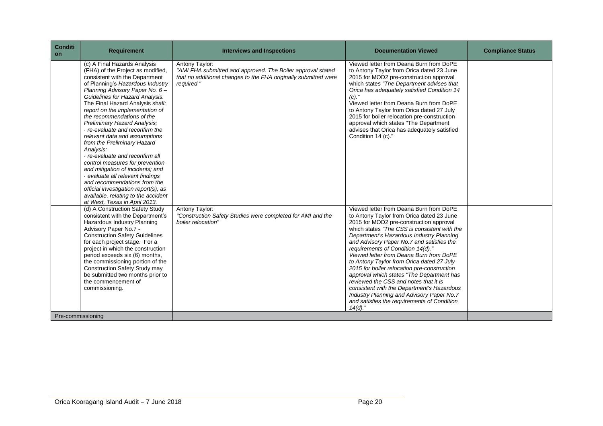| <b>Conditi</b><br>on | <b>Requirement</b>                                                                                                                                                                                                                                                                                                                                                                                                                                                                                                                                                                                                                                                                                                                                              | <b>Interviews and Inspections</b>                                                                                                                             | <b>Documentation Viewed</b>                                                                                                                                                                                                                                                                                                                                                                                                                                                                                                                                                                                                                                                                        | <b>Compliance Status</b> |
|----------------------|-----------------------------------------------------------------------------------------------------------------------------------------------------------------------------------------------------------------------------------------------------------------------------------------------------------------------------------------------------------------------------------------------------------------------------------------------------------------------------------------------------------------------------------------------------------------------------------------------------------------------------------------------------------------------------------------------------------------------------------------------------------------|---------------------------------------------------------------------------------------------------------------------------------------------------------------|----------------------------------------------------------------------------------------------------------------------------------------------------------------------------------------------------------------------------------------------------------------------------------------------------------------------------------------------------------------------------------------------------------------------------------------------------------------------------------------------------------------------------------------------------------------------------------------------------------------------------------------------------------------------------------------------------|--------------------------|
|                      | (c) A Final Hazards Analysis<br>(FHA) of the Project as modified,<br>consistent with the Department<br>of Planning's Hazardous Industry<br>Planning Advisory Paper No. 6-<br>Guidelines for Hazard Analysis.<br>The Final Hazard Analysis shall:<br>report on the implementation of<br>the recommendations of the<br>Preliminary Hazard Analysis;<br>· re-evaluate and reconfirm the<br>relevant data and assumptions<br>from the Preliminary Hazard<br>Analysis:<br>· re-evaluate and reconfirm all<br>control measures for prevention<br>and mitigation of incidents; and<br>· evaluate all relevant findings<br>and recommendations from the<br>official investigation report(s), as<br>available, relating to the accident<br>at West, Texas in April 2013. | Antony Taylor:<br>"AMI FHA submitted and approved. The Boiler approval stated<br>that no additional changes to the FHA originally submitted were<br>required" | Viewed letter from Deana Burn from DoPE<br>to Antony Taylor from Orica dated 23 June<br>2015 for MOD2 pre-construction approval<br>which states "The Department advises that<br>Orica has adequately satisfied Condition 14<br>$(c)$ ."<br>Viewed letter from Deana Burn from DoPE<br>to Antony Taylor from Orica dated 27 July<br>2015 for boiler relocation pre-construction<br>approval which states "The Department<br>advises that Orica has adequately satisfied<br>Condition 14 (c)."                                                                                                                                                                                                       |                          |
|                      | (d) A Construction Safety Study<br>consistent with the Department's<br>Hazardous Industry Planning<br>Advisory Paper No.7 -<br><b>Construction Safety Guidelines</b><br>for each project stage. For a<br>project in which the construction<br>period exceeds six (6) months,<br>the commissioning portion of the<br><b>Construction Safety Study may</b><br>be submitted two months prior to<br>the commencement of<br>commissioning.                                                                                                                                                                                                                                                                                                                           | Antony Taylor:<br>"Construction Safety Studies were completed for AMI and the<br>boiler relocation"                                                           | Viewed letter from Deana Burn from DoPE<br>to Antony Taylor from Orica dated 23 June<br>2015 for MOD2 pre-construction approval<br>which states "The CSS is consistent with the<br>Department's Hazardous Industry Planning<br>and Advisory Paper No.7 and satisfies the<br>requirements of Condition 14(d)."<br>Viewed letter from Deana Burn from DoPE<br>to Antony Taylor from Orica dated 27 July<br>2015 for boiler relocation pre-construction<br>approval which states "The Department has<br>reviewed the CSS and notes that it is<br>consistent with the Department's Hazardous<br>Industry Planning and Advisory Paper No.7<br>and satisfies the requirements of Condition<br>$14(d)$ ." |                          |
| Pre-commissioning    |                                                                                                                                                                                                                                                                                                                                                                                                                                                                                                                                                                                                                                                                                                                                                                 |                                                                                                                                                               |                                                                                                                                                                                                                                                                                                                                                                                                                                                                                                                                                                                                                                                                                                    |                          |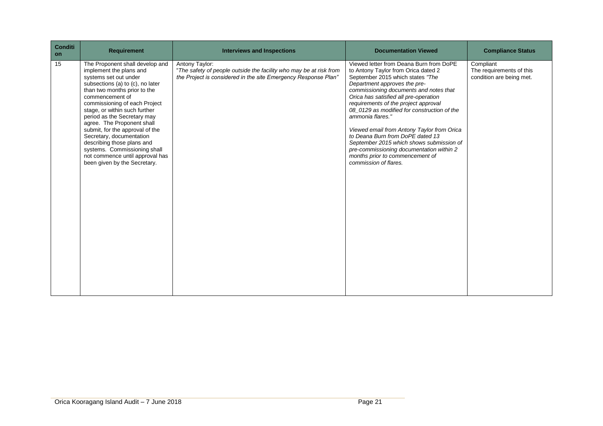| <b>Conditi</b><br><b>on</b> | <b>Requirement</b>                                                                                                                                                                                                                                                                                                                                                                                                                                                                                        | <b>Interviews and Inspections</b>                                                                                                                      | <b>Documentation Viewed</b>                                                                                                                                                                                                                                                                                                                                                                                                                                                                                                                                                            | <b>Compliance Status</b>                                          |
|-----------------------------|-----------------------------------------------------------------------------------------------------------------------------------------------------------------------------------------------------------------------------------------------------------------------------------------------------------------------------------------------------------------------------------------------------------------------------------------------------------------------------------------------------------|--------------------------------------------------------------------------------------------------------------------------------------------------------|----------------------------------------------------------------------------------------------------------------------------------------------------------------------------------------------------------------------------------------------------------------------------------------------------------------------------------------------------------------------------------------------------------------------------------------------------------------------------------------------------------------------------------------------------------------------------------------|-------------------------------------------------------------------|
| 15                          | The Proponent shall develop and<br>implement the plans and<br>systems set out under<br>subsections (a) to (c), no later<br>than two months prior to the<br>commencement of<br>commissioning of each Project<br>stage, or within such further<br>period as the Secretary may<br>agree. The Proponent shall<br>submit, for the approval of the<br>Secretary, documentation<br>describing those plans and<br>systems. Commissioning shall<br>not commence until approval has<br>been given by the Secretary. | Antony Taylor:<br>"The safety of people outside the facility who may be at risk from<br>the Project is considered in the site Emergency Response Plan" | Viewed letter from Deana Burn from DoPE<br>to Antony Taylor from Orica dated 2<br>September 2015 which states "The<br>Department approves the pre-<br>commissioning documents and notes that<br>Orica has satisfied all pre-operation<br>requirements of the project approval<br>08 0129 as modified for construction of the<br>ammonia flares."<br>Viewed email from Antony Taylor from Orica<br>to Deana Burn from DoPE dated 13<br>September 2015 which shows submission of<br>pre-commissioning documentation within 2<br>months prior to commencement of<br>commission of flares. | Compliant<br>The requirements of this<br>condition are being met. |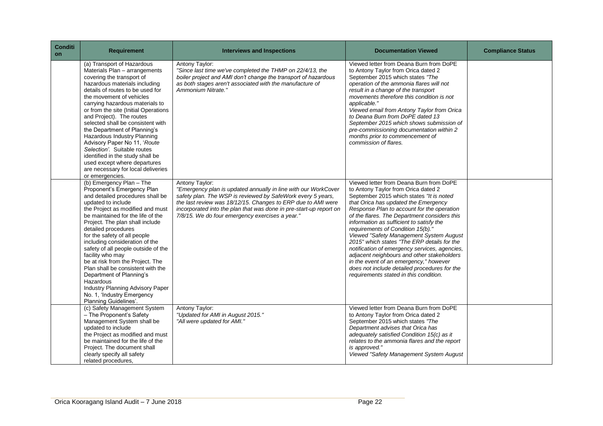| Conditi<br><b>on</b> | <b>Requirement</b>                                                                                                                                                                                                                                                                                                                                                                                                                                                                                                                                                                               | <b>Interviews and Inspections</b>                                                                                                                                                                                                                                                                                                        | <b>Documentation Viewed</b>                                                                                                                                                                                                                                                                                                                                                                                                                                                                                                                                                                                                                                                    | <b>Compliance Status</b> |
|----------------------|--------------------------------------------------------------------------------------------------------------------------------------------------------------------------------------------------------------------------------------------------------------------------------------------------------------------------------------------------------------------------------------------------------------------------------------------------------------------------------------------------------------------------------------------------------------------------------------------------|------------------------------------------------------------------------------------------------------------------------------------------------------------------------------------------------------------------------------------------------------------------------------------------------------------------------------------------|--------------------------------------------------------------------------------------------------------------------------------------------------------------------------------------------------------------------------------------------------------------------------------------------------------------------------------------------------------------------------------------------------------------------------------------------------------------------------------------------------------------------------------------------------------------------------------------------------------------------------------------------------------------------------------|--------------------------|
|                      | (a) Transport of Hazardous<br>Materials Plan - arrangements<br>covering the transport of<br>hazardous materials including<br>details of routes to be used for<br>the movement of vehicles<br>carrying hazardous materials to<br>or from the site (Initial Operations<br>and Project). The routes<br>selected shall be consistent with<br>the Department of Planning's<br>Hazardous Industry Planning<br>Advisory Paper No 11, 'Route<br>Selection'. Suitable routes<br>identified in the study shall be<br>used except where departures<br>are necessary for local deliveries<br>or emergencies. | Antony Taylor:<br>"Since last time we've completed the THMP on 22/4/13, the<br>boiler project and AMI don't change the transport of hazardous<br>as both stages aren't associated with the manufacture of<br>Ammonium Nitrate."                                                                                                          | Viewed letter from Deana Burn from DoPE<br>to Antony Taylor from Orica dated 2<br>September 2015 which states "The<br>operation of the ammonia flares will not<br>result in a change of the transport<br>movements therefore this condition is not<br>applicable."<br>Viewed email from Antony Taylor from Orica<br>to Deana Burn from DoPE dated 13<br>September 2015 which shows submission of<br>pre-commissioning documentation within 2<br>months prior to commencement of<br>commission of flares.                                                                                                                                                                       |                          |
|                      | (b) Emergency Plan - The<br>Proponent's Emergency Plan<br>and detailed procedures shall be<br>updated to include<br>the Project as modified and must<br>be maintained for the life of the<br>Project. The plan shall include<br>detailed procedures<br>for the safety of all people<br>including consideration of the<br>safety of all people outside of the<br>facility who may<br>be at risk from the Project. The<br>Plan shall be consistent with the<br>Department of Planning's<br>Hazardous<br>Industry Planning Advisory Paper<br>No. 1, 'Industry Emergency<br>Planning Guidelines'.    | Antony Taylor:<br>"Emergency plan is updated annually in line with our WorkCover<br>safety plan. The WSP is reviewed by SafeWork every 5 years,<br>the last review was 18/12/15. Changes to ERP due to AMI were<br>incorporated into the plan that was done in pre-start-up report on<br>7/8/15. We do four emergency exercises a year." | Viewed letter from Deana Burn from DoPE<br>to Antony Taylor from Orica dated 2<br>September 2015 which states "It is noted<br>that Orica has updated the Emergency<br>Response Plan to account for the operation<br>of the flares. The Department considers this<br>information as sufficient to satisfy the<br>requirements of Condition 15(b)."<br>Viewed "Safety Management System August<br>2015" which states "The ERP details for the<br>notification of emergency services, agencies,<br>adjacent neighbours and other stakeholders<br>in the event of an emergency," however<br>does not include detailed procedures for the<br>requirements stated in this condition. |                          |
|                      | (c) Safety Management System<br>- The Proponent's Safety<br>Management System shall be<br>updated to include<br>the Project as modified and must<br>be maintained for the life of the<br>Project. The document shall<br>clearly specify all safety<br>related procedures,                                                                                                                                                                                                                                                                                                                        | Antony Taylor:<br>"Updated for AMI in August 2015."<br>"All were updated for AMI."                                                                                                                                                                                                                                                       | Viewed letter from Deana Burn from DoPE<br>to Antony Taylor from Orica dated 2<br>September 2015 which states "The<br>Department advises that Orica has<br>adequately satisfied Condition 15(c) as it<br>relates to the ammonia flares and the report<br>is approved."<br>Viewed "Safety Management System August                                                                                                                                                                                                                                                                                                                                                              |                          |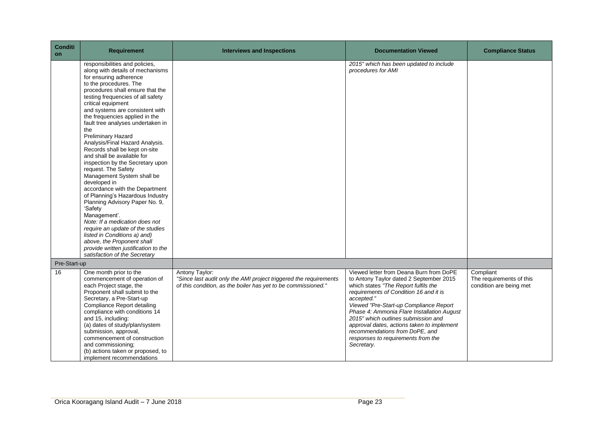| <b>Conditi</b><br>on | <b>Requirement</b>                                                                                                                                                                                                                                                                                                                                                                                                                                                                                                                                                                                                                                                                                                                                                                                                                                                                                                             | <b>Interviews and Inspections</b>                                                                                                                    |                                                                                                                                                                                                                                                                                                                                                                                                                                                       | <b>Compliance Status</b>                                         |
|----------------------|--------------------------------------------------------------------------------------------------------------------------------------------------------------------------------------------------------------------------------------------------------------------------------------------------------------------------------------------------------------------------------------------------------------------------------------------------------------------------------------------------------------------------------------------------------------------------------------------------------------------------------------------------------------------------------------------------------------------------------------------------------------------------------------------------------------------------------------------------------------------------------------------------------------------------------|------------------------------------------------------------------------------------------------------------------------------------------------------|-------------------------------------------------------------------------------------------------------------------------------------------------------------------------------------------------------------------------------------------------------------------------------------------------------------------------------------------------------------------------------------------------------------------------------------------------------|------------------------------------------------------------------|
|                      | responsibilities and policies,<br>along with details of mechanisms<br>for ensuring adherence<br>to the procedures. The<br>procedures shall ensure that the<br>testing frequencies of all safety<br>critical equipment<br>and systems are consistent with<br>the frequencies applied in the<br>fault tree analyses undertaken in<br>the<br><b>Preliminary Hazard</b><br>Analysis/Final Hazard Analysis.<br>Records shall be kept on-site<br>and shall be available for<br>inspection by the Secretary upon<br>request. The Safety<br>Management System shall be<br>developed in<br>accordance with the Department<br>of Planning's Hazardous Industry<br>Planning Advisory Paper No. 9,<br>'Safety<br>Management'.<br>Note: If a medication does not<br>require an update of the studies<br>listed in Conditions a) and)<br>above, the Proponent shall<br>provide written justification to the<br>satisfaction of the Secretary |                                                                                                                                                      | 2015" which has been updated to include<br>procedures for AMI                                                                                                                                                                                                                                                                                                                                                                                         |                                                                  |
| Pre-Start-up         |                                                                                                                                                                                                                                                                                                                                                                                                                                                                                                                                                                                                                                                                                                                                                                                                                                                                                                                                |                                                                                                                                                      |                                                                                                                                                                                                                                                                                                                                                                                                                                                       |                                                                  |
| 16                   | One month prior to the<br>commencement of operation of<br>each Project stage, the<br>Proponent shall submit to the<br>Secretary, a Pre-Start-up<br>Compliance Report detailing<br>compliance with conditions 14<br>and 15, including:<br>(a) dates of study/plan/system<br>submission, approval,<br>commencement of construction<br>and commissioning;<br>(b) actions taken or proposed, to<br>implement recommendations                                                                                                                                                                                                                                                                                                                                                                                                                                                                                                       | Antony Taylor:<br>"Since last audit only the AMI project triggered the requirements<br>of this condition, as the boiler has yet to be commissioned." | Viewed letter from Deana Burn from DoPE<br>to Antony Taylor dated 2 September 2015<br>which states "The Report fulfils the<br>requirements of Condition 16 and it is<br>accepted."<br>Viewed "Pre-Start-up Compliance Report<br>Phase 4: Ammonia Flare Installation August<br>2015" which outlines submission and<br>approval dates, actions taken to implement<br>recommendations from DoPE, and<br>responses to requirements from the<br>Secretary. | Compliant<br>The requirements of this<br>condition are being met |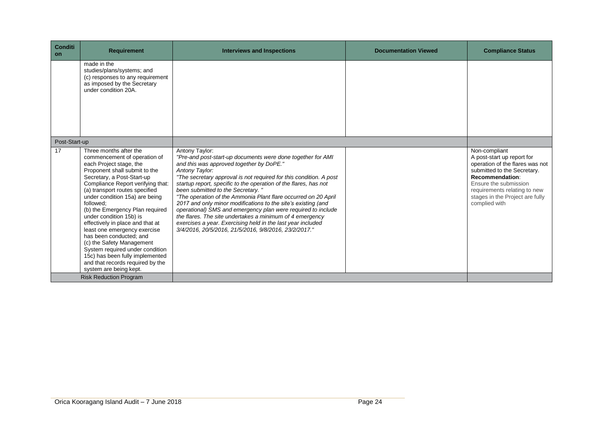| <b>Conditi</b><br>on | <b>Requirement</b>                                                                                                                                                                                                                                                                                                                                                                                                                                                                                                                                                                                   | <b>Interviews and Inspections</b>                                                                                                                                                                                                                                                                                                                                                                                                                                                                                                                                                                                                                                                                                 | <b>Documentation Viewed</b> | <b>Compliance Status</b>                                                                                                                                                                                                                      |
|----------------------|------------------------------------------------------------------------------------------------------------------------------------------------------------------------------------------------------------------------------------------------------------------------------------------------------------------------------------------------------------------------------------------------------------------------------------------------------------------------------------------------------------------------------------------------------------------------------------------------------|-------------------------------------------------------------------------------------------------------------------------------------------------------------------------------------------------------------------------------------------------------------------------------------------------------------------------------------------------------------------------------------------------------------------------------------------------------------------------------------------------------------------------------------------------------------------------------------------------------------------------------------------------------------------------------------------------------------------|-----------------------------|-----------------------------------------------------------------------------------------------------------------------------------------------------------------------------------------------------------------------------------------------|
|                      | made in the<br>studies/plans/systems; and<br>(c) responses to any requirement<br>as imposed by the Secretary<br>under condition 20A.                                                                                                                                                                                                                                                                                                                                                                                                                                                                 |                                                                                                                                                                                                                                                                                                                                                                                                                                                                                                                                                                                                                                                                                                                   |                             |                                                                                                                                                                                                                                               |
| Post-Start-up        |                                                                                                                                                                                                                                                                                                                                                                                                                                                                                                                                                                                                      |                                                                                                                                                                                                                                                                                                                                                                                                                                                                                                                                                                                                                                                                                                                   |                             |                                                                                                                                                                                                                                               |
| 17                   | Three months after the<br>commencement of operation of<br>each Project stage, the<br>Proponent shall submit to the<br>Secretary, a Post-Start-up<br>Compliance Report verifying that:<br>(a) transport routes specified<br>under condition 15a) are being<br>followed:<br>(b) the Emergency Plan required<br>under condition 15b) is<br>effectively in place and that at<br>least one emergency exercise<br>has been conducted; and<br>(c) the Safety Management<br>System required under condition<br>15c) has been fully implemented<br>and that records required by the<br>system are being kept. | Antony Taylor:<br>"Pre-and post-start-up documents were done together for AMI<br>and this was approved together by DoPE."<br>Antony Taylor:<br>"The secretary approval is not required for this condition. A post<br>startup report, specific to the operation of the flares, has not<br>been submitted to the Secretary."<br>"The operation of the Ammonia Plant flare occurred on 20 April<br>2017 and only minor modifications to the site's existing (and<br>operational) SMS and emergency plan were required to include<br>the flares. The site undertakes a minimum of 4 emergency<br>exercises a year. Exercising held in the last year included<br>3/4/2016, 20/5/2016, 21/5/2016, 9/8/2016, 23/2/2017." |                             | Non-compliant<br>A post-start up report for<br>operation of the flares was not<br>submitted to the Secretary.<br>Recommendation:<br>Ensure the submission<br>requirements relating to new<br>stages in the Project are fully<br>complied with |
|                      | <b>Risk Reduction Program</b>                                                                                                                                                                                                                                                                                                                                                                                                                                                                                                                                                                        |                                                                                                                                                                                                                                                                                                                                                                                                                                                                                                                                                                                                                                                                                                                   |                             |                                                                                                                                                                                                                                               |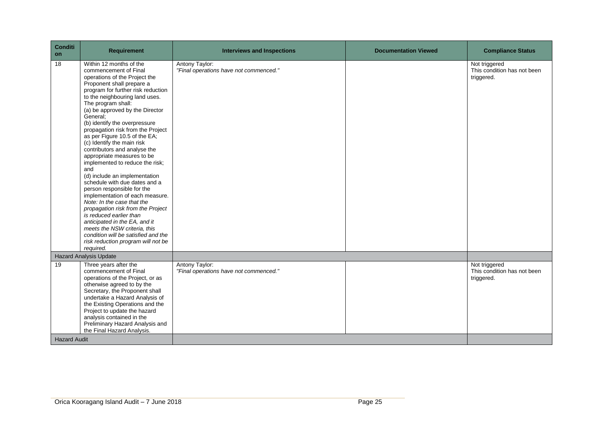| <b>Conditi</b><br>on | <b>Requirement</b>                                                                                                                                                                                                                                                                                                                                                                                                                                                                                                                                                                                                                                                                                                                                                                                                                                                                                   | <b>Interviews and Inspections</b>                        | <b>Documentation Viewed</b> | <b>Compliance Status</b>                                   |
|----------------------|------------------------------------------------------------------------------------------------------------------------------------------------------------------------------------------------------------------------------------------------------------------------------------------------------------------------------------------------------------------------------------------------------------------------------------------------------------------------------------------------------------------------------------------------------------------------------------------------------------------------------------------------------------------------------------------------------------------------------------------------------------------------------------------------------------------------------------------------------------------------------------------------------|----------------------------------------------------------|-----------------------------|------------------------------------------------------------|
| 18                   | Within 12 months of the<br>commencement of Final<br>operations of the Project the<br>Proponent shall prepare a<br>program for further risk reduction<br>to the neighbouring land uses.<br>The program shall:<br>(a) be approved by the Director<br>General;<br>(b) identify the overpressure<br>propagation risk from the Project<br>as per Figure 10.5 of the EA;<br>(c) Identify the main risk<br>contributors and analyse the<br>appropriate measures to be<br>implemented to reduce the risk;<br>and<br>(d) include an implementation<br>schedule with due dates and a<br>person responsible for the<br>implementation of each measure.<br>Note: In the case that the<br>propagation risk from the Project<br>is reduced earlier than<br>anticipated in the EA, and it<br>meets the NSW criteria, this<br>condition will be satisfied and the<br>risk reduction program will not be<br>required. | Antony Taylor:<br>"Final operations have not commenced." |                             | Not triggered<br>This condition has not been<br>triggered. |
|                      | <b>Hazard Analysis Update</b>                                                                                                                                                                                                                                                                                                                                                                                                                                                                                                                                                                                                                                                                                                                                                                                                                                                                        |                                                          |                             |                                                            |
| 19                   | Three years after the<br>commencement of Final<br>operations of the Project, or as<br>otherwise agreed to by the<br>Secretary, the Proponent shall<br>undertake a Hazard Analysis of<br>the Existing Operations and the<br>Project to update the hazard<br>analysis contained in the<br>Preliminary Hazard Analysis and<br>the Final Hazard Analysis.                                                                                                                                                                                                                                                                                                                                                                                                                                                                                                                                                | Antony Taylor:<br>"Final operations have not commenced." |                             | Not triggered<br>This condition has not been<br>triggered. |
| <b>Hazard Audit</b>  |                                                                                                                                                                                                                                                                                                                                                                                                                                                                                                                                                                                                                                                                                                                                                                                                                                                                                                      |                                                          |                             |                                                            |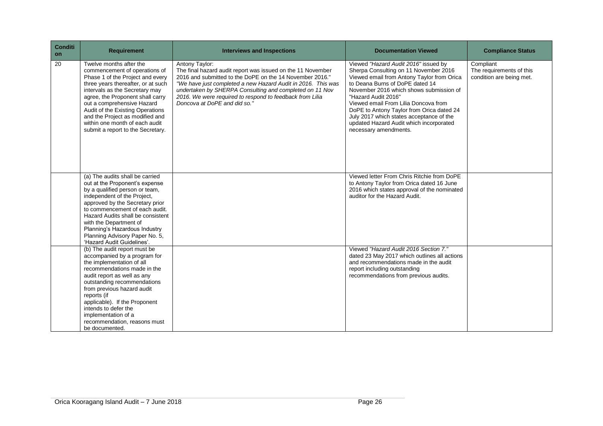| <b>Conditi</b><br>on | <b>Requirement</b>                                                                                                                                                                                                                                                                                                                                                                   | <b>Interviews and Inspections</b>                                                                                                                                                                                                                                                                                                                                | <b>Documentation Viewed</b>                                                                                                                                                                                                                                                                                                                                                                                                           | <b>Compliance Status</b>                                          |
|----------------------|--------------------------------------------------------------------------------------------------------------------------------------------------------------------------------------------------------------------------------------------------------------------------------------------------------------------------------------------------------------------------------------|------------------------------------------------------------------------------------------------------------------------------------------------------------------------------------------------------------------------------------------------------------------------------------------------------------------------------------------------------------------|---------------------------------------------------------------------------------------------------------------------------------------------------------------------------------------------------------------------------------------------------------------------------------------------------------------------------------------------------------------------------------------------------------------------------------------|-------------------------------------------------------------------|
| 20                   | Twelve months after the<br>commencement of operations of<br>Phase 1 of the Project and every<br>three years thereafter, or at such<br>intervals as the Secretary may<br>agree, the Proponent shall carry<br>out a comprehensive Hazard<br>Audit of the Existing Operations<br>and the Project as modified and<br>within one month of each audit<br>submit a report to the Secretary. | Antony Taylor:<br>The final hazard audit report was issued on the 11 November<br>2016 and submitted to the DoPE on the 14 November 2016."<br>"We have just completed a new Hazard Audit in 2016. This was<br>undertaken by SHERPA Consulting and completed on 11 Nov<br>2016. We were required to respond to feedback from Lilia<br>Doncova at DoPE and did so." | Viewed "Hazard Audit 2016" issued by<br>Sherpa Consulting on 11 November 2016<br>Viewed email from Antony Taylor from Orica<br>to Deana Burns of DoPE dated 14<br>November 2016 which shows submission of<br>"Hazard Audit 2016"<br>Viewed email From Lilia Doncova from<br>DoPE to Antony Taylor from Orica dated 24<br>July 2017 which states acceptance of the<br>updated Hazard Audit which incorporated<br>necessary amendments. | Compliant<br>The requirements of this<br>condition are being met. |
|                      | (a) The audits shall be carried<br>out at the Proponent's expense<br>by a qualified person or team,<br>independent of the Project,<br>approved by the Secretary prior<br>to commencement of each audit.<br>Hazard Audits shall be consistent<br>with the Department of<br>Planning's Hazardous Industry<br>Planning Advisory Paper No. 5,<br>'Hazard Audit Guidelines'.              |                                                                                                                                                                                                                                                                                                                                                                  | Viewed letter From Chris Ritchie from DoPE<br>to Antony Taylor from Orica dated 16 June<br>2016 which states approval of the nominated<br>auditor for the Hazard Audit.                                                                                                                                                                                                                                                               |                                                                   |
|                      | (b) The audit report must be<br>accompanied by a program for<br>the implementation of all<br>recommendations made in the<br>audit report as well as any<br>outstanding recommendations<br>from previous hazard audit<br>reports (if<br>applicable). If the Proponent<br>intends to defer the<br>implementation of a<br>recommendation, reasons must<br>be documented.                |                                                                                                                                                                                                                                                                                                                                                                  | Viewed "Hazard Audit 2016 Section 7."<br>dated 23 May 2017 which outlines all actions<br>and recommendations made in the audit<br>report including outstanding<br>recommendations from previous audits.                                                                                                                                                                                                                               |                                                                   |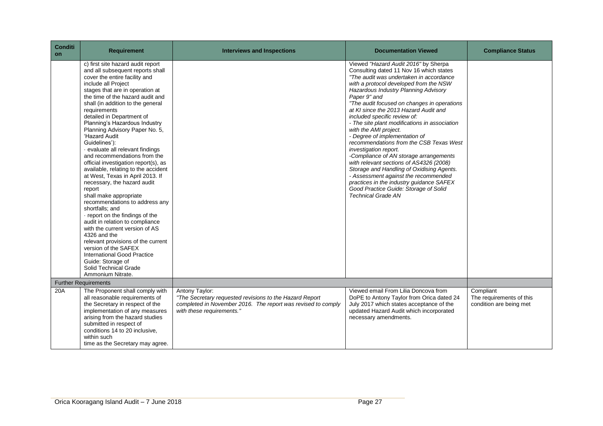| <b>Conditi</b><br><b>on</b> | <b>Requirement</b>                                                                                                                                                                                                                                                                                                                                                                                                                                                                                                                                                                                                                                                                                                                                                                                                                                                                                                                                                                                    | <b>Interviews and Inspections</b>                                                                                                                                      | <b>Documentation Viewed</b>                                                                                                                                                                                                                                                                                                                                                                                                                                                                                                                                                                                                                                                                                                                                                                                                      | <b>Compliance Status</b>                                         |
|-----------------------------|-------------------------------------------------------------------------------------------------------------------------------------------------------------------------------------------------------------------------------------------------------------------------------------------------------------------------------------------------------------------------------------------------------------------------------------------------------------------------------------------------------------------------------------------------------------------------------------------------------------------------------------------------------------------------------------------------------------------------------------------------------------------------------------------------------------------------------------------------------------------------------------------------------------------------------------------------------------------------------------------------------|------------------------------------------------------------------------------------------------------------------------------------------------------------------------|----------------------------------------------------------------------------------------------------------------------------------------------------------------------------------------------------------------------------------------------------------------------------------------------------------------------------------------------------------------------------------------------------------------------------------------------------------------------------------------------------------------------------------------------------------------------------------------------------------------------------------------------------------------------------------------------------------------------------------------------------------------------------------------------------------------------------------|------------------------------------------------------------------|
|                             | c) first site hazard audit report<br>and all subsequent reports shall<br>cover the entire facility and<br>include all Project<br>stages that are in operation at<br>the time of the hazard audit and<br>shall (in addition to the general<br>requirements<br>detailed in Department of<br>Planning's Hazardous Industry<br>Planning Advisory Paper No. 5,<br>'Hazard Audit<br>Guidelines'):<br>evaluate all relevant findings<br>and recommendations from the<br>official investigation report(s), as<br>available, relating to the accident<br>at West, Texas in April 2013. If<br>necessary, the hazard audit<br>report<br>shall make appropriate<br>recommendations to address any<br>shortfalls: and<br>report on the findings of the<br>audit in relation to compliance<br>with the current version of AS<br>4326 and the<br>relevant provisions of the current<br>version of the SAFEX<br><b>International Good Practice</b><br>Guide: Storage of<br>Solid Technical Grade<br>Ammonium Nitrate. |                                                                                                                                                                        | Viewed "Hazard Audit 2016" by Sherpa<br>Consulting dated 11 Nov 16 which states<br>"The audit was undertaken in accordance<br>with a protocol developed from the NSW<br>Hazardous Industry Planning Advisory<br>Paper 9" and<br>"The audit focused on changes in operations"<br>at KI since the 2013 Hazard Audit and<br>included specific review of:<br>- The site plant modifications in association<br>with the AMI project.<br>- Degree of implementation of<br>recommendations from the CSB Texas West<br>investigation report.<br>-Compliance of AN storage arrangements<br>with relevant sections of AS4326 (2008)<br>Storage and Handling of Oxidising Agents.<br>- Assessment against the recommended<br>practices in the industry guidance SAFEX<br>Good Practice Guide: Storage of Solid<br><b>Technical Grade AN</b> |                                                                  |
|                             | <b>Further Requirements</b>                                                                                                                                                                                                                                                                                                                                                                                                                                                                                                                                                                                                                                                                                                                                                                                                                                                                                                                                                                           |                                                                                                                                                                        |                                                                                                                                                                                                                                                                                                                                                                                                                                                                                                                                                                                                                                                                                                                                                                                                                                  |                                                                  |
| 20A                         | The Proponent shall comply with<br>all reasonable requirements of<br>the Secretary in respect of the<br>implementation of any measures<br>arising from the hazard studies<br>submitted in respect of<br>conditions 14 to 20 inclusive,<br>within such<br>time as the Secretary may agree.                                                                                                                                                                                                                                                                                                                                                                                                                                                                                                                                                                                                                                                                                                             | Antony Taylor:<br>"The Secretary requested revisions to the Hazard Report<br>completed in November 2016. The report was revised to comply<br>with these requirements." | Viewed email From Lilia Doncova from<br>DoPE to Antony Taylor from Orica dated 24<br>July 2017 which states acceptance of the<br>updated Hazard Audit which incorporated<br>necessary amendments.                                                                                                                                                                                                                                                                                                                                                                                                                                                                                                                                                                                                                                | Compliant<br>The requirements of this<br>condition are being met |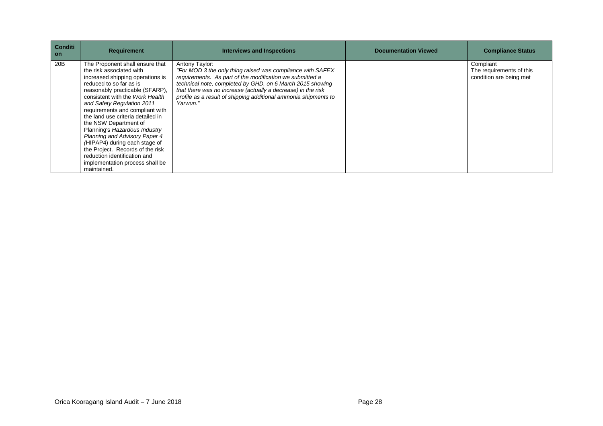| <b>Conditi</b><br><b>on</b> | <b>Requirement</b>                                                                                                                                                                                                                                                                                                                                                                                                                                                                                                                                       | <b>Interviews and Inspections</b>                                                                                                                                                                                                                                                                                                                    | <b>Documentation Viewed</b> | <b>Compliance Status</b>                                         |
|-----------------------------|----------------------------------------------------------------------------------------------------------------------------------------------------------------------------------------------------------------------------------------------------------------------------------------------------------------------------------------------------------------------------------------------------------------------------------------------------------------------------------------------------------------------------------------------------------|------------------------------------------------------------------------------------------------------------------------------------------------------------------------------------------------------------------------------------------------------------------------------------------------------------------------------------------------------|-----------------------------|------------------------------------------------------------------|
| 20B                         | The Proponent shall ensure that<br>the risk associated with<br>increased shipping operations is<br>reduced to so far as is<br>reasonably practicable (SFARP),<br>consistent with the Work Health<br>and Safety Regulation 2011<br>requirements and compliant with<br>the land use criteria detailed in<br>the NSW Department of<br>Planning's Hazardous Industry<br>Planning and Advisory Paper 4<br>(HIPAP4) during each stage of<br>the Project. Records of the risk<br>reduction identification and<br>implementation process shall be<br>maintained. | Antony Taylor:<br>"For MOD 3 the only thing raised was compliance with SAFEX<br>requirements. As part of the modification we submitted a<br>technical note, completed by GHD, on 6 March 2015 showing<br>that there was no increase (actually a decrease) in the risk<br>profile as a result of shipping additional ammonia shipments to<br>Yarwun." |                             | Compliant<br>The requirements of this<br>condition are being met |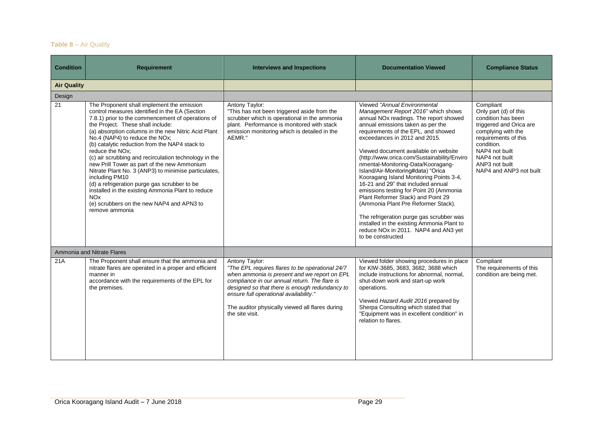## **Table 8** – Air Quality

| <b>Condition</b>   | <b>Requirement</b>                                                                                                                                                                                                                                                                                                                                                                                                                                                                                                                                                                                                                                                                                                                               | <b>Interviews and Inspections</b>                                                                                                                                                                                                                                                                                                    | <b>Documentation Viewed</b>                                                                                                                                                                                                                                                                                                                                                                                                                                                                                                                                                                                                                                                                                                                                               | <b>Compliance Status</b>                                                                                                                                                                                                         |
|--------------------|--------------------------------------------------------------------------------------------------------------------------------------------------------------------------------------------------------------------------------------------------------------------------------------------------------------------------------------------------------------------------------------------------------------------------------------------------------------------------------------------------------------------------------------------------------------------------------------------------------------------------------------------------------------------------------------------------------------------------------------------------|--------------------------------------------------------------------------------------------------------------------------------------------------------------------------------------------------------------------------------------------------------------------------------------------------------------------------------------|---------------------------------------------------------------------------------------------------------------------------------------------------------------------------------------------------------------------------------------------------------------------------------------------------------------------------------------------------------------------------------------------------------------------------------------------------------------------------------------------------------------------------------------------------------------------------------------------------------------------------------------------------------------------------------------------------------------------------------------------------------------------------|----------------------------------------------------------------------------------------------------------------------------------------------------------------------------------------------------------------------------------|
| <b>Air Quality</b> |                                                                                                                                                                                                                                                                                                                                                                                                                                                                                                                                                                                                                                                                                                                                                  |                                                                                                                                                                                                                                                                                                                                      |                                                                                                                                                                                                                                                                                                                                                                                                                                                                                                                                                                                                                                                                                                                                                                           |                                                                                                                                                                                                                                  |
| Design             |                                                                                                                                                                                                                                                                                                                                                                                                                                                                                                                                                                                                                                                                                                                                                  |                                                                                                                                                                                                                                                                                                                                      |                                                                                                                                                                                                                                                                                                                                                                                                                                                                                                                                                                                                                                                                                                                                                                           |                                                                                                                                                                                                                                  |
| 21                 | The Proponent shall implement the emission<br>control measures identified in the EA (Section<br>7.8.1) prior to the commencement of operations of<br>the Project. These shall include:<br>(a) absorption columns in the new Nitric Acid Plant<br>No.4 (NAP4) to reduce the NOx;<br>(b) catalytic reduction from the NAP4 stack to<br>reduce the NO <sub>x</sub> :<br>(c) air scrubbing and recirculation technology in the<br>new Prill Tower as part of the new Ammonium<br>Nitrate Plant No. 3 (ANP3) to minimise particulates,<br>including PM10<br>(d) a refrigeration purge gas scrubber to be<br>installed in the existing Ammonia Plant to reduce<br><b>NO<sub>x</sub></b><br>(e) scrubbers on the new NAP4 and APN3 to<br>remove ammonia | Antony Taylor:<br>"This has not been triggered aside from the<br>scrubber which is operational in the ammonia<br>plant. Performance is monitored with stack<br>emission monitoring which is detailed in the<br>AEMR."                                                                                                                | Viewed "Annual Environmental<br>Management Report 2016" which shows<br>annual NO <sub>x</sub> readings. The report showed<br>annual emissions taken as per the<br>requirements of the EPL, and showed<br>exceedances in 2012 and 2015.<br>Viewed document available on website<br>(http://www.orica.com/Sustainability/Enviro<br>nmental-Monitoring-Data/Kooragang-<br>Island/Air-Monitoring#data) "Orica<br>Kooragang Island Monitoring Points 3-4,<br>16-21 and 29" that included annual<br>emissions testing for Point 20 (Ammonia<br>Plant Reformer Stack) and Point 29<br>(Ammonia Plant Pre Reformer Stack).<br>The refrigeration purge gas scrubber was<br>installed in the existing Ammonia Plant to<br>reduce NOx in 2011. NAP4 and AN3 yet<br>to be constructed | Compliant<br>Only part (d) of this<br>condition has been<br>triggered and Orica are<br>complying with the<br>requirements of this<br>condition.<br>NAP4 not built<br>NAP4 not built<br>ANP3 not built<br>NAP4 and ANP3 not built |
|                    | Ammonia and Nitrate Flares                                                                                                                                                                                                                                                                                                                                                                                                                                                                                                                                                                                                                                                                                                                       |                                                                                                                                                                                                                                                                                                                                      |                                                                                                                                                                                                                                                                                                                                                                                                                                                                                                                                                                                                                                                                                                                                                                           |                                                                                                                                                                                                                                  |
| 21A                | The Proponent shall ensure that the ammonia and<br>nitrate flares are operated in a proper and efficient<br>manner in<br>accordance with the requirements of the EPL for<br>the premises.                                                                                                                                                                                                                                                                                                                                                                                                                                                                                                                                                        | Antony Taylor:<br>"The EPL requires flares to be operational 24/7<br>when ammonia is present and we report on EPL<br>compliance in our annual return. The flare is<br>designed so that there is enough redundancy to<br>ensure full operational availability."<br>The auditor physically viewed all flares during<br>the site visit. | Viewed folder showing procedures in place<br>for KIW-3685, 3683, 3682, 3688 which<br>include instructions for abnormal, normal,<br>shut-down work and start-up work<br>operations.<br>Viewed Hazard Audit 2016 prepared by<br>Sherpa Consulting which stated that<br>"Equipment was in excellent condition" in<br>relation to flares.                                                                                                                                                                                                                                                                                                                                                                                                                                     | Compliant<br>The requirements of this<br>condition are being met.                                                                                                                                                                |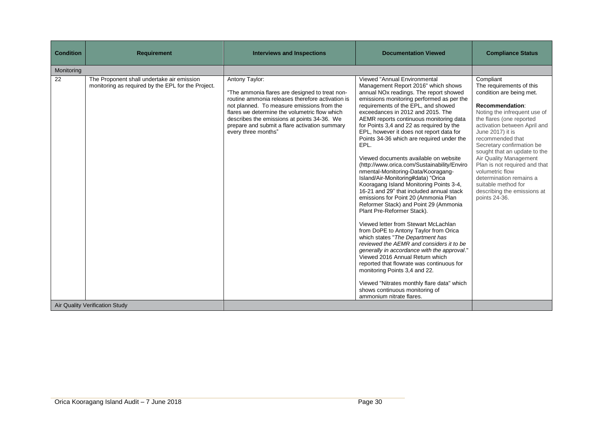| <b>Condition</b> | <b>Requirement</b>                                                                               | <b>Interviews and Inspections</b>                                                                                                                                                                                                                                                                                                          | <b>Documentation Viewed</b>                                                                                                                                                                                                                                                                                                                                                                                                                                                                                                                                                                                                                                                                                                                                                                                                                                                                                                                                                                                                                                                                                                                                                                                                                                       | <b>Compliance Status</b>                                                                                                                                                                                                                                                                                                                                                                                                                                              |
|------------------|--------------------------------------------------------------------------------------------------|--------------------------------------------------------------------------------------------------------------------------------------------------------------------------------------------------------------------------------------------------------------------------------------------------------------------------------------------|-------------------------------------------------------------------------------------------------------------------------------------------------------------------------------------------------------------------------------------------------------------------------------------------------------------------------------------------------------------------------------------------------------------------------------------------------------------------------------------------------------------------------------------------------------------------------------------------------------------------------------------------------------------------------------------------------------------------------------------------------------------------------------------------------------------------------------------------------------------------------------------------------------------------------------------------------------------------------------------------------------------------------------------------------------------------------------------------------------------------------------------------------------------------------------------------------------------------------------------------------------------------|-----------------------------------------------------------------------------------------------------------------------------------------------------------------------------------------------------------------------------------------------------------------------------------------------------------------------------------------------------------------------------------------------------------------------------------------------------------------------|
| Monitoring       |                                                                                                  |                                                                                                                                                                                                                                                                                                                                            |                                                                                                                                                                                                                                                                                                                                                                                                                                                                                                                                                                                                                                                                                                                                                                                                                                                                                                                                                                                                                                                                                                                                                                                                                                                                   |                                                                                                                                                                                                                                                                                                                                                                                                                                                                       |
| 22               | The Proponent shall undertake air emission<br>monitoring as required by the EPL for the Project. | Antony Taylor:<br>"The ammonia flares are designed to treat non-<br>routine ammonia releases therefore activation is<br>not planned. To measure emissions from the<br>flares we determine the volumetric flow which<br>describes the emissions at points 34-36. We<br>prepare and submit a flare activation summary<br>every three months" | Viewed "Annual Environmental<br>Management Report 2016" which shows<br>annual NO <sub>x</sub> readings. The report showed<br>emissions monitoring performed as per the<br>requirements of the EPL, and showed<br>exceedances in 2012 and 2015. The<br>AEMR reports continuous monitoring data<br>for Points 3,4 and 22 as required by the<br>EPL, however it does not report data for<br>Points 34-36 which are required under the<br>EPL.<br>Viewed documents available on website<br>(http://www.orica.com/Sustainability/Enviro<br>nmental-Monitoring-Data/Kooragang-<br>Island/Air-Monitoring#data) "Orica<br>Kooragang Island Monitoring Points 3-4,<br>16-21 and 29" that included annual stack<br>emissions for Point 20 (Ammonia Plan<br>Reformer Stack) and Point 29 (Ammonia<br>Plant Pre-Reformer Stack).<br>Viewed letter from Stewart McLachlan<br>from DoPE to Antony Taylor from Orica<br>which states "The Department has<br>reviewed the AEMR and considers it to be<br>generally in accordance with the approval."<br>Viewed 2016 Annual Return which<br>reported that flowrate was continuous for<br>monitoring Points 3,4 and 22.<br>Viewed "Nitrates monthly flare data" which<br>shows continuous monitoring of<br>ammonium nitrate flares. | Compliant<br>The requirements of this<br>condition are being met.<br>Recommendation:<br>Noting the infrequent use of<br>the flares (one reported<br>activation between April and<br>June 2017) it is<br>recommended that<br>Secretary confirmation be<br>sought that an update to the<br>Air Quality Management<br>Plan is not required and that<br>volumetric flow<br>determination remains a<br>suitable method for<br>describing the emissions at<br>points 24-36. |
|                  | Air Quality Verification Study                                                                   |                                                                                                                                                                                                                                                                                                                                            |                                                                                                                                                                                                                                                                                                                                                                                                                                                                                                                                                                                                                                                                                                                                                                                                                                                                                                                                                                                                                                                                                                                                                                                                                                                                   |                                                                                                                                                                                                                                                                                                                                                                                                                                                                       |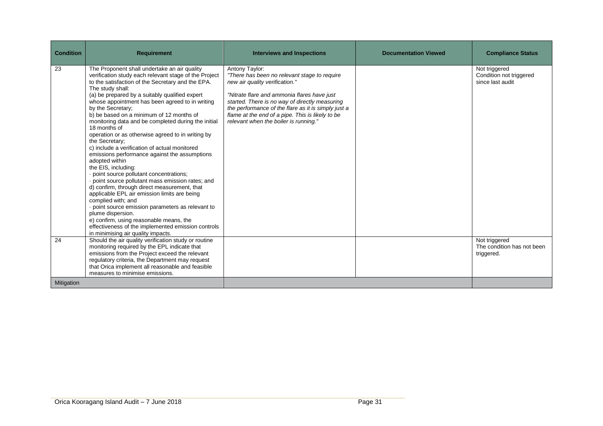| <b>Condition</b> | <b>Requirement</b>                                                                                                                                                                                                                                                                                                                                                                                                                                                                                                                                                                                                                                                                                                                                                                                                                                                                                                                                                                                                                                                                | <b>Interviews and Inspections</b>                                                                                                                                                                                                                                                                                                                     | <b>Documentation Viewed</b> | <b>Compliance Status</b>                                     |
|------------------|-----------------------------------------------------------------------------------------------------------------------------------------------------------------------------------------------------------------------------------------------------------------------------------------------------------------------------------------------------------------------------------------------------------------------------------------------------------------------------------------------------------------------------------------------------------------------------------------------------------------------------------------------------------------------------------------------------------------------------------------------------------------------------------------------------------------------------------------------------------------------------------------------------------------------------------------------------------------------------------------------------------------------------------------------------------------------------------|-------------------------------------------------------------------------------------------------------------------------------------------------------------------------------------------------------------------------------------------------------------------------------------------------------------------------------------------------------|-----------------------------|--------------------------------------------------------------|
| 23               | The Proponent shall undertake an air quality<br>verification study each relevant stage of the Project<br>to the satisfaction of the Secretary and the EPA.<br>The study shall:<br>(a) be prepared by a suitably qualified expert<br>whose appointment has been agreed to in writing<br>by the Secretary;<br>b) be based on a minimum of 12 months of<br>monitoring data and be completed during the initial<br>18 months of<br>operation or as otherwise agreed to in writing by<br>the Secretary;<br>c) include a verification of actual monitored<br>emissions performance against the assumptions<br>adopted within<br>the EIS, including:<br>· point source pollutant concentrations;<br>point source pollutant mass emission rates; and<br>d) confirm, through direct measurement, that<br>applicable EPL air emission limits are being<br>complied with; and<br>point source emission parameters as relevant to<br>plume dispersion.<br>e) confirm, using reasonable means, the<br>effectiveness of the implemented emission controls<br>in minimising air quality impacts. | Antony Taylor:<br>"There has been no relevant stage to require<br>new air quality verification."<br>"Nitrate flare and ammonia flares have just<br>started. There is no way of directly measuring<br>the performance of the flare as it is simply just a<br>flame at the end of a pipe. This is likely to be<br>relevant when the boiler is running." |                             | Not triggered<br>Condition not triggered<br>since last audit |
| 24               | Should the air quality verification study or routine<br>monitoring required by the EPL indicate that<br>emissions from the Project exceed the relevant<br>regulatory criteria, the Department may request<br>that Orica implement all reasonable and feasible<br>measures to minimise emissions.                                                                                                                                                                                                                                                                                                                                                                                                                                                                                                                                                                                                                                                                                                                                                                                  |                                                                                                                                                                                                                                                                                                                                                       |                             | Not triggered<br>The condition has not been<br>triggered.    |
| Mitigation       |                                                                                                                                                                                                                                                                                                                                                                                                                                                                                                                                                                                                                                                                                                                                                                                                                                                                                                                                                                                                                                                                                   |                                                                                                                                                                                                                                                                                                                                                       |                             |                                                              |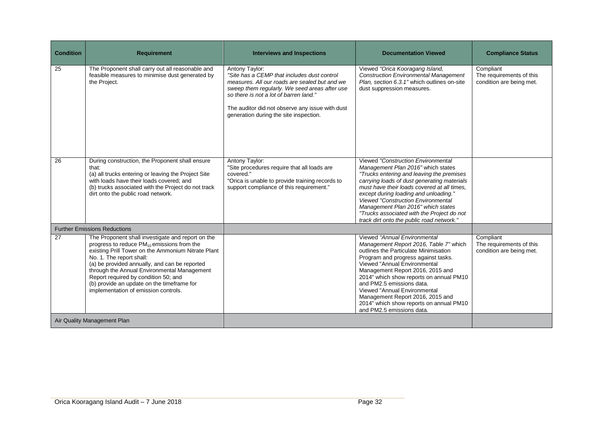| <b>Condition</b> | <b>Requirement</b>                                                                                                                                                                                                                                                                                                                                                                                                   | <b>Interviews and Inspections</b>                                                                                                                                                                                                                                                                      | <b>Documentation Viewed</b>                                                                                                                                                                                                                                                                                                                                                                                                                       | <b>Compliance Status</b>                                          |
|------------------|----------------------------------------------------------------------------------------------------------------------------------------------------------------------------------------------------------------------------------------------------------------------------------------------------------------------------------------------------------------------------------------------------------------------|--------------------------------------------------------------------------------------------------------------------------------------------------------------------------------------------------------------------------------------------------------------------------------------------------------|---------------------------------------------------------------------------------------------------------------------------------------------------------------------------------------------------------------------------------------------------------------------------------------------------------------------------------------------------------------------------------------------------------------------------------------------------|-------------------------------------------------------------------|
| 25               | The Proponent shall carry out all reasonable and<br>feasible measures to minimise dust generated by<br>the Project.                                                                                                                                                                                                                                                                                                  | Antony Taylor:<br>"Site has a CEMP that includes dust control<br>measures. All our roads are sealed but and we<br>sweep them regularly. We seed areas after use<br>so there is not a lot of barren land."<br>The auditor did not observe any issue with dust<br>generation during the site inspection. | Viewed "Orica Kooragang Island,<br><b>Construction Environmental Management</b><br>Plan, section 6.3.1" which outlines on-site<br>dust suppression measures.                                                                                                                                                                                                                                                                                      | Compliant<br>The requirements of this<br>condition are being met. |
| 26               | During construction, the Proponent shall ensure<br>that:<br>(a) all trucks entering or leaving the Project Site<br>with loads have their loads covered; and<br>(b) trucks associated with the Project do not track<br>dirt onto the public road network.                                                                                                                                                             | Antony Taylor:<br>"Site procedures require that all loads are<br>covered."<br>"Orica is unable to provide training records to<br>support compliance of this requirement."                                                                                                                              | <b>Viewed "Construction Environmental</b><br>Management Plan 2016" which states<br>"Trucks entering and leaving the premises<br>carrying loads of dust generating materials<br>must have their loads covered at all times.<br>except during loading and unloading."<br><b>Viewed "Construction Environmental</b><br>Management Plan 2016" which states<br>"Trucks associated with the Project do not<br>track dirt onto the public road network." |                                                                   |
|                  | <b>Further Emissions Reductions</b>                                                                                                                                                                                                                                                                                                                                                                                  |                                                                                                                                                                                                                                                                                                        |                                                                                                                                                                                                                                                                                                                                                                                                                                                   |                                                                   |
| 27               | The Proponent shall investigate and report on the<br>progress to reduce $PM_{10}$ emissions from the<br>existing Prill Tower on the Ammonium Nitrate Plant<br>No. 1. The report shall:<br>(a) be provided annually, and can be reported<br>through the Annual Environmental Management<br>Report required by condition 50; and<br>(b) provide an update on the timeframe for<br>implementation of emission controls. |                                                                                                                                                                                                                                                                                                        | Viewed "Annual Environmental<br>Management Report 2016, Table 7" which<br>outlines the Particulate Minimisation<br>Program and progress against tasks.<br>Viewed "Annual Environmental<br>Management Report 2016, 2015 and<br>2014" which show reports on annual PM10<br>and PM2.5 emissions data.<br>Viewed "Annual Environmental<br>Management Report 2016, 2015 and<br>2014" which show reports on annual PM10<br>and PM2.5 emissions data.    | Compliant<br>The requirements of this<br>condition are being met. |
|                  | Air Quality Management Plan                                                                                                                                                                                                                                                                                                                                                                                          |                                                                                                                                                                                                                                                                                                        |                                                                                                                                                                                                                                                                                                                                                                                                                                                   |                                                                   |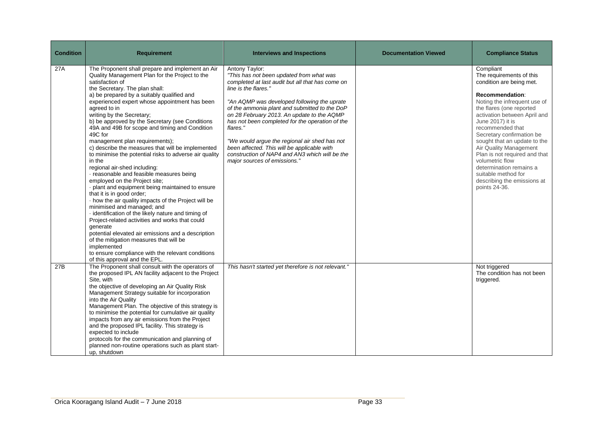| <b>Condition</b> | <b>Requirement</b>                                                                                                                                                                                                                                                                                                                                                                                                                                                                                                                                                                                                                                                                                                                                                                                                                                                                                                                                                                                                                                                                                                                                                                           | <b>Interviews and Inspections</b>                                                                                                                                                                                                                                                                                                                                                                                                                                                                                                     | <b>Documentation Viewed</b> | <b>Compliance Status</b>                                                                                                                                                                                                                                                                                                                                                                                                                                              |
|------------------|----------------------------------------------------------------------------------------------------------------------------------------------------------------------------------------------------------------------------------------------------------------------------------------------------------------------------------------------------------------------------------------------------------------------------------------------------------------------------------------------------------------------------------------------------------------------------------------------------------------------------------------------------------------------------------------------------------------------------------------------------------------------------------------------------------------------------------------------------------------------------------------------------------------------------------------------------------------------------------------------------------------------------------------------------------------------------------------------------------------------------------------------------------------------------------------------|---------------------------------------------------------------------------------------------------------------------------------------------------------------------------------------------------------------------------------------------------------------------------------------------------------------------------------------------------------------------------------------------------------------------------------------------------------------------------------------------------------------------------------------|-----------------------------|-----------------------------------------------------------------------------------------------------------------------------------------------------------------------------------------------------------------------------------------------------------------------------------------------------------------------------------------------------------------------------------------------------------------------------------------------------------------------|
| 27A              | The Proponent shall prepare and implement an Air<br>Quality Management Plan for the Project to the<br>satisfaction of<br>the Secretary. The plan shall:<br>a) be prepared by a suitably qualified and<br>experienced expert whose appointment has been<br>agreed to in<br>writing by the Secretary;<br>b) be approved by the Secretary (see Conditions<br>49A and 49B for scope and timing and Condition<br>49C for<br>management plan requirements);<br>c) describe the measures that will be implemented<br>to minimise the potential risks to adverse air quality<br>in the<br>regional air-shed including:<br>· reasonable and feasible measures being<br>employed on the Project site;<br>plant and equipment being maintained to ensure<br>that it is in good order;<br>- how the air quality impacts of the Project will be<br>minimised and managed; and<br>· identification of the likely nature and timing of<br>Project-related activities and works that could<br>generate<br>potential elevated air emissions and a description<br>of the mitigation measures that will be<br>implemented<br>to ensure compliance with the relevant conditions<br>of this approval and the EPL. | Antony Taylor:<br>"This has not been updated from what was<br>completed at last audit but all that has come on<br>line is the flares."<br>"An AQMP was developed following the uprate<br>of the ammonia plant and submitted to the DoP<br>on 28 February 2013. An update to the AQMP<br>has not been completed for the operation of the<br>flares."<br>"We would argue the regional air shed has not<br>been affected. This will be applicable with<br>construction of NAP4 and AN3 which will be the<br>major sources of emissions." |                             | Compliant<br>The requirements of this<br>condition are being met.<br>Recommendation:<br>Noting the infrequent use of<br>the flares (one reported<br>activation between April and<br>June 2017) it is<br>recommended that<br>Secretary confirmation be<br>sought that an update to the<br>Air Quality Management<br>Plan is not required and that<br>volumetric flow<br>determination remains a<br>suitable method for<br>describing the emissions at<br>points 24-36. |
| 27B              | The Proponent shall consult with the operators of<br>the proposed IPL AN facility adjacent to the Project<br>Site, with<br>the objective of developing an Air Quality Risk<br>Management Strategy suitable for incorporation<br>into the Air Quality<br>Management Plan. The objective of this strategy is<br>to minimise the potential for cumulative air quality<br>impacts from any air emissions from the Project<br>and the proposed IPL facility. This strategy is<br>expected to include<br>protocols for the communication and planning of<br>planned non-routine operations such as plant start-<br>up, shutdown                                                                                                                                                                                                                                                                                                                                                                                                                                                                                                                                                                    | This hasn't started yet therefore is not relevant."                                                                                                                                                                                                                                                                                                                                                                                                                                                                                   |                             | Not triggered<br>The condition has not been<br>triggered.                                                                                                                                                                                                                                                                                                                                                                                                             |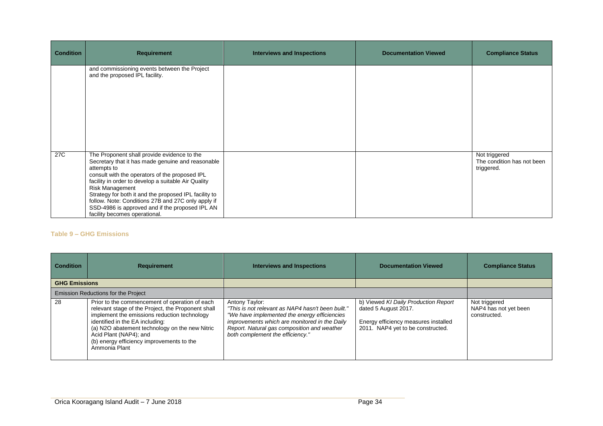| <b>Condition</b> | <b>Requirement</b>                                                                                                                                                                                                                                                                                                                                                                                                                                    | Interviews and Inspections | <b>Documentation Viewed</b> | <b>Compliance Status</b>                                  |
|------------------|-------------------------------------------------------------------------------------------------------------------------------------------------------------------------------------------------------------------------------------------------------------------------------------------------------------------------------------------------------------------------------------------------------------------------------------------------------|----------------------------|-----------------------------|-----------------------------------------------------------|
|                  | and commissioning events between the Project<br>and the proposed IPL facility.                                                                                                                                                                                                                                                                                                                                                                        |                            |                             |                                                           |
| 27C              | The Proponent shall provide evidence to the<br>Secretary that it has made genuine and reasonable<br>attempts to<br>consult with the operators of the proposed IPL<br>facility in order to develop a suitable Air Quality<br><b>Risk Management</b><br>Strategy for both it and the proposed IPL facility to<br>follow. Note: Conditions 27B and 27C only apply if<br>SSD-4986 is approved and if the proposed IPL AN<br>facility becomes operational. |                            |                             | Not triggered<br>The condition has not been<br>triggered. |

#### **Table 9 – GHG Emissions**

| <b>Condition</b>                           | <b>Requirement</b>                                                                                                                                                                                                                                                                                                                | <b>Interviews and Inspections</b>                                                                                                                                                                                                                        | <b>Documentation Viewed</b>                                                                                                               | <b>Compliance Status</b>                               |
|--------------------------------------------|-----------------------------------------------------------------------------------------------------------------------------------------------------------------------------------------------------------------------------------------------------------------------------------------------------------------------------------|----------------------------------------------------------------------------------------------------------------------------------------------------------------------------------------------------------------------------------------------------------|-------------------------------------------------------------------------------------------------------------------------------------------|--------------------------------------------------------|
| <b>GHG Emissions</b>                       |                                                                                                                                                                                                                                                                                                                                   |                                                                                                                                                                                                                                                          |                                                                                                                                           |                                                        |
| <b>Emission Reductions for the Project</b> |                                                                                                                                                                                                                                                                                                                                   |                                                                                                                                                                                                                                                          |                                                                                                                                           |                                                        |
| 28                                         | Prior to the commencement of operation of each<br>relevant stage of the Project, the Proponent shall<br>implement the emissions reduction technology<br>identified in the EA including:<br>(a) N2O abatement technology on the new Nitric<br>Acid Plant (NAP4); and<br>(b) energy efficiency improvements to the<br>Ammonia Plant | Antony Taylor:<br>"This is not relevant as NAP4 hasn't been built."<br>"We have implemented the energy efficiencies"<br>improvements which are monitored in the Daily<br>Report. Natural gas composition and weather<br>both complement the efficiency." | b) Viewed KI Daily Production Report<br>dated 5 August 2017.<br>Energy efficiency measures installed<br>2011. NAP4 yet to be constructed. | Not triggered<br>NAP4 has not yet been<br>constructed. |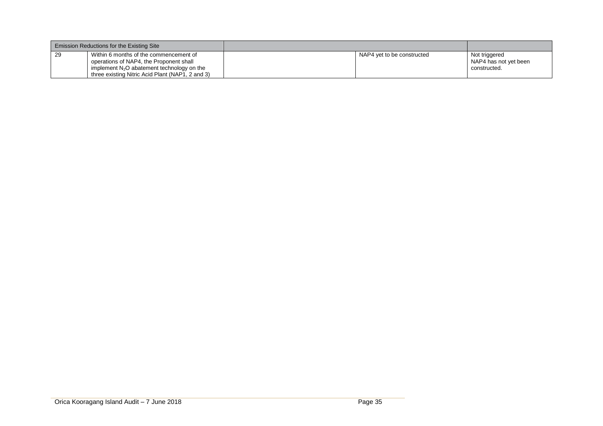| Emission Reductions for the Existing Site                                                                                                                                                   |                            |                                                        |
|---------------------------------------------------------------------------------------------------------------------------------------------------------------------------------------------|----------------------------|--------------------------------------------------------|
| 29<br>Within 6 months of the commencement of<br>operations of NAP4, the Proponent shall<br>implement $N_2O$ abatement technology on the<br>three existing Nitric Acid Plant (NAP1, 2 and 3) | NAP4 yet to be constructed | Not triggered<br>NAP4 has not yet been<br>constructed. |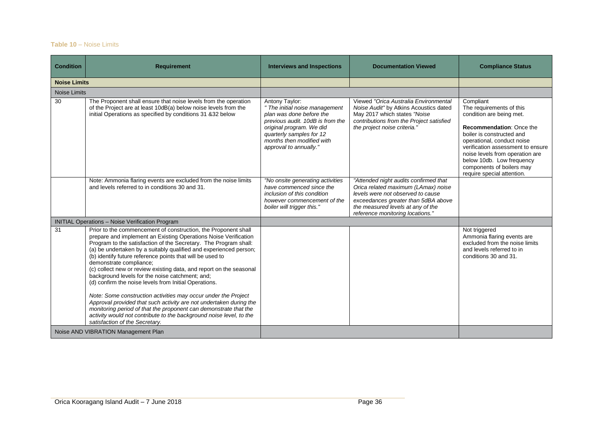## **Table 10** – Noise Limits

| <b>Condition</b>    | <b>Requirement</b>                                                                                                                                                                                                                                                                                                                                                                                                                                                                                                                                                                                                                                                                                                                                                                                                                                                         | <b>Interviews and Inspections</b>                                                                                                                                                                                               | <b>Documentation Viewed</b>                                                                                                                                                                                                       | <b>Compliance Status</b>                                                                                                                                                                                                                                                                                                        |
|---------------------|----------------------------------------------------------------------------------------------------------------------------------------------------------------------------------------------------------------------------------------------------------------------------------------------------------------------------------------------------------------------------------------------------------------------------------------------------------------------------------------------------------------------------------------------------------------------------------------------------------------------------------------------------------------------------------------------------------------------------------------------------------------------------------------------------------------------------------------------------------------------------|---------------------------------------------------------------------------------------------------------------------------------------------------------------------------------------------------------------------------------|-----------------------------------------------------------------------------------------------------------------------------------------------------------------------------------------------------------------------------------|---------------------------------------------------------------------------------------------------------------------------------------------------------------------------------------------------------------------------------------------------------------------------------------------------------------------------------|
| <b>Noise Limits</b> |                                                                                                                                                                                                                                                                                                                                                                                                                                                                                                                                                                                                                                                                                                                                                                                                                                                                            |                                                                                                                                                                                                                                 |                                                                                                                                                                                                                                   |                                                                                                                                                                                                                                                                                                                                 |
| Noise Limits        |                                                                                                                                                                                                                                                                                                                                                                                                                                                                                                                                                                                                                                                                                                                                                                                                                                                                            |                                                                                                                                                                                                                                 |                                                                                                                                                                                                                                   |                                                                                                                                                                                                                                                                                                                                 |
| 30                  | The Proponent shall ensure that noise levels from the operation<br>of the Project are at least 10dB(a) below noise levels from the<br>initial Operations as specified by conditions 31 &32 below                                                                                                                                                                                                                                                                                                                                                                                                                                                                                                                                                                                                                                                                           | Antony Taylor:<br>" The initial noise management<br>plan was done before the<br>previous audit. 10dB is from the<br>original program. We did<br>quarterly samples for 12<br>months then modified with<br>approval to annually." | Viewed "Orica Australia Environmental<br>Noise Audit" by Atkins Acoustics dated<br>May 2017 which states "Noise<br>contributions from the Project satisfied<br>the project noise criteria."                                       | Compliant<br>The requirements of this<br>condition are being met.<br><b>Recommendation: Once the</b><br>boiler is constructed and<br>operational, conduct noise<br>verification assessment to ensure<br>noise levels from operation are<br>below 10db. Low frequency<br>components of boilers may<br>require special attention. |
|                     | Note: Ammonia flaring events are excluded from the noise limits<br>and levels referred to in conditions 30 and 31.                                                                                                                                                                                                                                                                                                                                                                                                                                                                                                                                                                                                                                                                                                                                                         | "No onsite generating activities<br>have commenced since the<br>inclusion of this condition<br>however commencement of the<br>boiler will trigger this."                                                                        | "Attended night audits confirmed that<br>Orica related maximum (LAmax) noise<br>levels were not observed to cause<br>exceedances greater than 5dBA above<br>the measured levels at any of the<br>reference monitoring locations." |                                                                                                                                                                                                                                                                                                                                 |
|                     | INITIAL Operations - Noise Verification Program                                                                                                                                                                                                                                                                                                                                                                                                                                                                                                                                                                                                                                                                                                                                                                                                                            |                                                                                                                                                                                                                                 |                                                                                                                                                                                                                                   |                                                                                                                                                                                                                                                                                                                                 |
| 31                  | Prior to the commencement of construction, the Proponent shall<br>prepare and implement an Existing Operations Noise Verification<br>Program to the satisfaction of the Secretary. The Program shall:<br>(a) be undertaken by a suitably qualified and experienced person;<br>(b) identify future reference points that will be used to<br>demonstrate compliance;<br>(c) collect new or review existing data, and report on the seasonal<br>background levels for the noise catchment; and;<br>(d) confirm the noise levels from Initial Operations.<br>Note: Some construction activities may occur under the Project<br>Approval provided that such activity are not undertaken during the<br>monitoring period of that the proponent can demonstrate that the<br>activity would not contribute to the background noise level, to the<br>satisfaction of the Secretary. |                                                                                                                                                                                                                                 |                                                                                                                                                                                                                                   | Not triggered<br>Ammonia flaring events are<br>excluded from the noise limits<br>and levels referred to in<br>conditions 30 and 31.                                                                                                                                                                                             |
|                     | Noise AND VIBRATION Management Plan                                                                                                                                                                                                                                                                                                                                                                                                                                                                                                                                                                                                                                                                                                                                                                                                                                        |                                                                                                                                                                                                                                 |                                                                                                                                                                                                                                   |                                                                                                                                                                                                                                                                                                                                 |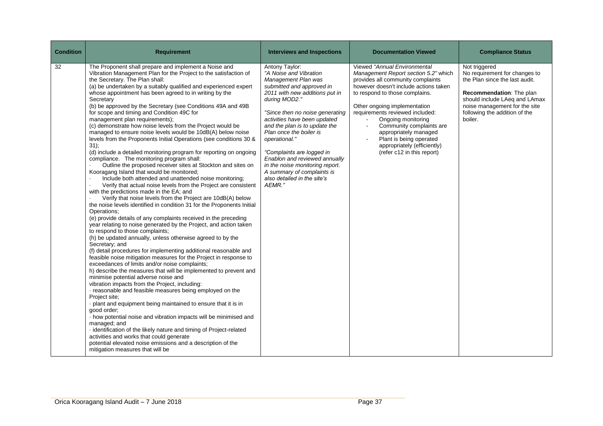| <b>Condition</b> | <b>Requirement</b>                                                                                                                                                                                                                                                                                                                                                                                                                                                                                                                                                                                                                                                                                                                                                                                                                                                                                                                                                                                                                                                                                                                                                                                                                                                                                                                                                                                                                                                                                                                                                                                                                                                                                                                                                                                                                                                                                                                                                                                                                                                                                                                                                                                                                                                                                                              | <b>Interviews and Inspections</b>                                                                                                                                                                                                                                                                                                                                                                                                                                       | <b>Documentation Viewed</b>                                                                                                                                                                                                                                                                                                                                                                                                | <b>Compliance Status</b>                                                                                                                                                                                                   |
|------------------|---------------------------------------------------------------------------------------------------------------------------------------------------------------------------------------------------------------------------------------------------------------------------------------------------------------------------------------------------------------------------------------------------------------------------------------------------------------------------------------------------------------------------------------------------------------------------------------------------------------------------------------------------------------------------------------------------------------------------------------------------------------------------------------------------------------------------------------------------------------------------------------------------------------------------------------------------------------------------------------------------------------------------------------------------------------------------------------------------------------------------------------------------------------------------------------------------------------------------------------------------------------------------------------------------------------------------------------------------------------------------------------------------------------------------------------------------------------------------------------------------------------------------------------------------------------------------------------------------------------------------------------------------------------------------------------------------------------------------------------------------------------------------------------------------------------------------------------------------------------------------------------------------------------------------------------------------------------------------------------------------------------------------------------------------------------------------------------------------------------------------------------------------------------------------------------------------------------------------------------------------------------------------------------------------------------------------------|-------------------------------------------------------------------------------------------------------------------------------------------------------------------------------------------------------------------------------------------------------------------------------------------------------------------------------------------------------------------------------------------------------------------------------------------------------------------------|----------------------------------------------------------------------------------------------------------------------------------------------------------------------------------------------------------------------------------------------------------------------------------------------------------------------------------------------------------------------------------------------------------------------------|----------------------------------------------------------------------------------------------------------------------------------------------------------------------------------------------------------------------------|
| 32               | The Proponent shall prepare and implement a Noise and<br>Vibration Management Plan for the Project to the satisfaction of<br>the Secretary. The Plan shall:<br>(a) be undertaken by a suitably qualified and experienced expert<br>whose appointment has been agreed to in writing by the<br>Secretary<br>(b) be approved by the Secretary (see Conditions 49A and 49B<br>for scope and timing and Condition 49C for<br>management plan requirements);<br>(c) demonstrate how noise levels from the Project would be<br>managed to ensure noise levels would be 10dB(A) below noise<br>levels from the Proponents Initial Operations (see conditions 30 &<br>31);<br>(d) include a detailed monitoring program for reporting on ongoing<br>compliance. The monitoring program shall:<br>Outline the proposed receiver sites at Stockton and sites on<br>Kooragang Island that would be monitored;<br>Include both attended and unattended noise monitoring;<br>Verify that actual noise levels from the Project are consistent<br>with the predictions made in the EA; and<br>Verify that noise levels from the Project are 10dB(A) below<br>the noise levels identified in condition 31 for the Proponents Initial<br>Operations:<br>(e) provide details of any complaints received in the preceding<br>year relating to noise generated by the Project, and action taken<br>to respond to those complaints;<br>(h) be updated annually, unless otherwise agreed to by the<br>Secretary; and<br>(f) detail procedures for implementing additional reasonable and<br>feasible noise mitigation measures for the Project in response to<br>exceedances of limits and/or noise complaints;<br>h) describe the measures that will be implemented to prevent and<br>minimise potential adverse noise and<br>vibration impacts from the Project, including:<br>· reasonable and feasible measures being employed on the<br>Project site:<br>- plant and equipment being maintained to ensure that it is in<br>good order;<br>· how potential noise and vibration impacts will be minimised and<br>managed; and<br>- identification of the likely nature and timing of Project-related<br>activities and works that could generate<br>potential elevated noise emissions and a description of the<br>mitigation measures that will be | Antony Taylor:<br>"A Noise and Vibration<br>Management Plan was<br>submitted and approved in<br>2011 with new additions put in<br>during MOD2."<br>"Since then no noise generating<br>activities have been updated<br>and the plan is to update the<br>Plan once the boiler is<br>operational."<br>"Complaints are logged in<br>Enablon and reviewed annually<br>in the noise monitoring report.<br>A summary of complaints is<br>also detailed in the site's<br>AEMR." | Viewed "Annual Environmental<br>Management Report section 5.2" which<br>provides all community complaints<br>however doesn't include actions taken<br>to respond to those complains.<br>Other ongoing implementation<br>requirements reviewed included:<br>Ongoing monitoring<br>Community complaints are<br>appropriately managed<br>Plant is being operated<br>appropriately (efficiently)<br>(refer c12 in this report) | Not triggered<br>No requirement for changes to<br>the Plan since the last audit.<br>Recommendation: The plan<br>should include LAeq and LAmax<br>noise management for the site<br>following the addition of the<br>boiler. |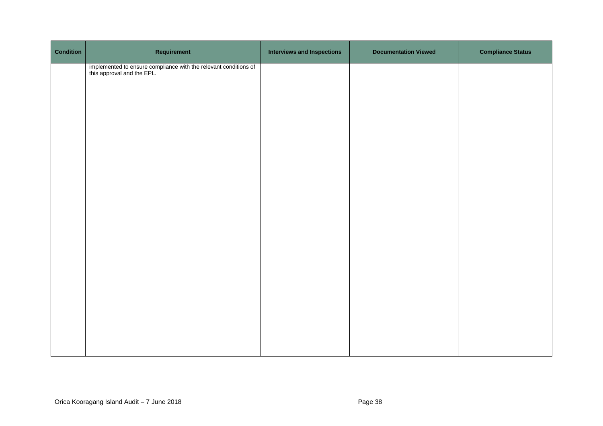| <b>Condition</b> | Requirement                                                                                 | <b>Interviews and Inspections</b> | <b>Documentation Viewed</b> | <b>Compliance Status</b> |
|------------------|---------------------------------------------------------------------------------------------|-----------------------------------|-----------------------------|--------------------------|
|                  | implemented to ensure compliance with the relevant conditions of this approval and the EPL. |                                   |                             |                          |
|                  |                                                                                             |                                   |                             |                          |
|                  |                                                                                             |                                   |                             |                          |
|                  |                                                                                             |                                   |                             |                          |
|                  |                                                                                             |                                   |                             |                          |
|                  |                                                                                             |                                   |                             |                          |
|                  |                                                                                             |                                   |                             |                          |
|                  |                                                                                             |                                   |                             |                          |
|                  |                                                                                             |                                   |                             |                          |
|                  |                                                                                             |                                   |                             |                          |
|                  |                                                                                             |                                   |                             |                          |
|                  |                                                                                             |                                   |                             |                          |
|                  |                                                                                             |                                   |                             |                          |
|                  |                                                                                             |                                   |                             |                          |
|                  |                                                                                             |                                   |                             |                          |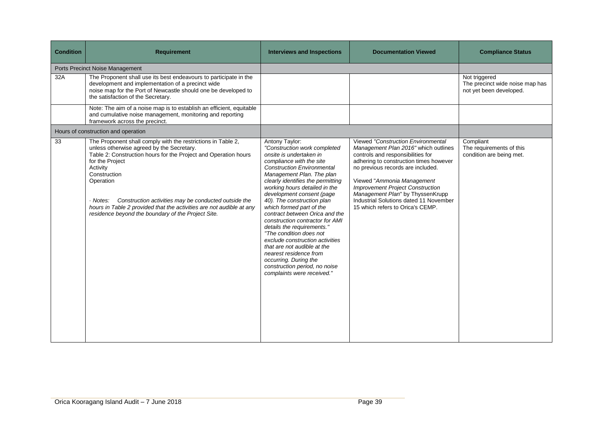| <b>Condition</b>                | <b>Requirement</b>                                                                                                                                                                                                                                                                                                                                                                                                                         | <b>Interviews and Inspections</b>                                                                                                                                                                                                                                                                                                                                                                                                                                                                                                                                                                                                                      | <b>Documentation Viewed</b>                                                                                                                                                                                                                                                                                                                                                                | <b>Compliance Status</b>                                                    |
|---------------------------------|--------------------------------------------------------------------------------------------------------------------------------------------------------------------------------------------------------------------------------------------------------------------------------------------------------------------------------------------------------------------------------------------------------------------------------------------|--------------------------------------------------------------------------------------------------------------------------------------------------------------------------------------------------------------------------------------------------------------------------------------------------------------------------------------------------------------------------------------------------------------------------------------------------------------------------------------------------------------------------------------------------------------------------------------------------------------------------------------------------------|--------------------------------------------------------------------------------------------------------------------------------------------------------------------------------------------------------------------------------------------------------------------------------------------------------------------------------------------------------------------------------------------|-----------------------------------------------------------------------------|
| Ports Precinct Noise Management |                                                                                                                                                                                                                                                                                                                                                                                                                                            |                                                                                                                                                                                                                                                                                                                                                                                                                                                                                                                                                                                                                                                        |                                                                                                                                                                                                                                                                                                                                                                                            |                                                                             |
| 32A                             | The Proponent shall use its best endeavours to participate in the<br>development and implementation of a precinct wide<br>noise map for the Port of Newcastle should one be developed to<br>the satisfaction of the Secretary.                                                                                                                                                                                                             |                                                                                                                                                                                                                                                                                                                                                                                                                                                                                                                                                                                                                                                        |                                                                                                                                                                                                                                                                                                                                                                                            | Not triggered<br>The precinct wide noise map has<br>not yet been developed. |
|                                 | Note: The aim of a noise map is to establish an efficient, equitable<br>and cumulative noise management, monitoring and reporting<br>framework across the precinct.                                                                                                                                                                                                                                                                        |                                                                                                                                                                                                                                                                                                                                                                                                                                                                                                                                                                                                                                                        |                                                                                                                                                                                                                                                                                                                                                                                            |                                                                             |
|                                 | Hours of construction and operation                                                                                                                                                                                                                                                                                                                                                                                                        |                                                                                                                                                                                                                                                                                                                                                                                                                                                                                                                                                                                                                                                        |                                                                                                                                                                                                                                                                                                                                                                                            |                                                                             |
| $\overline{33}$                 | The Proponent shall comply with the restrictions in Table 2,<br>unless otherwise agreed by the Secretary.<br>Table 2: Construction hours for the Project and Operation hours<br>for the Project<br>Activity<br>Construction<br>Operation<br>Construction activities may be conducted outside the<br>· Notes:<br>hours in Table 2 provided that the activities are not audible at any<br>residence beyond the boundary of the Project Site. | Antony Taylor:<br>"Construction work completed<br>onsite is undertaken in<br>compliance with the site<br><b>Construction Environmental</b><br>Management Plan. The plan<br>clearly identifies the permitting<br>working hours detailed in the<br>development consent (page<br>40). The construction plan<br>which formed part of the<br>contract between Orica and the<br>construction contractor for AMI<br>details the requirements."<br>"The condition does not<br>exclude construction activities<br>that are not audible at the<br>nearest residence from<br>occurring. During the<br>construction period, no noise<br>complaints were received." | Viewed "Construction Environmental<br>Management Plan 2016" which outlines<br>controls and responsibilities for<br>adhering to construction times however<br>no previous records are included.<br>Viewed "Ammonia Management"<br><b>Improvement Project Construction</b><br>Management Plan" by ThyssenKrupp<br>Industrial Solutions dated 11 November<br>15 which refers to Orica's CEMP. | Compliant<br>The requirements of this<br>condition are being met.           |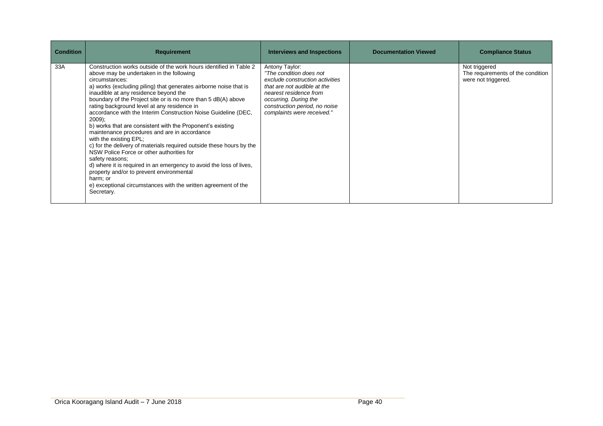| <b>Condition</b> | <b>Requirement</b>                                                                                                                                                                                                                                                                                                                                                                                                                                                                                                                                                                                                                                                                                                                                                                                                                                                                                                                        | <b>Interviews and Inspections</b>                                                                                                                                                                                             | <b>Documentation Viewed</b> | <b>Compliance Status</b>                                                  |
|------------------|-------------------------------------------------------------------------------------------------------------------------------------------------------------------------------------------------------------------------------------------------------------------------------------------------------------------------------------------------------------------------------------------------------------------------------------------------------------------------------------------------------------------------------------------------------------------------------------------------------------------------------------------------------------------------------------------------------------------------------------------------------------------------------------------------------------------------------------------------------------------------------------------------------------------------------------------|-------------------------------------------------------------------------------------------------------------------------------------------------------------------------------------------------------------------------------|-----------------------------|---------------------------------------------------------------------------|
| 33A              | Construction works outside of the work hours identified in Table 2<br>above may be undertaken in the following<br>circumstances:<br>a) works (excluding piling) that generates airborne noise that is<br>inaudible at any residence beyond the<br>boundary of the Project site or is no more than 5 dB(A) above<br>rating background level at any residence in<br>accordance with the Interim Construction Noise Guideline (DEC,<br>2009);<br>b) works that are consistent with the Proponent's existing<br>maintenance procedures and are in accordance<br>with the existing EPL;<br>c) for the delivery of materials required outside these hours by the<br>NSW Police Force or other authorities for<br>safety reasons;<br>d) where it is required in an emergency to avoid the loss of lives,<br>property and/or to prevent environmental<br>harm; or<br>e) exceptional circumstances with the written agreement of the<br>Secretary. | Antony Taylor:<br>"The condition does not<br>exclude construction activities<br>that are not audible at the<br>nearest residence from<br>occurring. During the<br>construction period, no noise<br>complaints were received." |                             | Not triggered<br>The requirements of the condition<br>were not triggered. |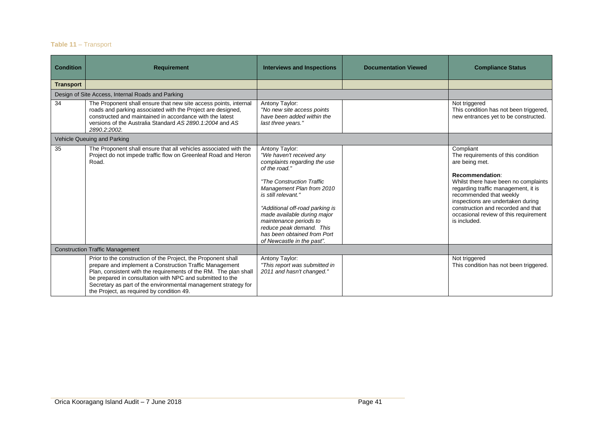## **Table 11** – Transport

| <b>Condition</b>                       | <b>Requirement</b>                                                                                                                                                                                                                                                                                                                                                       | <b>Interviews and Inspections</b>                                                                                                                                                                                                                                                                                                                                 | <b>Documentation Viewed</b> | <b>Compliance Status</b>                                                                                                                                                                                                                                                                                                           |
|----------------------------------------|--------------------------------------------------------------------------------------------------------------------------------------------------------------------------------------------------------------------------------------------------------------------------------------------------------------------------------------------------------------------------|-------------------------------------------------------------------------------------------------------------------------------------------------------------------------------------------------------------------------------------------------------------------------------------------------------------------------------------------------------------------|-----------------------------|------------------------------------------------------------------------------------------------------------------------------------------------------------------------------------------------------------------------------------------------------------------------------------------------------------------------------------|
| <b>Transport</b>                       |                                                                                                                                                                                                                                                                                                                                                                          |                                                                                                                                                                                                                                                                                                                                                                   |                             |                                                                                                                                                                                                                                                                                                                                    |
|                                        | Design of Site Access, Internal Roads and Parking                                                                                                                                                                                                                                                                                                                        |                                                                                                                                                                                                                                                                                                                                                                   |                             |                                                                                                                                                                                                                                                                                                                                    |
| 34                                     | The Proponent shall ensure that new site access points, internal<br>roads and parking associated with the Project are designed,<br>constructed and maintained in accordance with the latest<br>versions of the Australia Standard AS 2890.1:2004 and AS<br>2890.2:2002.                                                                                                  | Antony Taylor:<br>"No new site access points<br>have been added within the<br>last three years."                                                                                                                                                                                                                                                                  |                             | Not triggered<br>This condition has not been triggered,<br>new entrances yet to be constructed.                                                                                                                                                                                                                                    |
|                                        | Vehicle Queuing and Parking                                                                                                                                                                                                                                                                                                                                              |                                                                                                                                                                                                                                                                                                                                                                   |                             |                                                                                                                                                                                                                                                                                                                                    |
| 35                                     | The Proponent shall ensure that all vehicles associated with the<br>Project do not impede traffic flow on Greenleaf Road and Heron<br>Road.                                                                                                                                                                                                                              | Antony Taylor:<br>"We haven't received any<br>complaints regarding the use<br>of the road."<br>"The Construction Traffic<br>Management Plan from 2010<br>is still relevant."<br>"Additional off-road parking is<br>made available during major<br>maintenance periods to<br>reduce peak demand. This<br>has been obtained from Port<br>of Newcastle in the past". |                             | Compliant<br>The requirements of this condition<br>are being met.<br>Recommendation:<br>Whilst there have been no complaints<br>regarding traffic management, it is<br>recommended that weekly<br>inspections are undertaken during<br>construction and recorded and that<br>occasional review of this requirement<br>is included. |
| <b>Construction Traffic Management</b> |                                                                                                                                                                                                                                                                                                                                                                          |                                                                                                                                                                                                                                                                                                                                                                   |                             |                                                                                                                                                                                                                                                                                                                                    |
|                                        | Prior to the construction of the Project, the Proponent shall<br>prepare and implement a Construction Traffic Management<br>Plan, consistent with the requirements of the RM. The plan shall<br>be prepared in consultation with NPC and submitted to the<br>Secretary as part of the environmental management strategy for<br>the Project, as required by condition 49. | Antony Taylor:<br>"This report was submitted in<br>2011 and hasn't changed."                                                                                                                                                                                                                                                                                      |                             | Not triggered<br>This condition has not been triggered.                                                                                                                                                                                                                                                                            |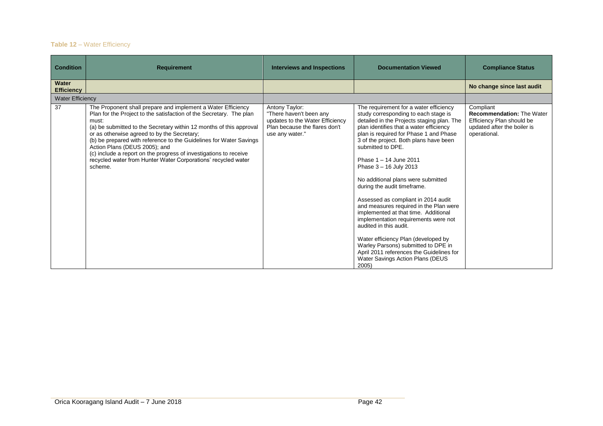## **Table 12** – Water Efficiency

| <b>Condition</b>           | <b>Requirement</b>                                                                                                                                                                                                                                                                                                                                                                                                                                                                                                         | <b>Interviews and Inspections</b>                                                                                                | <b>Documentation Viewed</b>                                                                                                                                                                                                                                                                                                                                                                                                                                                                                                                                                                                                                                                                                                                                                 | <b>Compliance Status</b>                                                                                                  |
|----------------------------|----------------------------------------------------------------------------------------------------------------------------------------------------------------------------------------------------------------------------------------------------------------------------------------------------------------------------------------------------------------------------------------------------------------------------------------------------------------------------------------------------------------------------|----------------------------------------------------------------------------------------------------------------------------------|-----------------------------------------------------------------------------------------------------------------------------------------------------------------------------------------------------------------------------------------------------------------------------------------------------------------------------------------------------------------------------------------------------------------------------------------------------------------------------------------------------------------------------------------------------------------------------------------------------------------------------------------------------------------------------------------------------------------------------------------------------------------------------|---------------------------------------------------------------------------------------------------------------------------|
| Water<br><b>Efficiency</b> |                                                                                                                                                                                                                                                                                                                                                                                                                                                                                                                            |                                                                                                                                  |                                                                                                                                                                                                                                                                                                                                                                                                                                                                                                                                                                                                                                                                                                                                                                             | No change since last audit                                                                                                |
| <b>Water Efficiency</b>    |                                                                                                                                                                                                                                                                                                                                                                                                                                                                                                                            |                                                                                                                                  |                                                                                                                                                                                                                                                                                                                                                                                                                                                                                                                                                                                                                                                                                                                                                                             |                                                                                                                           |
| 37                         | The Proponent shall prepare and implement a Water Efficiency<br>Plan for the Project to the satisfaction of the Secretary. The plan<br>must:<br>(a) be submitted to the Secretary within 12 months of this approval<br>or as otherwise agreed to by the Secretary;<br>(b) be prepared with reference to the Guidelines for Water Savings<br>Action Plans (DEUS 2005); and<br>(c) include a report on the progress of investigations to receive<br>recycled water from Hunter Water Corporations' recycled water<br>scheme. | Antony Taylor:<br>"There haven't been any<br>updates to the Water Efficiency<br>Plan because the flares don't<br>use any water." | The requirement for a water efficiency<br>study corresponding to each stage is<br>detailed in the Projects staging plan. The<br>plan identifies that a water efficiency<br>plan is required for Phase 1 and Phase<br>3 of the project. Both plans have been<br>submitted to DPE.<br>Phase 1 - 14 June 2011<br>Phase 3 - 16 July 2013<br>No additional plans were submitted<br>during the audit timeframe.<br>Assessed as compliant in 2014 audit<br>and measures required in the Plan were<br>implemented at that time. Additional<br>implementation requirements were not<br>audited in this audit.<br>Water efficiency Plan (developed by<br>Warley Parsons) submitted to DPE in<br>April 2011 references the Guidelines for<br>Water Savings Action Plans (DEUS<br>2005) | Compliant<br><b>Recommendation: The Water</b><br>Efficiency Plan should be<br>updated after the boiler is<br>operational. |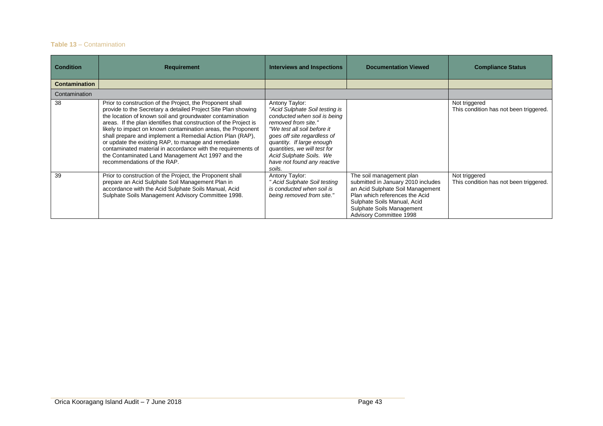### **Table 13** – Contamination

| <b>Condition</b>     | <b>Requirement</b>                                                                                                                                                                                                                                                                                                                                                                                                                                                                                                                                                                                  | <b>Interviews and Inspections</b>                                                                                                                                                                                                                                                                      | <b>Documentation Viewed</b>                                                                                                                                                                                                 | <b>Compliance Status</b>                                |
|----------------------|-----------------------------------------------------------------------------------------------------------------------------------------------------------------------------------------------------------------------------------------------------------------------------------------------------------------------------------------------------------------------------------------------------------------------------------------------------------------------------------------------------------------------------------------------------------------------------------------------------|--------------------------------------------------------------------------------------------------------------------------------------------------------------------------------------------------------------------------------------------------------------------------------------------------------|-----------------------------------------------------------------------------------------------------------------------------------------------------------------------------------------------------------------------------|---------------------------------------------------------|
| <b>Contamination</b> |                                                                                                                                                                                                                                                                                                                                                                                                                                                                                                                                                                                                     |                                                                                                                                                                                                                                                                                                        |                                                                                                                                                                                                                             |                                                         |
| Contamination        |                                                                                                                                                                                                                                                                                                                                                                                                                                                                                                                                                                                                     |                                                                                                                                                                                                                                                                                                        |                                                                                                                                                                                                                             |                                                         |
| 38                   | Prior to construction of the Project, the Proponent shall<br>provide to the Secretary a detailed Project Site Plan showing<br>the location of known soil and groundwater contamination<br>areas. If the plan identifies that construction of the Project is<br>likely to impact on known contamination areas, the Proponent<br>shall prepare and implement a Remedial Action Plan (RAP),<br>or update the existing RAP, to manage and remediate<br>contaminated material in accordance with the requirements of<br>the Contaminated Land Management Act 1997 and the<br>recommendations of the RAP. | Antony Taylor:<br>"Acid Sulphate Soil testing is<br>conducted when soil is being<br>removed from site."<br>"We test all soil before it<br>goes off site regardless of<br>quantity. If large enough<br>quantities, we will test for<br>Acid Sulphate Soils. We<br>have not found any reactive<br>soils. |                                                                                                                                                                                                                             | Not triggered<br>This condition has not been triggered. |
| 39                   | Prior to construction of the Project, the Proponent shall<br>prepare an Acid Sulphate Soil Management Plan in<br>accordance with the Acid Sulphate Soils Manual, Acid<br>Sulphate Soils Management Advisory Committee 1998.                                                                                                                                                                                                                                                                                                                                                                         | Antony Taylor:<br>Acid Sulphate Soil testing<br>is conducted when soil is<br>being removed from site."                                                                                                                                                                                                 | The soil management plan<br>submitted in January 2010 includes<br>an Acid Sulphate Soil Management<br>Plan which references the Acid<br>Sulphate Soils Manual, Acid<br>Sulphate Soils Management<br>Advisory Committee 1998 | Not triggered<br>This condition has not been triggered. |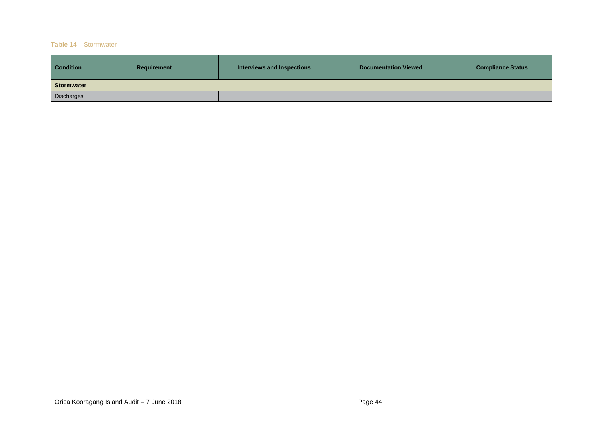#### **Table 14** – Stormwater

| <b>Condition</b>  | Requirement | Interviews and Inspections | <b>Documentation Viewed</b> | <b>Compliance Status</b> |
|-------------------|-------------|----------------------------|-----------------------------|--------------------------|
| <b>Stormwater</b> |             |                            |                             |                          |
| Discharges        |             |                            |                             |                          |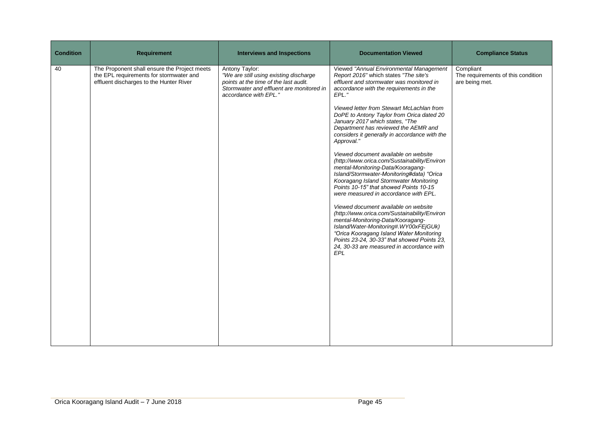| <b>Condition</b> | <b>Requirement</b>                                                                                                                 | <b>Interviews and Inspections</b>                                                                                                                                      | <b>Documentation Viewed</b>                                                                                                                                                                                                                                                                                                                                                                                                                                                                                                                                                                                                                                                                                                                                                                                                                                                                                                                                                                                                                      | <b>Compliance Status</b>                                          |
|------------------|------------------------------------------------------------------------------------------------------------------------------------|------------------------------------------------------------------------------------------------------------------------------------------------------------------------|--------------------------------------------------------------------------------------------------------------------------------------------------------------------------------------------------------------------------------------------------------------------------------------------------------------------------------------------------------------------------------------------------------------------------------------------------------------------------------------------------------------------------------------------------------------------------------------------------------------------------------------------------------------------------------------------------------------------------------------------------------------------------------------------------------------------------------------------------------------------------------------------------------------------------------------------------------------------------------------------------------------------------------------------------|-------------------------------------------------------------------|
| 40               | The Proponent shall ensure the Project meets<br>the EPL requirements for stormwater and<br>effluent discharges to the Hunter River | Antony Taylor:<br>"We are still using existing discharge<br>points at the time of the last audit.<br>Stormwater and effluent are monitored in<br>accordance with EPL." | Viewed "Annual Environmental Management<br>Report 2016" which states "The site's<br>effluent and stormwater was monitored in<br>accordance with the requirements in the<br>EPL."<br>Viewed letter from Stewart McLachlan from<br>DoPE to Antony Taylor from Orica dated 20<br>January 2017 which states, "The<br>Department has reviewed the AEMR and<br>considers it generally in accordance with the<br>Approval."<br>Viewed document available on website<br>(http://www.orica.com/Sustainability/Environ<br>mental-Monitoring-Data/Kooragang-<br>Island/Stormwater-Monitoring#data) "Orica<br>Kooragang Island Stormwater Monitoring<br>Points 10-15" that showed Points 10-15<br>were measured in accordance with EPL.<br>Viewed document available on website<br>(http://www.orica.com/Sustainability/Environ<br>mental-Monitoring-Data/Kooragang-<br>Island/Water-Monitoring#.WY00xFEjGUk)<br>"Orica Kooragang Island Water Monitoring<br>Points 23-24, 30-33" that showed Points 23,<br>24, 30-33 are measured in accordance with<br>EPL | Compliant<br>The requirements of this condition<br>are being met. |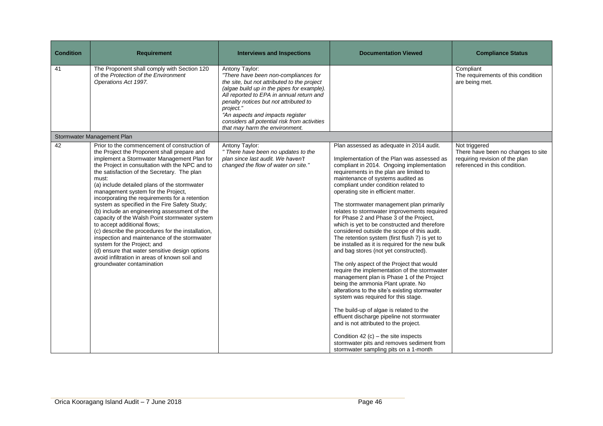| <b>Condition</b> | <b>Requirement</b>                                                                                                                                                                                                                                                                                                                                                                                                                                                                                                                                                                                                                                                                                                                                                                                                                                | <b>Interviews and Inspections</b>                                                                                                                                                                                                                                                                                                                                           | <b>Documentation Viewed</b>                                                                                                                                                                                                                                                                                                                                                                                                                                                                                                                                                                                                                                                                                                                                                                                                                                                                                                                                                                                                                                                                                                                                                                                                   | <b>Compliance Status</b>                                                                                               |
|------------------|---------------------------------------------------------------------------------------------------------------------------------------------------------------------------------------------------------------------------------------------------------------------------------------------------------------------------------------------------------------------------------------------------------------------------------------------------------------------------------------------------------------------------------------------------------------------------------------------------------------------------------------------------------------------------------------------------------------------------------------------------------------------------------------------------------------------------------------------------|-----------------------------------------------------------------------------------------------------------------------------------------------------------------------------------------------------------------------------------------------------------------------------------------------------------------------------------------------------------------------------|-------------------------------------------------------------------------------------------------------------------------------------------------------------------------------------------------------------------------------------------------------------------------------------------------------------------------------------------------------------------------------------------------------------------------------------------------------------------------------------------------------------------------------------------------------------------------------------------------------------------------------------------------------------------------------------------------------------------------------------------------------------------------------------------------------------------------------------------------------------------------------------------------------------------------------------------------------------------------------------------------------------------------------------------------------------------------------------------------------------------------------------------------------------------------------------------------------------------------------|------------------------------------------------------------------------------------------------------------------------|
| 41               | The Proponent shall comply with Section 120<br>of the Protection of the Environment<br>Operations Act 1997.                                                                                                                                                                                                                                                                                                                                                                                                                                                                                                                                                                                                                                                                                                                                       | Antony Taylor:<br>"There have been non-compliances for<br>the site, but not attributed to the project<br>(algae build up in the pipes for example).<br>All reported to EPA in annual return and<br>penalty notices but not attributed to<br>project."<br>"An aspects and impacts register<br>considers all potential risk from activities<br>that may harm the environment. |                                                                                                                                                                                                                                                                                                                                                                                                                                                                                                                                                                                                                                                                                                                                                                                                                                                                                                                                                                                                                                                                                                                                                                                                                               | Compliant<br>The requirements of this condition<br>are being met.                                                      |
|                  | Stormwater Management Plan                                                                                                                                                                                                                                                                                                                                                                                                                                                                                                                                                                                                                                                                                                                                                                                                                        |                                                                                                                                                                                                                                                                                                                                                                             |                                                                                                                                                                                                                                                                                                                                                                                                                                                                                                                                                                                                                                                                                                                                                                                                                                                                                                                                                                                                                                                                                                                                                                                                                               |                                                                                                                        |
| 42               | Prior to the commencement of construction of<br>the Project the Proponent shall prepare and<br>implement a Stormwater Management Plan for<br>the Project in consultation with the NPC and to<br>the satisfaction of the Secretary. The plan<br>must:<br>(a) include detailed plans of the stormwater<br>management system for the Project,<br>incorporating the requirements for a retention<br>system as specified in the Fire Safety Study;<br>(b) include an engineering assessment of the<br>capacity of the Walsh Point stormwater system<br>to accept additional flows;<br>(c) describe the procedures for the installation,<br>inspection and maintenance of the stormwater<br>system for the Project; and<br>(d) ensure that water sensitive design options<br>avoid infiltration in areas of known soil and<br>groundwater contamination | Antony Taylor:<br>" There have been no updates to the<br>plan since last audit. We haven't<br>changed the flow of water on site."                                                                                                                                                                                                                                           | Plan assessed as adequate in 2014 audit.<br>Implementation of the Plan was assessed as<br>compliant in 2014. Ongoing implementation<br>requirements in the plan are limited to<br>maintenance of systems audited as<br>compliant under condition related to<br>operating site in efficient matter.<br>The stormwater management plan primarily<br>relates to stormwater improvements required<br>for Phase 2 and Phase 3 of the Project,<br>which is yet to be constructed and therefore<br>considered outside the scope of this audit.<br>The retention system (first flush 7) is yet to<br>be installed as it is required for the new bulk<br>and bag stores (not yet constructed).<br>The only aspect of the Project that would<br>require the implementation of the stormwater<br>management plan is Phase 1 of the Project<br>being the ammonia Plant uprate. No<br>alterations to the site's existing stormwater<br>system was required for this stage.<br>The build-up of algae is related to the<br>effluent discharge pipeline not stormwater<br>and is not attributed to the project.<br>Condition 42 (c) – the site inspects<br>stormwater pits and removes sediment from<br>stormwater sampling pits on a 1-month | Not triggered<br>There have been no changes to site<br>requiring revision of the plan<br>referenced in this condition. |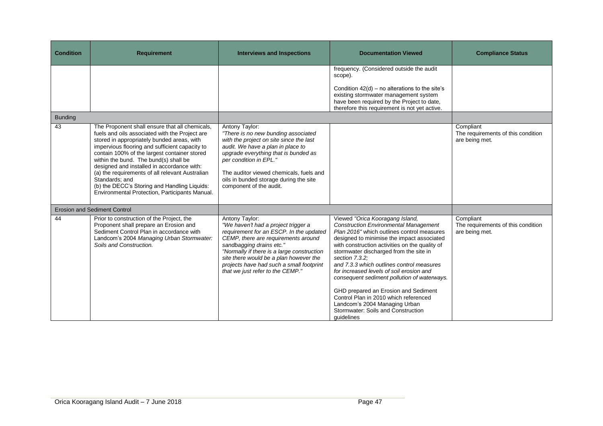| <b>Condition</b> | <b>Requirement</b>                                                                                                                                                                                                                                                                                                                                                                                                                                                                                             | <b>Interviews and Inspections</b>                                                                                                                                                                                                                                                                                                           | <b>Documentation Viewed</b>                                                                                                                                                                                                                                                                                                                                                                                                                                                                                                                                                                             | <b>Compliance Status</b>                                          |
|------------------|----------------------------------------------------------------------------------------------------------------------------------------------------------------------------------------------------------------------------------------------------------------------------------------------------------------------------------------------------------------------------------------------------------------------------------------------------------------------------------------------------------------|---------------------------------------------------------------------------------------------------------------------------------------------------------------------------------------------------------------------------------------------------------------------------------------------------------------------------------------------|---------------------------------------------------------------------------------------------------------------------------------------------------------------------------------------------------------------------------------------------------------------------------------------------------------------------------------------------------------------------------------------------------------------------------------------------------------------------------------------------------------------------------------------------------------------------------------------------------------|-------------------------------------------------------------------|
|                  |                                                                                                                                                                                                                                                                                                                                                                                                                                                                                                                |                                                                                                                                                                                                                                                                                                                                             | frequency. (Considered outside the audit<br>scope).<br>Condition $42(d)$ – no alterations to the site's<br>existing stormwater management system<br>have been required by the Project to date,<br>therefore this requirement is not yet active.                                                                                                                                                                                                                                                                                                                                                         |                                                                   |
| <b>Bunding</b>   |                                                                                                                                                                                                                                                                                                                                                                                                                                                                                                                |                                                                                                                                                                                                                                                                                                                                             |                                                                                                                                                                                                                                                                                                                                                                                                                                                                                                                                                                                                         |                                                                   |
| 43               | The Proponent shall ensure that all chemicals,<br>fuels and oils associated with the Project are<br>stored in appropriately bunded areas, with<br>impervious flooring and sufficient capacity to<br>contain 100% of the largest container stored<br>within the bund. The bund(s) shall be<br>designed and installed in accordance with:<br>(a) the requirements of all relevant Australian<br>Standards; and<br>(b) the DECC's Storing and Handling Liquids:<br>Environmental Protection, Participants Manual. | Antony Taylor:<br>"There is no new bunding associated<br>with the project on site since the last<br>audit. We have a plan in place to<br>upgrade everything that is bunded as<br>per condition in EPL."<br>The auditor viewed chemicals, fuels and<br>oils in bunded storage during the site<br>component of the audit.                     |                                                                                                                                                                                                                                                                                                                                                                                                                                                                                                                                                                                                         | Compliant<br>The requirements of this condition<br>are being met. |
|                  | <b>Erosion and Sediment Control</b>                                                                                                                                                                                                                                                                                                                                                                                                                                                                            |                                                                                                                                                                                                                                                                                                                                             |                                                                                                                                                                                                                                                                                                                                                                                                                                                                                                                                                                                                         |                                                                   |
| 44               | Prior to construction of the Project, the<br>Proponent shall prepare an Erosion and<br>Sediment Control Plan in accordance with<br>Landcom's 2004 Managing Urban Stormwater:<br>Soils and Construction.                                                                                                                                                                                                                                                                                                        | Antony Taylor:<br>"We haven't had a project trigger a<br>requirement for an ESCP. In the updated<br>CEMP, there are requirements around<br>sandbagging drains etc."<br>"Normally if there is a large construction<br>site there would be a plan however the<br>projects have had such a small footprint<br>that we just refer to the CEMP." | Viewed "Orica Kooragang Island,<br><b>Construction Environmental Management</b><br>Plan 2016" which outlines control measures<br>designed to minimise the impact associated<br>with construction activities on the quality of<br>stormwater discharged from the site in<br>section 7.3.2;<br>and 7.3.3 which outlines control measures<br>for increased levels of soil erosion and<br>consequent sediment pollution of waterways.<br>GHD prepared an Erosion and Sediment<br>Control Plan in 2010 which referenced<br>Landcom's 2004 Managing Urban<br>Stormwater: Soils and Construction<br>quidelines | Compliant<br>The requirements of this condition<br>are being met. |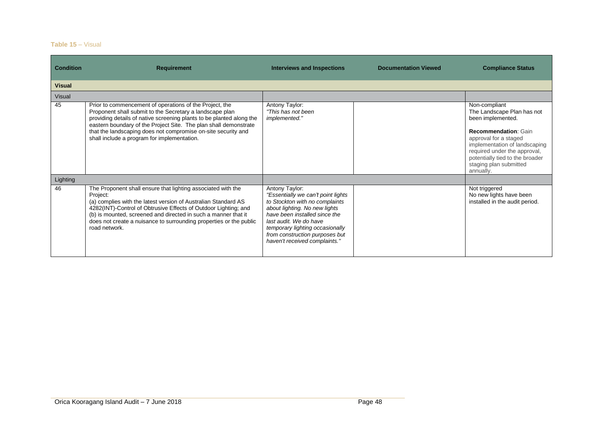#### **Table 15** – Visual

| <b>Condition</b> | <b>Requirement</b>                                                                                                                                                                                                                                                                                                                                                              | <b>Interviews and Inspections</b>                                                                                                                                                                                                                                                        | <b>Documentation Viewed</b> | <b>Compliance Status</b>                                                                                                                                                                                                                                            |
|------------------|---------------------------------------------------------------------------------------------------------------------------------------------------------------------------------------------------------------------------------------------------------------------------------------------------------------------------------------------------------------------------------|------------------------------------------------------------------------------------------------------------------------------------------------------------------------------------------------------------------------------------------------------------------------------------------|-----------------------------|---------------------------------------------------------------------------------------------------------------------------------------------------------------------------------------------------------------------------------------------------------------------|
| <b>Visual</b>    |                                                                                                                                                                                                                                                                                                                                                                                 |                                                                                                                                                                                                                                                                                          |                             |                                                                                                                                                                                                                                                                     |
| Visual           |                                                                                                                                                                                                                                                                                                                                                                                 |                                                                                                                                                                                                                                                                                          |                             |                                                                                                                                                                                                                                                                     |
| 45               | Prior to commencement of operations of the Project, the<br>Proponent shall submit to the Secretary a landscape plan<br>providing details of native screening plants to be planted along the<br>eastern boundary of the Project Site. The plan shall demonstrate<br>that the landscaping does not compromise on-site security and<br>shall include a program for implementation. | Antony Taylor:<br>"This has not been<br><i>implemented."</i>                                                                                                                                                                                                                             |                             | Non-compliant<br>The Landscape Plan has not<br>been implemented.<br><b>Recommendation: Gain</b><br>approval for a staged<br>implementation of landscaping<br>required under the approval,<br>potentially tied to the broader<br>staging plan submitted<br>annually. |
| Lighting         |                                                                                                                                                                                                                                                                                                                                                                                 |                                                                                                                                                                                                                                                                                          |                             |                                                                                                                                                                                                                                                                     |
| 46               | The Proponent shall ensure that lighting associated with the<br>Project:<br>(a) complies with the latest version of Australian Standard AS<br>4282(INT)-Control of Obtrusive Effects of Outdoor Lighting; and<br>(b) is mounted, screened and directed in such a manner that it<br>does not create a nuisance to surrounding properties or the public<br>road network.          | Antony Taylor:<br>"Essentially we can't point lights<br>to Stockton with no complaints<br>about lighting. No new lights<br>have been installed since the<br>last audit. We do have<br>temporary lighting occasionally<br>from construction purposes but<br>haven't received complaints." |                             | Not triggered<br>No new lights have been<br>installed in the audit period.                                                                                                                                                                                          |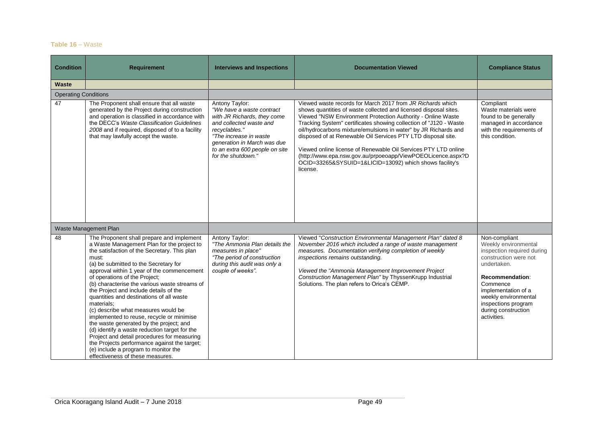#### **Table 16** – Waste

| <b>Condition</b>            | <b>Requirement</b>                                                                                                                                                                                                                                                                                                                                                                                                                                                                                                                                                                                                                                                                                                                                                                       | <b>Interviews and Inspections</b>                                                                                                                                                                                                       | <b>Documentation Viewed</b>                                                                                                                                                                                                                                                                                                                                                                                                                                                                                                                                                                                   | <b>Compliance Status</b>                                                                                                                                                                                                                               |
|-----------------------------|------------------------------------------------------------------------------------------------------------------------------------------------------------------------------------------------------------------------------------------------------------------------------------------------------------------------------------------------------------------------------------------------------------------------------------------------------------------------------------------------------------------------------------------------------------------------------------------------------------------------------------------------------------------------------------------------------------------------------------------------------------------------------------------|-----------------------------------------------------------------------------------------------------------------------------------------------------------------------------------------------------------------------------------------|---------------------------------------------------------------------------------------------------------------------------------------------------------------------------------------------------------------------------------------------------------------------------------------------------------------------------------------------------------------------------------------------------------------------------------------------------------------------------------------------------------------------------------------------------------------------------------------------------------------|--------------------------------------------------------------------------------------------------------------------------------------------------------------------------------------------------------------------------------------------------------|
| Waste                       |                                                                                                                                                                                                                                                                                                                                                                                                                                                                                                                                                                                                                                                                                                                                                                                          |                                                                                                                                                                                                                                         |                                                                                                                                                                                                                                                                                                                                                                                                                                                                                                                                                                                                               |                                                                                                                                                                                                                                                        |
| <b>Operating Conditions</b> |                                                                                                                                                                                                                                                                                                                                                                                                                                                                                                                                                                                                                                                                                                                                                                                          |                                                                                                                                                                                                                                         |                                                                                                                                                                                                                                                                                                                                                                                                                                                                                                                                                                                                               |                                                                                                                                                                                                                                                        |
| 47                          | The Proponent shall ensure that all waste<br>generated by the Project during construction<br>and operation is classified in accordance with<br>the DECC's Waste Classification Guidelines<br>2008 and if required, disposed of to a facility<br>that may lawfully accept the waste.                                                                                                                                                                                                                                                                                                                                                                                                                                                                                                      | Antony Taylor:<br>"We have a waste contract<br>with JR Richards, they come<br>and collected waste and<br>recyclables."<br>"The increase in waste<br>generation in March was due<br>to an extra 600 people on site<br>for the shutdown." | Viewed waste records for March 2017 from JR Richards which<br>shows quantities of waste collected and licensed disposal sites.<br>Viewed "NSW Environment Protection Authority - Online Waste<br>Tracking System" certificates showing collection of "J120 - Waste<br>oil/hydrocarbons mixture/emulsions in water" by JR Richards and<br>disposed of at Renewable Oil Services PTY LTD disposal site.<br>Viewed online license of Renewable Oil Services PTY LTD online<br>(http://www.epa.nsw.gov.au/prpoeoapp/ViewPOEOLicence.aspx?D<br>OCID=33265&SYSUID=1&LICID=13092) which shows facility's<br>license. | Compliant<br>Waste materials were<br>found to be generally<br>managed in accordance<br>with the requirements of<br>this condition.                                                                                                                     |
|                             | Waste Management Plan                                                                                                                                                                                                                                                                                                                                                                                                                                                                                                                                                                                                                                                                                                                                                                    |                                                                                                                                                                                                                                         |                                                                                                                                                                                                                                                                                                                                                                                                                                                                                                                                                                                                               |                                                                                                                                                                                                                                                        |
| 48                          | The Proponent shall prepare and implement<br>a Waste Management Plan for the project to<br>the satisfaction of the Secretary. This plan<br>must:<br>(a) be submitted to the Secretary for<br>approval within 1 year of the commencement<br>of operations of the Project;<br>(b) characterise the various waste streams of<br>the Project and include details of the<br>quantities and destinations of all waste<br>materials:<br>(c) describe what measures would be<br>implemented to reuse, recycle or minimise<br>the waste generated by the project; and<br>(d) identify a waste reduction target for the<br>Project and detail procedures for measuring<br>the Projects performance against the target;<br>(e) include a program to monitor the<br>effectiveness of these measures. | Antony Taylor:<br>"The Ammonia Plan details the<br>measures in place"<br>"The period of construction<br>during this audit was only a<br>couple of weeks".                                                                               | Viewed "Construction Environmental Management Plan" dated 8<br>November 2016 which included a range of waste management<br>measures. Documentation verifying completion of weekly<br>inspections remains outstanding.<br>Viewed the "Ammonia Management Improvement Project<br>Construction Management Plan" by ThyssenKrupp Industrial<br>Solutions. The plan refers to Orica's CEMP.                                                                                                                                                                                                                        | Non-compliant<br>Weekly environmental<br>inspection required during<br>construction were not<br>undertaken.<br>Recommendation:<br>Commence<br>implementation of a<br>weekly environmental<br>inspections program<br>during construction<br>activities. |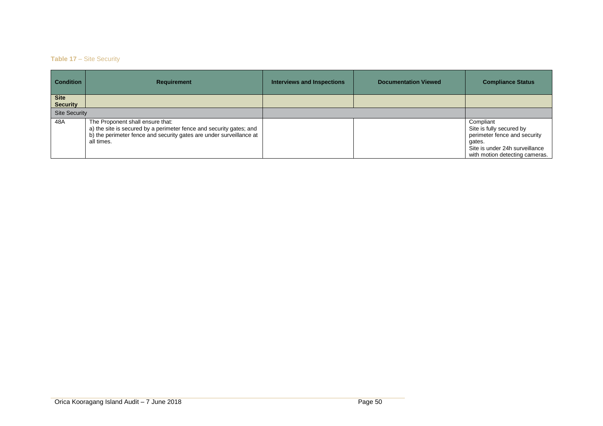## **Table 17** – Site Security

| <b>Condition</b>               | <b>Requirement</b>                                                                                                                                                                           | <b>Interviews and Inspections</b> | <b>Documentation Viewed</b> | <b>Compliance Status</b>                                                                                                                            |
|--------------------------------|----------------------------------------------------------------------------------------------------------------------------------------------------------------------------------------------|-----------------------------------|-----------------------------|-----------------------------------------------------------------------------------------------------------------------------------------------------|
| <b>Site</b><br><b>Security</b> |                                                                                                                                                                                              |                                   |                             |                                                                                                                                                     |
| <b>Site Security</b>           |                                                                                                                                                                                              |                                   |                             |                                                                                                                                                     |
| 48A                            | The Proponent shall ensure that:<br>a) the site is secured by a perimeter fence and security gates; and<br>b) the perimeter fence and security gates are under surveillance at<br>all times. |                                   |                             | Compliant<br>Site is fully secured by<br>perimeter fence and security<br>gates.<br>Site is under 24h surveillance<br>with motion detecting cameras. |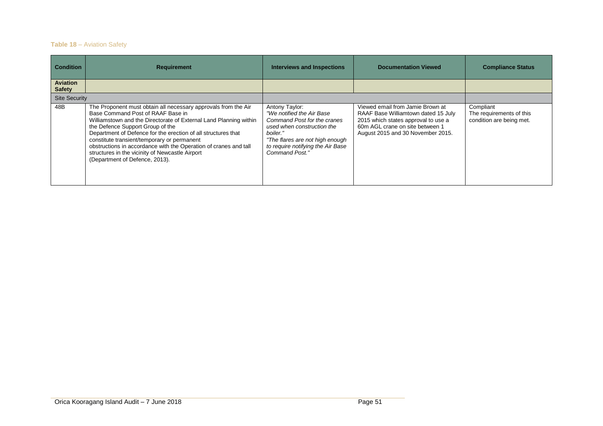## **Table 18** – Aviation Safety

| <b>Condition</b>                 | <b>Requirement</b>                                                                                                                                                                                                                                                                                                                                                                                                                                                                    | <b>Interviews and Inspections</b>                                                                                                                                                                              | <b>Documentation Viewed</b>                                                                                                                                                            | <b>Compliance Status</b>                                          |
|----------------------------------|---------------------------------------------------------------------------------------------------------------------------------------------------------------------------------------------------------------------------------------------------------------------------------------------------------------------------------------------------------------------------------------------------------------------------------------------------------------------------------------|----------------------------------------------------------------------------------------------------------------------------------------------------------------------------------------------------------------|----------------------------------------------------------------------------------------------------------------------------------------------------------------------------------------|-------------------------------------------------------------------|
| <b>Aviation</b><br><b>Safety</b> |                                                                                                                                                                                                                                                                                                                                                                                                                                                                                       |                                                                                                                                                                                                                |                                                                                                                                                                                        |                                                                   |
| <b>Site Security</b>             |                                                                                                                                                                                                                                                                                                                                                                                                                                                                                       |                                                                                                                                                                                                                |                                                                                                                                                                                        |                                                                   |
| 48B                              | The Proponent must obtain all necessary approvals from the Air<br>Base Command Post of RAAF Base in<br>Williamstown and the Directorate of External Land Planning within<br>the Defence Support Group of the<br>Department of Defence for the erection of all structures that<br>constitute transient/temporary or permanent<br>obstructions in accordance with the Operation of cranes and tall<br>structures in the vicinity of Newcastle Airport<br>(Department of Defence, 2013). | Antony Taylor:<br>"We notified the Air Base<br>Command Post for the cranes<br>used when construction the<br>boiler."<br>"The flares are not high enough<br>to require notifying the Air Base<br>Command Post." | Viewed email from Jamie Brown at<br>RAAF Base Williamtown dated 15 July<br>2015 which states approval to use a<br>60m AGL crane on site between 1<br>August 2015 and 30 November 2015. | Compliant<br>The requirements of this<br>condition are being met. |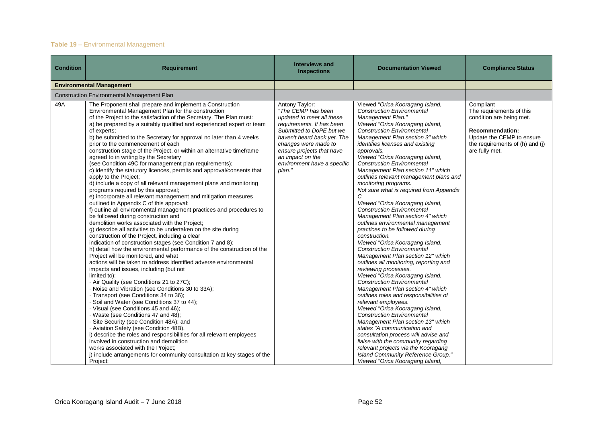## **Table 19** – Environmental Management

| <b>Condition</b> | <b>Requirement</b>                                                                                                                                                                                                                                                                                                                                                                                                                                                                                                                                                                                                                                                                                                                                                                                                                                                                                                                                                                                                                                                                                                                                                                                                                                                                                                                                                                                                                                                                                                                                                                                                                                                                                                                                                                                                                                                                                                                                                                                                                                                                                                  | <b>Interviews and</b><br><b>Inspections</b>                                                                                                                                                                                                                                 | <b>Documentation Viewed</b>                                                                                                                                                                                                                                                                                                                                                                                                                                                                                                                                                                                                                                                                                                                                                                                                                                                                                                                                                                                                                                                                                                                                                                                                                                                                                                                                                                        | <b>Compliance Status</b>                                                                                                                                                      |
|------------------|---------------------------------------------------------------------------------------------------------------------------------------------------------------------------------------------------------------------------------------------------------------------------------------------------------------------------------------------------------------------------------------------------------------------------------------------------------------------------------------------------------------------------------------------------------------------------------------------------------------------------------------------------------------------------------------------------------------------------------------------------------------------------------------------------------------------------------------------------------------------------------------------------------------------------------------------------------------------------------------------------------------------------------------------------------------------------------------------------------------------------------------------------------------------------------------------------------------------------------------------------------------------------------------------------------------------------------------------------------------------------------------------------------------------------------------------------------------------------------------------------------------------------------------------------------------------------------------------------------------------------------------------------------------------------------------------------------------------------------------------------------------------------------------------------------------------------------------------------------------------------------------------------------------------------------------------------------------------------------------------------------------------------------------------------------------------------------------------------------------------|-----------------------------------------------------------------------------------------------------------------------------------------------------------------------------------------------------------------------------------------------------------------------------|----------------------------------------------------------------------------------------------------------------------------------------------------------------------------------------------------------------------------------------------------------------------------------------------------------------------------------------------------------------------------------------------------------------------------------------------------------------------------------------------------------------------------------------------------------------------------------------------------------------------------------------------------------------------------------------------------------------------------------------------------------------------------------------------------------------------------------------------------------------------------------------------------------------------------------------------------------------------------------------------------------------------------------------------------------------------------------------------------------------------------------------------------------------------------------------------------------------------------------------------------------------------------------------------------------------------------------------------------------------------------------------------------|-------------------------------------------------------------------------------------------------------------------------------------------------------------------------------|
|                  | <b>Environmental Management</b>                                                                                                                                                                                                                                                                                                                                                                                                                                                                                                                                                                                                                                                                                                                                                                                                                                                                                                                                                                                                                                                                                                                                                                                                                                                                                                                                                                                                                                                                                                                                                                                                                                                                                                                                                                                                                                                                                                                                                                                                                                                                                     |                                                                                                                                                                                                                                                                             |                                                                                                                                                                                                                                                                                                                                                                                                                                                                                                                                                                                                                                                                                                                                                                                                                                                                                                                                                                                                                                                                                                                                                                                                                                                                                                                                                                                                    |                                                                                                                                                                               |
|                  | Construction Environmental Management Plan                                                                                                                                                                                                                                                                                                                                                                                                                                                                                                                                                                                                                                                                                                                                                                                                                                                                                                                                                                                                                                                                                                                                                                                                                                                                                                                                                                                                                                                                                                                                                                                                                                                                                                                                                                                                                                                                                                                                                                                                                                                                          |                                                                                                                                                                                                                                                                             |                                                                                                                                                                                                                                                                                                                                                                                                                                                                                                                                                                                                                                                                                                                                                                                                                                                                                                                                                                                                                                                                                                                                                                                                                                                                                                                                                                                                    |                                                                                                                                                                               |
| 49A              | The Proponent shall prepare and implement a Construction<br>Environmental Management Plan for the construction<br>of the Project to the satisfaction of the Secretary. The Plan must:<br>a) be prepared by a suitably qualified and experienced expert or team<br>of experts:<br>b) be submitted to the Secretary for approval no later than 4 weeks<br>prior to the commencement of each<br>construction stage of the Project, or within an alternative timeframe<br>agreed to in writing by the Secretary<br>(see Condition 49C for management plan requirements);<br>c) identify the statutory licences, permits and approval/consents that<br>apply to the Project;<br>d) include a copy of all relevant management plans and monitoring<br>programs required by this approval;<br>e) incorporate all relevant management and mitigation measures<br>outlined in Appendix C of this approval;<br>f) outline all environmental management practices and procedures to<br>be followed during construction and<br>demolition works associated with the Project;<br>g) describe all activities to be undertaken on the site during<br>construction of the Project, including a clear<br>indication of construction stages (see Condition 7 and 8);<br>h) detail how the environmental performance of the construction of the<br>Project will be monitored, and what<br>actions will be taken to address identified adverse environmental<br>impacts and issues, including (but not<br>limited to):<br>- Air Quality (see Conditions 21 to 27C);<br>- Noise and Vibration (see Conditions 30 to 33A);<br>- Transport (see Conditions 34 to 36);<br>· Soil and Water (see Conditions 37 to 44);<br>· Visual (see Conditions 45 and 46);<br>· Waste (see Conditions 47 and 48);<br>· Site Security (see Condition 48A); and<br>- Aviation Safety (see Condition 48B).<br>i) describe the roles and responsibilities for all relevant employees<br>involved in construction and demolition<br>works associated with the Project;<br>j) include arrangements for community consultation at key stages of the<br>Project; | Antony Taylor:<br>"The CEMP has been<br>updated to meet all these<br>requirements. It has been<br>Submitted to DoPE but we<br>haven't heard back yet. The<br>changes were made to<br>ensure projects that have<br>an impact on the<br>environment have a specific<br>plan." | Viewed "Orica Kooragang Island,<br><b>Construction Environmental</b><br>Management Plan."<br>Viewed "Orica Kooragang Island,<br><b>Construction Environmental</b><br>Management Plan section 3" which<br>identifies licenses and existing<br>approvals.<br>Viewed "Orica Kooragang Island,<br><b>Construction Environmental</b><br>Management Plan section 11" which<br>outlines relevant management plans and<br>monitoring programs.<br>Not sure what is required from Appendix<br>C<br>Viewed "Orica Kooragang Island,<br><b>Construction Environmental</b><br>Management Plan section 4" which<br>outlines environmental management<br>practices to be followed during<br>construction.<br>Viewed "Orica Kooragang Island,<br><b>Construction Environmental</b><br>Management Plan section 12" which<br>outlines all monitoring, reporting and<br>reviewing processes.<br>Viewed "Orica Kooragang Island,<br><b>Construction Environmental</b><br>Management Plan section 4" which<br>outlines roles and responsibilities of<br>relevant employees.<br>Viewed "Orica Kooragang Island,<br><b>Construction Environmental</b><br>Management Plan section 13" which<br>states "A communication and<br>consultation process will advise and<br>liaise with the community regarding<br>relevant projects via the Kooragang<br>Island Community Reference Group."<br>Viewed "Orica Kooragang Island, | Compliant<br>The requirements of this<br>condition are being met.<br><b>Recommendation:</b><br>Update the CEMP to ensure<br>the requirements of (h) and (j)<br>are fully met. |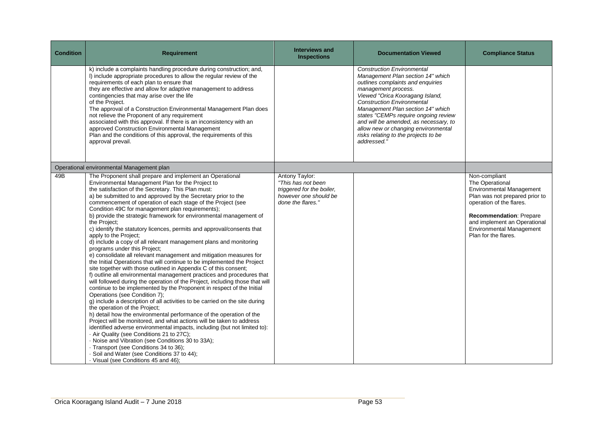| <b>Condition</b> | <b>Requirement</b>                                                                                                                                                                                                                                                                                                                                                                                                                                                                                                                                                                                                                                                                                                                                                                                                                                                                                                                                                                                                                                                                                                                                                                                                                                                                                                                                                                                                                                                                                                                                                                                                                                                                                                          | <b>Interviews and</b><br><b>Inspections</b>                                                                     | <b>Documentation Viewed</b>                                                                                                                                                                                                                                                                                                                                                                                                    | <b>Compliance Status</b>                                                                                                                                                                                                                                       |
|------------------|-----------------------------------------------------------------------------------------------------------------------------------------------------------------------------------------------------------------------------------------------------------------------------------------------------------------------------------------------------------------------------------------------------------------------------------------------------------------------------------------------------------------------------------------------------------------------------------------------------------------------------------------------------------------------------------------------------------------------------------------------------------------------------------------------------------------------------------------------------------------------------------------------------------------------------------------------------------------------------------------------------------------------------------------------------------------------------------------------------------------------------------------------------------------------------------------------------------------------------------------------------------------------------------------------------------------------------------------------------------------------------------------------------------------------------------------------------------------------------------------------------------------------------------------------------------------------------------------------------------------------------------------------------------------------------------------------------------------------------|-----------------------------------------------------------------------------------------------------------------|--------------------------------------------------------------------------------------------------------------------------------------------------------------------------------------------------------------------------------------------------------------------------------------------------------------------------------------------------------------------------------------------------------------------------------|----------------------------------------------------------------------------------------------------------------------------------------------------------------------------------------------------------------------------------------------------------------|
|                  | k) include a complaints handling procedure during construction; and,<br>I) include appropriate procedures to allow the regular review of the<br>requirements of each plan to ensure that<br>they are effective and allow for adaptive management to address<br>contingencies that may arise over the life<br>of the Project.<br>The approval of a Construction Environmental Management Plan does<br>not relieve the Proponent of any requirement<br>associated with this approval. If there is an inconsistency with an<br>approved Construction Environmental Management<br>Plan and the conditions of this approval, the requirements of this<br>approval prevail.                                                                                                                                                                                                                                                                                                                                                                                                                                                                                                                                                                                                                                                                                                                                                                                                                                                                                                                                                                                                                                                       |                                                                                                                 | <b>Construction Environmental</b><br>Management Plan section 14" which<br>outlines complaints and enquiries<br>management process.<br>Viewed "Orica Kooragang Island,<br><b>Construction Environmental</b><br>Management Plan section 14" which<br>states "CEMPs require ongoing review<br>and will be amended, as necessary, to<br>allow new or changing environmental<br>risks relating to the projects to be<br>addressed." |                                                                                                                                                                                                                                                                |
|                  | Operational environmental Management plan                                                                                                                                                                                                                                                                                                                                                                                                                                                                                                                                                                                                                                                                                                                                                                                                                                                                                                                                                                                                                                                                                                                                                                                                                                                                                                                                                                                                                                                                                                                                                                                                                                                                                   |                                                                                                                 |                                                                                                                                                                                                                                                                                                                                                                                                                                |                                                                                                                                                                                                                                                                |
| 49B              | The Proponent shall prepare and implement an Operational<br>Environmental Management Plan for the Project to<br>the satisfaction of the Secretary. This Plan must:<br>a) be submitted to and approved by the Secretary prior to the<br>commencement of operation of each stage of the Project (see<br>Condition 49C for management plan requirements);<br>b) provide the strategic framework for environmental management of<br>the Project;<br>c) identify the statutory licences, permits and approval/consents that<br>apply to the Project;<br>d) include a copy of all relevant management plans and monitoring<br>programs under this Project;<br>e) consolidate all relevant management and mitigation measures for<br>the Initial Operations that will continue to be implemented the Project<br>site together with those outlined in Appendix C of this consent;<br>f) outline all environmental management practices and procedures that<br>will followed during the operation of the Project, including those that will<br>continue to be implemented by the Proponent in respect of the Initial<br>Operations (see Condition 7);<br>g) include a description of all activities to be carried on the site during<br>the operation of the Project;<br>h) detail how the environmental performance of the operation of the<br>Project will be monitored, and what actions will be taken to address<br>identified adverse environmental impacts, including (but not limited to):<br>- Air Quality (see Conditions 21 to 27C);<br>- Noise and Vibration (see Conditions 30 to 33A);<br>· Transport (see Conditions 34 to 36);<br>· Soil and Water (see Conditions 37 to 44);<br>· Visual (see Conditions 45 and 46); | Antony Taylor:<br>"This has not been<br>triggered for the boiler,<br>however one should be<br>done the flares." |                                                                                                                                                                                                                                                                                                                                                                                                                                | Non-compliant<br>The Operational<br><b>Environmental Management</b><br>Plan was not prepared prior to<br>operation of the flares.<br><b>Recommendation: Prepare</b><br>and implement an Operational<br><b>Environmental Management</b><br>Plan for the flares. |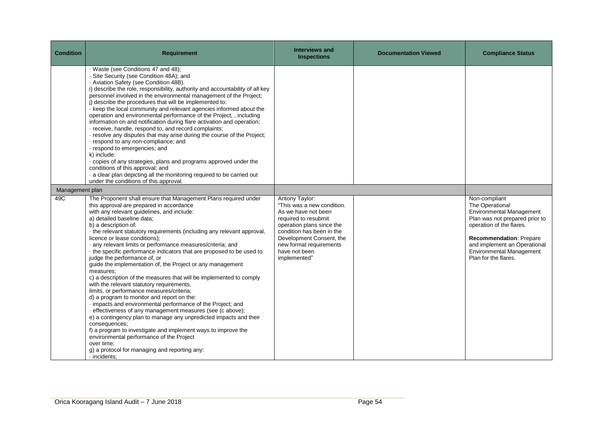| <b>Condition</b> | <b>Requirement</b>                                                                                                                                                                                                                                                                                                                                                                                                                                                                                                                                                                                                                                                                                                                                                                                                                                                                                                                                                                                                                                                                                                                                                                                           | <b>Interviews and</b><br><b>Inspections</b>                                                                                                                                                                                                   | <b>Documentation Viewed</b> | <b>Compliance Status</b>                                                                                                                                                                                                                                |
|------------------|--------------------------------------------------------------------------------------------------------------------------------------------------------------------------------------------------------------------------------------------------------------------------------------------------------------------------------------------------------------------------------------------------------------------------------------------------------------------------------------------------------------------------------------------------------------------------------------------------------------------------------------------------------------------------------------------------------------------------------------------------------------------------------------------------------------------------------------------------------------------------------------------------------------------------------------------------------------------------------------------------------------------------------------------------------------------------------------------------------------------------------------------------------------------------------------------------------------|-----------------------------------------------------------------------------------------------------------------------------------------------------------------------------------------------------------------------------------------------|-----------------------------|---------------------------------------------------------------------------------------------------------------------------------------------------------------------------------------------------------------------------------------------------------|
|                  | · Waste (see Conditions 47 and 48);<br>- Site Security (see Condition 48A); and<br>- Aviation Safety (see Condition 48B).<br>i) describe the role, responsibility, authority and accountability of all key<br>personnel involved in the environmental management of the Project;<br>j) describe the procedures that will be implemented to:<br>· keep the local community and relevant agencies informed about the<br>operation and environmental performance of the Project, , including<br>information on and notification during flare activation and operation;<br>· receive, handle, respond to, and record complaints;<br>· resolve any disputes that may arise during the course of the Project;<br>· respond to any non-compliance; and<br>· respond to emergencies; and<br>k) include:<br>· copies of any strategies, plans and programs approved under the<br>conditions of this approval; and<br>· a clear plan depicting all the monitoring required to be carried out<br>under the conditions of this approval.                                                                                                                                                                                 |                                                                                                                                                                                                                                               |                             |                                                                                                                                                                                                                                                         |
| Management plan  |                                                                                                                                                                                                                                                                                                                                                                                                                                                                                                                                                                                                                                                                                                                                                                                                                                                                                                                                                                                                                                                                                                                                                                                                              |                                                                                                                                                                                                                                               |                             |                                                                                                                                                                                                                                                         |
| 49C              | The Proponent shall ensure that Management Plans required under<br>this approval are prepared in accordance<br>with any relevant guidelines, and include:<br>a) detailed baseline data;<br>b) a description of:<br>- the relevant statutory requirements (including any relevant approval,<br>licence or lease conditions);<br>· any relevant limits or performance measures/criteria; and<br>- the specific performance indicators that are proposed to be used to<br>judge the performance of, or<br>guide the implementation of, the Project or any management<br>measures:<br>c) a description of the measures that will be implemented to comply<br>with the relevant statutory requirements,<br>limits, or performance measures/criteria;<br>d) a program to monitor and report on the:<br>· impacts and environmental performance of the Project; and<br>- effectiveness of any management measures (see (c above);<br>e) a contingency plan to manage any unpredicted impacts and their<br>consequences;<br>f) a program to investigate and implement ways to improve the<br>environmental performance of the Project<br>over time:<br>g) a protocol for managing and reporting any:<br>· incidents; | Antony Taylor:<br>"This was a new condition.<br>As we have not been<br>required to resubmit<br>operation plans since the<br>condition has been in the<br>Development Consent, the<br>new format requirements<br>have not been<br>implemented" |                             | Non-compliant<br>The Operational<br>Environmental Management<br>Plan was not prepared prior to<br>operation of the flares.<br><b>Recommendation: Prepare</b><br>and implement an Operational<br><b>Environmental Management</b><br>Plan for the flares. |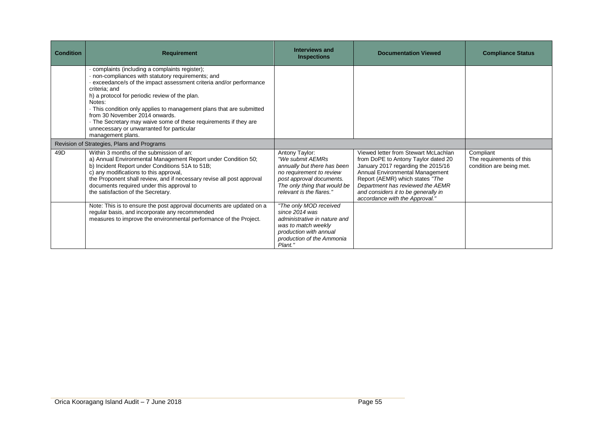| <b>Condition</b> | <b>Requirement</b>                                                                                                                                                                                                                                                                                                                                                                                                                                                                                  | <b>Interviews and</b><br><b>Inspections</b>                                                                                                                                           | <b>Documentation Viewed</b>                                                                                                                                                                                                                                                                          | <b>Compliance Status</b>                                          |
|------------------|-----------------------------------------------------------------------------------------------------------------------------------------------------------------------------------------------------------------------------------------------------------------------------------------------------------------------------------------------------------------------------------------------------------------------------------------------------------------------------------------------------|---------------------------------------------------------------------------------------------------------------------------------------------------------------------------------------|------------------------------------------------------------------------------------------------------------------------------------------------------------------------------------------------------------------------------------------------------------------------------------------------------|-------------------------------------------------------------------|
|                  | complaints (including a complaints register);<br>· non-compliances with statutory requirements; and<br>exceedance/s of the impact assessment criteria and/or performance<br>criteria; and<br>h) a protocol for periodic review of the plan.<br>Notes:<br>This condition only applies to management plans that are submitted<br>from 30 November 2014 onwards.<br>- The Secretary may waive some of these requirements if they are<br>unnecessary or unwarranted for particular<br>management plans. |                                                                                                                                                                                       |                                                                                                                                                                                                                                                                                                      |                                                                   |
|                  | Revision of Strategies, Plans and Programs                                                                                                                                                                                                                                                                                                                                                                                                                                                          |                                                                                                                                                                                       |                                                                                                                                                                                                                                                                                                      |                                                                   |
| 49D              | Within 3 months of the submission of an:<br>a) Annual Environmental Management Report under Condition 50;<br>b) Incident Report under Conditions 51A to 51B;<br>c) any modifications to this approval,<br>the Proponent shall review, and if necessary revise all post approval<br>documents required under this approval to<br>the satisfaction of the Secretary.                                                                                                                                  | Antony Taylor:<br>"We submit AEMRs<br>annually but there has been<br>no requirement to review<br>post approval documents.<br>The only thing that would be<br>relevant is the flares." | Viewed letter from Stewart McLachlan<br>from DoPE to Antony Taylor dated 20<br>January 2017 regarding the 2015/16<br>Annual Environmental Management<br>Report (AEMR) which states "The<br>Department has reviewed the AEMR<br>and considers it to be generally in<br>accordance with the Approval." | Compliant<br>The requirements of this<br>condition are being met. |
|                  | Note: This is to ensure the post approval documents are updated on a<br>regular basis, and incorporate any recommended<br>measures to improve the environmental performance of the Project.                                                                                                                                                                                                                                                                                                         | "The only MOD received<br>since 2014 was<br>administrative in nature and<br>was to match weekly<br>production with annual<br>production of the Ammonia<br>Plant."                     |                                                                                                                                                                                                                                                                                                      |                                                                   |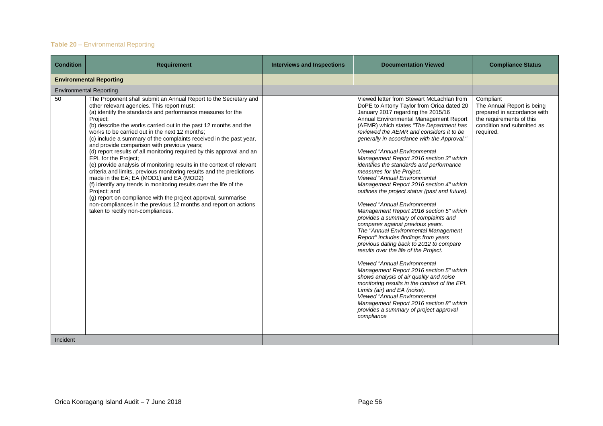## **Table 20** – Environmental Reporting

| <b>Condition</b> | <b>Requirement</b>                                                                                                                                                                                                                                                                                                                                                                                                                                                                                                                                                                                                                                                                                                                                                                                                                                                                                                                                                                               | <b>Interviews and Inspections</b> | <b>Documentation Viewed</b>                                                                                                                                                                                                                                                                                                                                                                                                                                                                                                                                                                                                                                                                                                                                                                                                                                                                                                                                                                                                                                                                                                                                                                                                                                                                          | <b>Compliance Status</b>                                                                                                                      |
|------------------|--------------------------------------------------------------------------------------------------------------------------------------------------------------------------------------------------------------------------------------------------------------------------------------------------------------------------------------------------------------------------------------------------------------------------------------------------------------------------------------------------------------------------------------------------------------------------------------------------------------------------------------------------------------------------------------------------------------------------------------------------------------------------------------------------------------------------------------------------------------------------------------------------------------------------------------------------------------------------------------------------|-----------------------------------|------------------------------------------------------------------------------------------------------------------------------------------------------------------------------------------------------------------------------------------------------------------------------------------------------------------------------------------------------------------------------------------------------------------------------------------------------------------------------------------------------------------------------------------------------------------------------------------------------------------------------------------------------------------------------------------------------------------------------------------------------------------------------------------------------------------------------------------------------------------------------------------------------------------------------------------------------------------------------------------------------------------------------------------------------------------------------------------------------------------------------------------------------------------------------------------------------------------------------------------------------------------------------------------------------|-----------------------------------------------------------------------------------------------------------------------------------------------|
|                  | <b>Environmental Reporting</b>                                                                                                                                                                                                                                                                                                                                                                                                                                                                                                                                                                                                                                                                                                                                                                                                                                                                                                                                                                   |                                   |                                                                                                                                                                                                                                                                                                                                                                                                                                                                                                                                                                                                                                                                                                                                                                                                                                                                                                                                                                                                                                                                                                                                                                                                                                                                                                      |                                                                                                                                               |
|                  | <b>Environmental Reporting</b>                                                                                                                                                                                                                                                                                                                                                                                                                                                                                                                                                                                                                                                                                                                                                                                                                                                                                                                                                                   |                                   |                                                                                                                                                                                                                                                                                                                                                                                                                                                                                                                                                                                                                                                                                                                                                                                                                                                                                                                                                                                                                                                                                                                                                                                                                                                                                                      |                                                                                                                                               |
| 50               | The Proponent shall submit an Annual Report to the Secretary and<br>other relevant agencies. This report must:<br>(a) identify the standards and performance measures for the<br>Project;<br>(b) describe the works carried out in the past 12 months and the<br>works to be carried out in the next 12 months:<br>(c) include a summary of the complaints received in the past year,<br>and provide comparison with previous years;<br>(d) report results of all monitoring required by this approval and an<br>EPL for the Proiect:<br>(e) provide analysis of monitoring results in the context of relevant<br>criteria and limits, previous monitoring results and the predictions<br>made in the EA; EA (MOD1) and EA (MOD2)<br>(f) identify any trends in monitoring results over the life of the<br>Project; and<br>(g) report on compliance with the project approval, summarise<br>non-compliances in the previous 12 months and report on actions<br>taken to rectify non-compliances. |                                   | Viewed letter from Stewart McLachlan from<br>DoPE to Antony Taylor from Orica dated 20<br>January 2017 regarding the 2015/16<br>Annual Environmental Management Report<br>(AEMR) which states "The Department has<br>reviewed the AEMR and considers it to be<br>generally in accordance with the Approval."<br><b>Viewed "Annual Environmental</b><br>Management Report 2016 section 3" which<br>identifies the standards and performance<br>measures for the Project.<br><b>Viewed "Annual Environmental</b><br>Management Report 2016 section 4" which<br>outlines the project status (past and future).<br><b>Viewed "Annual Environmental</b><br>Management Report 2016 section 5" which<br>provides a summary of complaints and<br>compares against previous years.<br>The "Annual Environmental Management<br>Report" includes findings from years<br>previous dating back to 2012 to compare<br>results over the life of the Project.<br><b>Viewed "Annual Environmental</b><br>Management Report 2016 section 5" which<br>shows analysis of air quality and noise<br>monitoring results in the context of the EPL<br>Limits (air) and EA (noise).<br><b>Viewed "Annual Environmental</b><br>Management Report 2016 section 8" which<br>provides a summary of project approval<br>compliance | Compliant<br>The Annual Report is being<br>prepared in accordance with<br>the requirements of this<br>condition and submitted as<br>required. |
| Incident         |                                                                                                                                                                                                                                                                                                                                                                                                                                                                                                                                                                                                                                                                                                                                                                                                                                                                                                                                                                                                  |                                   |                                                                                                                                                                                                                                                                                                                                                                                                                                                                                                                                                                                                                                                                                                                                                                                                                                                                                                                                                                                                                                                                                                                                                                                                                                                                                                      |                                                                                                                                               |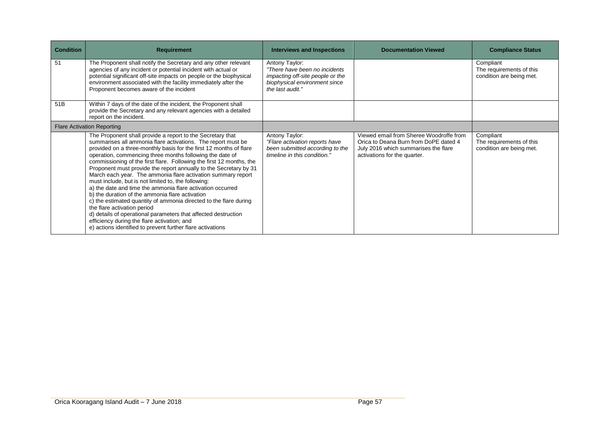| <b>Condition</b> | <b>Requirement</b>                                                                                                                                                                                                                                                                                                                                                                                                                                                                                                                                                                                                                                                                                                                                                                                                                                                                                                                   | <b>Interviews and Inspections</b>                                                                                                         | <b>Documentation Viewed</b>                                                                                                                              | <b>Compliance Status</b>                                          |
|------------------|--------------------------------------------------------------------------------------------------------------------------------------------------------------------------------------------------------------------------------------------------------------------------------------------------------------------------------------------------------------------------------------------------------------------------------------------------------------------------------------------------------------------------------------------------------------------------------------------------------------------------------------------------------------------------------------------------------------------------------------------------------------------------------------------------------------------------------------------------------------------------------------------------------------------------------------|-------------------------------------------------------------------------------------------------------------------------------------------|----------------------------------------------------------------------------------------------------------------------------------------------------------|-------------------------------------------------------------------|
| 51               | The Proponent shall notify the Secretary and any other relevant<br>agencies of any incident or potential incident with actual or<br>potential significant off-site impacts on people or the biophysical<br>environment associated with the facility immediately after the<br>Proponent becomes aware of the incident                                                                                                                                                                                                                                                                                                                                                                                                                                                                                                                                                                                                                 | Antony Taylor:<br>"There have been no incidents"<br>impacting off-site people or the<br>biophysical environment since<br>the last audit." |                                                                                                                                                          | Compliant<br>The requirements of this<br>condition are being met. |
| 51B              | Within 7 days of the date of the incident, the Proponent shall<br>provide the Secretary and any relevant agencies with a detailed<br>report on the incident.                                                                                                                                                                                                                                                                                                                                                                                                                                                                                                                                                                                                                                                                                                                                                                         |                                                                                                                                           |                                                                                                                                                          |                                                                   |
|                  | <b>Flare Activation Reporting</b>                                                                                                                                                                                                                                                                                                                                                                                                                                                                                                                                                                                                                                                                                                                                                                                                                                                                                                    |                                                                                                                                           |                                                                                                                                                          |                                                                   |
|                  | The Proponent shall provide a report to the Secretary that<br>summarises all ammonia flare activations. The report must be<br>provided on a three-monthly basis for the first 12 months of flare<br>operation, commencing three months following the date of<br>commissioning of the first flare. Following the first 12 months, the<br>Proponent must provide the report annually to the Secretary by 31<br>March each year. The ammonia flare activation summary report<br>must include, but is not limited to, the following:<br>a) the date and time the ammonia flare activation occurred<br>b) the duration of the ammonia flare activation<br>c) the estimated quantity of ammonia directed to the flare during<br>the flare activation period<br>d) details of operational parameters that affected destruction<br>efficiency during the flare activation; and<br>e) actions identified to prevent further flare activations | Antony Taylor:<br>"Flare activation reports have<br>been submitted according to the<br>timeline in this condition."                       | Viewed email from Sheree Woodroffe from<br>Orica to Deana Burn from DoPE dated 4<br>July 2016 which summarises the flare<br>activations for the quarter. | Compliant<br>The requirements of this<br>condition are being met. |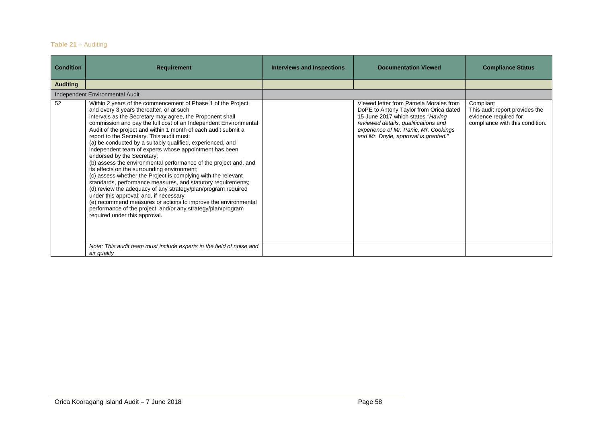## **Table 21** – Auditing

| <b>Condition</b> | <b>Requirement</b>                                                                                                                                                                                                                                                                                                                                                                                                                                                                                                                                                                                                                                                                                                                                                                                                                                                                                                                                                                                                                                | <b>Interviews and Inspections</b> | <b>Documentation Viewed</b>                                                                                                                                                                                                                    | <b>Compliance Status</b>                                                                                |
|------------------|---------------------------------------------------------------------------------------------------------------------------------------------------------------------------------------------------------------------------------------------------------------------------------------------------------------------------------------------------------------------------------------------------------------------------------------------------------------------------------------------------------------------------------------------------------------------------------------------------------------------------------------------------------------------------------------------------------------------------------------------------------------------------------------------------------------------------------------------------------------------------------------------------------------------------------------------------------------------------------------------------------------------------------------------------|-----------------------------------|------------------------------------------------------------------------------------------------------------------------------------------------------------------------------------------------------------------------------------------------|---------------------------------------------------------------------------------------------------------|
| <b>Auditing</b>  |                                                                                                                                                                                                                                                                                                                                                                                                                                                                                                                                                                                                                                                                                                                                                                                                                                                                                                                                                                                                                                                   |                                   |                                                                                                                                                                                                                                                |                                                                                                         |
|                  | Independent Environmental Audit                                                                                                                                                                                                                                                                                                                                                                                                                                                                                                                                                                                                                                                                                                                                                                                                                                                                                                                                                                                                                   |                                   |                                                                                                                                                                                                                                                |                                                                                                         |
| 52               | Within 2 years of the commencement of Phase 1 of the Project,<br>and every 3 years thereafter, or at such<br>intervals as the Secretary may agree, the Proponent shall<br>commission and pay the full cost of an Independent Environmental<br>Audit of the project and within 1 month of each audit submit a<br>report to the Secretary. This audit must:<br>(a) be conducted by a suitably qualified, experienced, and<br>independent team of experts whose appointment has been<br>endorsed by the Secretary;<br>(b) assess the environmental performance of the project and, and<br>its effects on the surrounding environment;<br>(c) assess whether the Project is complying with the relevant<br>standards, performance measures, and statutory requirements;<br>(d) review the adequacy of any strategy/plan/program required<br>under this approval; and, if necessary<br>(e) recommend measures or actions to improve the environmental<br>performance of the project, and/or any strategy/plan/program<br>required under this approval. |                                   | Viewed letter from Pamela Morales from<br>DoPE to Antony Taylor from Orica dated<br>15 June 2017 which states "Having<br>reviewed details, qualifications and<br>experience of Mr. Panic, Mr. Cookings<br>and Mr. Doyle, approval is granted." | Compliant<br>This audit report provides the<br>evidence required for<br>compliance with this condition. |
|                  | Note: This audit team must include experts in the field of noise and<br>air quality                                                                                                                                                                                                                                                                                                                                                                                                                                                                                                                                                                                                                                                                                                                                                                                                                                                                                                                                                               |                                   |                                                                                                                                                                                                                                                |                                                                                                         |